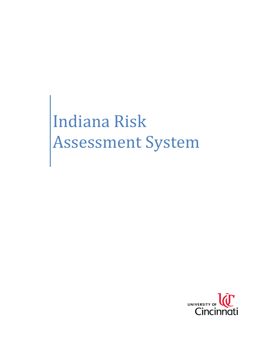Indiana Risk Assessment System

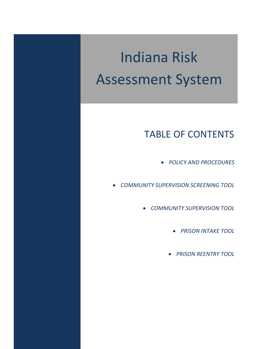# Indiana Risk Assessment System

# TABLE OF CONTENTS

- *POLICY AND PROCEDURES*
- *COMMUNITY SUPERVISION SCREENING TOOL*
	- *COMMUNITY SUPERVISION TOOL*
		- *PRISON INTAKE TOOL*
		- *PRISON REENTRY TOOL*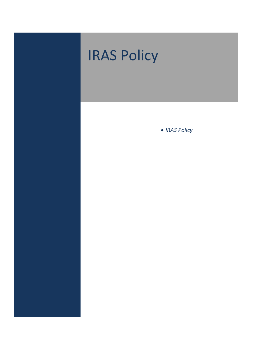# • *IRAS Policy* IRAS Policy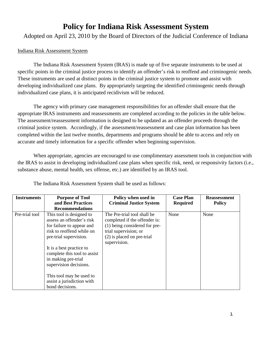# **Policy for Indiana Risk Assessment System**

Adopted on April 23, 2010 by the Board of Directors of the Judicial Conference of Indiana

### Indiana Risk Assessment System

The Indiana Risk Assessment System (IRAS) is made up of five separate instruments to be used at specific points in the criminal justice process to identify an offender's risk to reoffend and criminogenic needs. These instruments are used at distinct points in the criminal justice system to promote and assist with developing individualized case plans. By appropriately targeting the identified criminogenic needs through individualized case plans, it is anticipated recidivism will be reduced.

The agency with primary case management responsibilities for an offender shall ensure that the appropriate IRAS instruments and reassessments are completed according to the policies in the table below. The assessment/reassessment information is designed to be updated as an offender proceeds through the criminal justice system. Accordingly, if the assessment/reassessment and case plan information has been completed within the last twelve months, departments and programs should be able to access and rely on accurate and timely information for a specific offender when beginning supervision.

When appropriate, agencies are encouraged to use complimentary assessment tools in conjunction with the IRAS to assist in developing individualized case plans when specific risk, need, or responsivity factors (i.e., substance abuse, mental health, sex offense, etc.) are identified by an IRAS tool.

| <b>Instruments</b> | <b>Purpose of Tool</b><br>and Best Practices<br><b>Recommendations</b>                                                                                                                                                                                                                                                              | Policy when used in<br><b>Criminal Justice System</b>                                                                                                                  | <b>Case Plan</b><br><b>Required</b> | <b>Reassessment</b><br><b>Policy</b> |
|--------------------|-------------------------------------------------------------------------------------------------------------------------------------------------------------------------------------------------------------------------------------------------------------------------------------------------------------------------------------|------------------------------------------------------------------------------------------------------------------------------------------------------------------------|-------------------------------------|--------------------------------------|
| Pre-trial tool     | This tool is designed to<br>assess an offender's risk<br>for failure to appear and<br>risk to reoffend while on<br>pre-trial supervision.<br>It is a best practice to<br>complete this tool to assist<br>in making pre-trial<br>supervision decisions.<br>This tool may be used to<br>assist a jurisdiction with<br>bond decisions. | The Pre-trial tool shall be<br>completed if the offender is:<br>(1) being considered for pre-<br>trial supervision; or<br>$(2)$ is placed on pre-trial<br>supervision. | None                                | None                                 |

The Indiana Risk Assessment System shall be used as follows: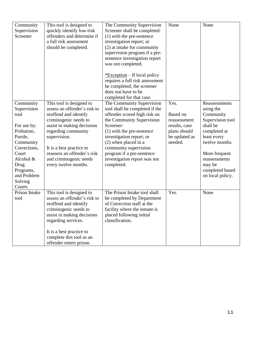| Community<br>Supervision<br>Screener                                                                                                                                                 | This tool is designed to<br>quickly identify low-risk<br>offenders and determine if<br>a full risk assessment<br>should be completed.                                                                                                                                                        | The Community Supervision<br>Screener shall be completed:<br>(1) with the pre-sentence<br>investigation report; or<br>(2) at intake for community<br>supervision program if a pre-<br>sentence investigation report<br>was not completed.<br>$*$ Exception – If local policy<br>requires a full risk assessment<br>be completed, the screener<br>does not have to be<br>completed for that case. | None                                                                                          | None                                                                                                                                                                                                        |
|--------------------------------------------------------------------------------------------------------------------------------------------------------------------------------------|----------------------------------------------------------------------------------------------------------------------------------------------------------------------------------------------------------------------------------------------------------------------------------------------|--------------------------------------------------------------------------------------------------------------------------------------------------------------------------------------------------------------------------------------------------------------------------------------------------------------------------------------------------------------------------------------------------|-----------------------------------------------------------------------------------------------|-------------------------------------------------------------------------------------------------------------------------------------------------------------------------------------------------------------|
| Community<br>Supervision<br>tool<br>For use by:<br>Probation,<br>Parole,<br>Community<br>Corrections,<br>Court<br>Alcohol &<br>Drug<br>Programs,<br>and Problem<br>Solving<br>Courts | This tool is designed to<br>assess an offender's risk to<br>reoffend and identify<br>criminogenic needs to<br>assist in making decisions<br>regarding community<br>supervision.<br>It is a best practice to<br>reassess an offender's risk<br>and criminogenic needs<br>every twelve months. | The Community Supervision<br>tool shall be completed if the<br>offender scored high risk on<br>the Community Supervision<br>Screener:<br>(1) with the pre-sentence<br>investigation report; or<br>$(2)$ when placed in a<br>community supervision<br>program if a pre-sentence<br>investigation report was not<br>completed.                                                                     | Yes.<br>Based on<br>reassessment<br>results, case<br>plans should<br>be updated as<br>needed. | Reassessments<br>using the<br>Community<br>Supervision tool<br>shall be<br>completed at<br>least every<br>twelve months.<br>More frequent<br>reassessments<br>may be<br>completed based<br>on local policy. |
| Prison Intake<br>tool                                                                                                                                                                | This tool is designed to<br>assess an offender's risk to<br>reoffend and identify<br>criminogenic needs to<br>assist in making decisions<br>regarding services.<br>It is a best practice to<br>complete this tool as an<br>offender enters prison.                                           | The Prison Intake tool shall<br>be completed by Department<br>of Correction staff at the<br>facility where the inmate is<br>placed following initial<br>classification.                                                                                                                                                                                                                          | Yes.                                                                                          | None                                                                                                                                                                                                        |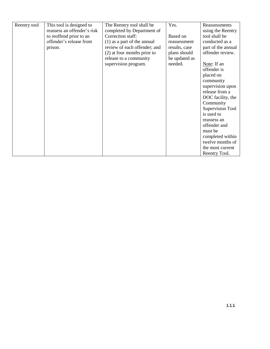| Reentry tool | This tool is designed to    | The Reentry tool shall be     | Yes.          | Reassessments      |
|--------------|-----------------------------|-------------------------------|---------------|--------------------|
|              | reassess an offender's risk | completed by Department of    |               | using the Reentry  |
|              | to reoffend prior to an     | Correction staff:             | Based on      | tool shall be      |
|              | offender's release from     | $(1)$ as a part of the annual | reassessment  | conducted as a     |
|              | prison.                     | review of each offender; and  | results, case | part of the annual |
|              |                             | (2) at four months prior to   | plans should  | offender review.   |
|              |                             | release to a community        | be updated as |                    |
|              |                             | supervision program.          | needed.       | Note: If an        |
|              |                             |                               |               | offender is        |
|              |                             |                               |               | placed on          |
|              |                             |                               |               | community          |
|              |                             |                               |               | supervision upon   |
|              |                             |                               |               | release from a     |
|              |                             |                               |               | DOC facility, the  |
|              |                             |                               |               | Community          |
|              |                             |                               |               | Supervision Tool   |
|              |                             |                               |               | is used to         |
|              |                             |                               |               | reassess an        |
|              |                             |                               |               | offender and       |
|              |                             |                               |               | must be            |
|              |                             |                               |               | completed within   |
|              |                             |                               |               | twelve months of   |
|              |                             |                               |               | the most current   |
|              |                             |                               |               | Reentry Tool.      |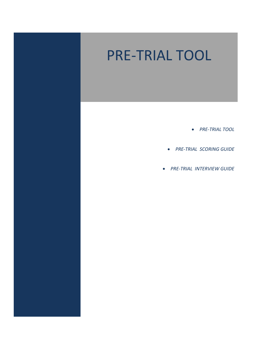# PRE‐TRIAL TOOL

- *PRE‐TRIAL TOOL*
- *PRE‐TRIAL SCORING GUIDE*
- *PRE‐TRIAL INTERVIEW GUIDE*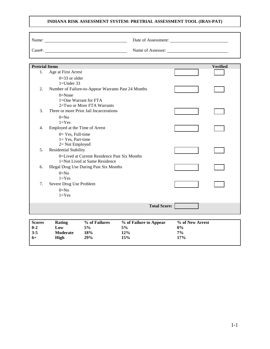### **INDIANA RISK ASSESSMENT SYSTEM: PRETRIAL ASSESSMENT TOOL (IRAS-PAT)**

|                       | Name:<br>$\text{Case}\#:$                           |                     |                 |
|-----------------------|-----------------------------------------------------|---------------------|-----------------|
| <b>Pretrial Items</b> |                                                     |                     | <b>Verified</b> |
| 1.                    | Age at First Arrest                                 |                     |                 |
|                       | $0=33$ or older                                     |                     |                 |
|                       | $1=$ Under 33                                       |                     |                 |
| $\overline{2}$ .      | Number of Failure-to-Appear Warrants Past 24 Months |                     |                 |
|                       | $0=$ None<br>1=One Warrant for FTA                  |                     |                 |
|                       | 2=Two or More FTA Warrants                          |                     |                 |
| 3.                    | Three or more Prior Jail Incarcerations             |                     |                 |
|                       | $0=No$                                              |                     |                 |
|                       | $1 = Yes$                                           |                     |                 |
| $\overline{4}$ .      | Employed at the Time of Arrest                      |                     |                 |
|                       | $0=$ Yes, Full-time                                 |                     |                 |
|                       | $1 = Yes$ , Part-time<br>2= Not Employed            |                     |                 |
| 5.                    | Residential Stability                               |                     |                 |
|                       | 0=Lived at Current Residence Past Six Months        |                     |                 |
|                       | 1=Not Lived at Same Residence                       |                     |                 |
| 6.                    | <b>Illegal Drug Use During Past Six Months</b>      |                     |                 |
|                       | $0=N0$                                              |                     |                 |
| 7.                    | $1 = Yes$<br>Severe Drug Use Problem                |                     |                 |
|                       | $0=N0$                                              |                     |                 |
|                       | $1 = Yes$                                           |                     |                 |
|                       |                                                     |                     |                 |
|                       |                                                     | <b>Total Score:</b> |                 |

| <b>Scores</b> | Rating          | % of Failures | % of Failure to Appear | % of New Arrest |
|---------------|-----------------|---------------|------------------------|-----------------|
| $0 - 2$       | Low             | 5%            | 5%                     | 0%              |
| $3 - 5$       | <b>Moderate</b> | 18%           | 12%                    | $7\%$           |
| $6+$          | High            | 29%           | 15%                    | 17%             |
|               |                 |               |                        |                 |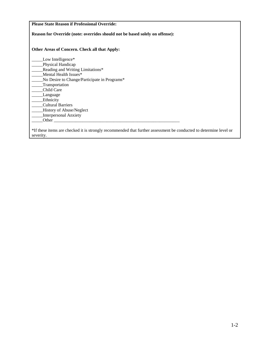**Please State Reason if Professional Override: Reason for Override (note: overrides should not be based solely on offense): Other Areas of Concern. Check all that Apply:** Low Intelligence\* \_\_\_\_\_Physical Handicap \_\_\_\_\_Reading and Writing Limitations\* Mental Health Issues\* \_\_\_\_\_No Desire to Change/Participate in Programs\* \_\_\_\_\_Transportation \_\_\_\_\_Child Care \_\_\_\_\_Language Ethnicity \_\_\_\_\_Cultural Barriers \_\_\_\_\_History of Abuse/Neglect \_\_\_\_\_Interpersonal Anxiety  $_$  Other  $_$ \*If these items are checked it is strongly recommended that further assessment be conducted to determine level or severity.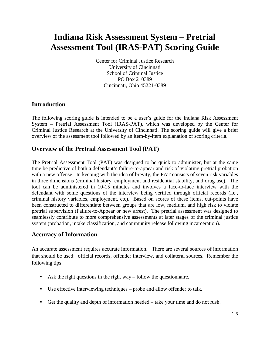# **Indiana Risk Assessment System – Pretrial Assessment Tool (IRAS-PAT) Scoring Guide**

Center for Criminal Justice Research University of Cincinnati School of Criminal Justice PO Box 210389 Cincinnati, Ohio 45221-0389

### **Introduction**

The following scoring guide is intended to be a user's guide for the Indiana Risk Assessment System – Pretrial Assessment Tool (IRAS-PAT), which was developed by the Center for Criminal Justice Research at the University of Cincinnati. The scoring guide will give a brief overview of the assessment tool followed by an item-by-item explanation of scoring criteria.

### **Overview of the Pretrial Assessment Tool (PAT)**

The Pretrial Assessment Tool (PAT) was designed to be quick to administer, but at the same time be predictive of both a defendant's failure-to-appear and risk of violating pretrial probation with a new offense. In keeping with the idea of brevity, the PAT consists of seven risk variables in three dimensions (criminal history, employment and residential stability, and drug use). The tool can be administered in 10-15 minutes and involves a face-to-face interview with the defendant with some questions of the interview being verified through official records (i.e., criminal history variables, employment, etc). Based on scores of these items, cut-points have been constructed to differentiate between groups that are low, medium, and high risk to violate pretrial supervision (Failure-to-Appear or new arrest). The pretrial assessment was designed to seamlessly contribute to more comprehensive assessments at later stages of the criminal justice system (probation, intake classification, and community release following incarceration).

### **Accuracy of Information**

An accurate assessment requires accurate information. There are several sources of information that should be used: official records, offender interview, and collateral sources. Remember the following tips:

- Ask the right questions in the right way follow the questionnaire.
- Use effective interviewing techniques probe and allow offender to talk.
- Get the quality and depth of information needed  $-$  take your time and do not rush.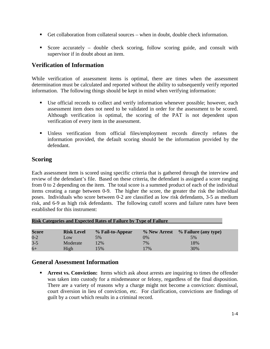- Get collaboration from collateral sources when in doubt, double check information.
- Score accurately double check scoring, follow scoring guide, and consult with supervisor if in doubt about an item.

### **Verification of Information**

While verification of assessment items is optimal, there are times when the assessment determination must be calculated and reported without the ability to subsequently verify reported information. The following things should be kept in mind when verifying information:

- Use official records to collect and verify information whenever possible; however, each assessment item does not need to be validated in order for the assessment to be scored. Although verification is optimal, the scoring of the PAT is not dependent upon verification of every item in the assessment.
- Unless verification from official files/employment records directly refutes the information provided, the default scoring should be the information provided by the defendant.

### **Scoring**

Each assessment item is scored using specific criteria that is gathered through the interview and review of the defendant's file. Based on these criteria, the defendant is assigned a score ranging from 0 to 2 depending on the item. The total score is a summed product of each of the individual items creating a range between 0-9. The higher the score, the greater the risk the individual poses. Individuals who score between 0-2 are classified as low risk defendants, 3-5 as medium risk, and 6-9 as high risk defendants. The following cutoff scores and failure rates have been established for this instrument:

| <b>Risk Categories and Expected Rates of Failure by Type of Failure</b> |                   |                  |     |                                   |  |
|-------------------------------------------------------------------------|-------------------|------------------|-----|-----------------------------------|--|
| Score                                                                   | <b>Risk Level</b> | % Fail-to-Appear |     | % New Arrest % Failure (any type) |  |
| $0 - 2$                                                                 | Low               | 5%               | 0%  | 5%                                |  |
| $3-5$                                                                   | Moderate          | 12%              | 7%  | 18%                               |  |
| $6+$                                                                    | High              | 15%              | 17% | 30%                               |  |

### **General Assessment Information**

 **Arrest vs. Conviction:** Items which ask about arrests are inquiring to times the offender was taken into custody for a misdemeanor or felony, regardless of the final disposition. There are a variety of reasons why a charge might not become a conviction: dismissal, court diversion in lieu of conviction, etc. For clarification, convictions are findings of guilt by a court which results in a criminal record.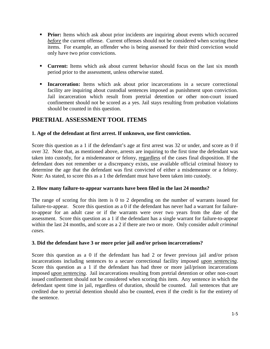- **Prior:** Items which ask about prior incidents are inquiring about events which occurred *before* the current offense. Current offenses should not be considered when scoring these items. For example, an offender who is being assessed for their third conviction would only have two prior convictions.
- **Current:** Items which ask about current behavior should focus on the last six month period prior to the assessment, unless otherwise stated.
- **Incarceration:** Items which ask about prior incarcerations in a secure correctional facility are inquiring about custodial sentences imposed as punishment upon conviction. Jail incarceration which result from pretrial detention or other non-court issued confinement should not be scored as a yes. Jail stays resulting from probation violations should be counted in this question.

### **PRETRIAL ASSESSMENT TOOL ITEMS**

### **1. Age of the defendant at first arrest. If unknown, use first conviction.**

Score this question as a 1 if the defendant's age at first arrest was 32 or under, and score as 0 if over 32. Note that, as mentioned above, arrests are inquiring to the first time the defendant was taken into custody, for a misdemeanor or felony, regardless of the cases final disposition. If the defendant does not remember or a discrepancy exists, use available official criminal history to determine the age that the defendant was first convicted of either a misdemeanor or a felony. Note: As stated, to score this as a 1 the defendant must have been taken into custody.

### **2. How many failure-to-appear warrants have been filed in the last 24 months?**

The range of scoring for this item is 0 to 2 depending on the number of warrants issued for failure-to-appear. Score this question as a 0 if the defendant has never had a warrant for failureto-appear for an adult case or if the warrants were over two years from the date of the assessment. Score this question as a 1 if the defendant has a single warrant for failure-to-appear within the last 24 months, and score as a 2 if there are two or more. Only consider *adult criminal cases*.

### **3. Did the defendant have 3 or more prior jail and/or prison incarcerations?**

Score this question as a 0 if the defendant has had 2 or fewer previous jail and/or prison incarcerations including sentences to a secure correctional facility imposed *upon sentencing*. Score this question as a 1 if the defendant has had three or more jail/prison incarcerations imposed *upon sentencing.* Jail incarcerations resulting from pretrial detention or other non-court issued confinement should not be considered when scoring this item. Any sentence in which the defendant spent time in jail, regardless of duration, should be counted. Jail sentences that are credited due to pretrial detention should also be counted, even if the credit is for the entirety of the sentence.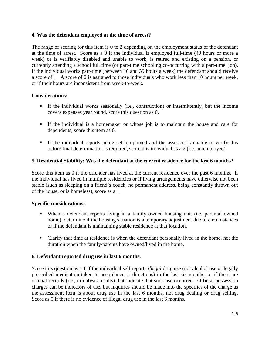### **4. Was the defendant employed at the time of arrest?**

The range of scoring for this item is 0 to 2 depending on the employment status of the defendant at the time of arrest. Score as a 0 if the individual is employed full-time (40 hours or more a week) or is verifiably disabled and unable to work, is retired and existing on a pension, or currently attending a school full time (or part-time schooling co-occurring with a part-time job). If the individual works part-time (between 10 and 39 hours a week) the defendant should receive a score of 1. A score of 2 is assigned to those individuals who work less than 10 hours per week, or if their hours are inconsistent from week-to-week.

### **Considerations:**

- If the individual works seasonally (i.e., construction) or intermittently, but the income covers expenses year round, score this question as 0.
- If the individual is a homemaker or whose job is to maintain the house and care for dependents, score this item as 0.
- If the individual reports being self employed and the assessor is unable to verify this before final determination is required, score this individual as a 2 (i.e., unemployed).

### **5. Residential Stability: Was the defendant at the current residence for the last 6 months?**

Score this item as 0 if the offender has lived at the current residence over the past 6 months. If the individual has lived in multiple residencies or if living arrangements have otherwise not been stable (such as sleeping on a friend's couch, no permanent address, being constantly thrown out of the house, or is homeless), score as a 1.

### **Specific considerations:**

- When a defendant reports living in a family owned housing unit (i.e. parental owned home), determine if the housing situation is a temporary adjustment due to circumstances or if the defendant is maintaining stable residence at that location.
- Clarify that time at residence is when the defendant personally lived in the home, not the duration when the family/parents have owned/lived in the home.

### **6. Defendant reported drug use in last 6 months.**

Score this question as a 1 if the individual self reports *illegal* drug use (not alcohol use or legally prescribed medication taken in accordance to directions) in the last six months, or if there are official records (i.e., urinalysis results) that indicate that such use occurred. Official possession charges can be indicators of use, but inquiries should be made into the specifics of the charge as the assessment item is about drug use in the last 6 months, not drug dealing or drug selling. Score as 0 if there is no evidence of illegal drug use in the last 6 months.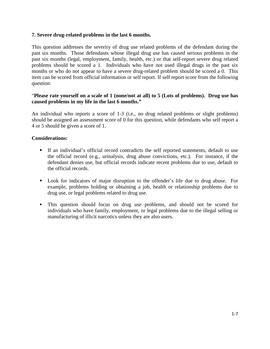### **7. Severe drug-related problems in the last 6 months.**

This question addresses the severity of drug use related problems of the defendant during the past six months. Those defendants whose illegal drug use has caused serious problems in the past six months (legal, employment, family, health, etc.) or that self-report severe drug related problems should be scored a 1. Individuals who have not used illegal drugs in the past six months or who do not appear to have a severe drug-related problem should be scored a 0. This item can be scored from official information or self report. If self report score from the following question:

### "**Please rate yourself on a scale of 1 (none/not at all) to 5 (Lots of problems). Drug use has caused problems in my life in the last 6 months."**

An individual who reports a score of 1-3 (i.e., no drug related problems or slight problems) should be assigned an assessment score of 0 for this question, while defendants who self report a 4 or 5 should be given a score of 1.

### **Considerations:**

- If an individual's official record contradicts the self reported statements, default to use the official record (e.g., urinalysis, drug abuse convictions, etc.). For instance, if the defendant denies use, but official records indicate recent problems due to use, default to the official records.
- Look for indicators of major disruption to the offender's life due to drug abuse. For example, problems holding or obtaining a job, health or relationship problems due to drug use, or legal problems related to drug use.
- This question should focus on drug *use* problems, and should not be scored for individuals who have family, employment, or legal problems due to the illegal selling or manufacturing of illicit narcotics unless they are also users.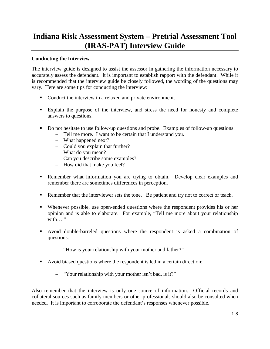# **Indiana Risk Assessment System – Pretrial Assessment Tool (IRAS-PAT) Interview Guide**

### **Conducting the Interview**

The interview guide is designed to assist the assessor in gathering the information necessary to accurately assess the defendant. It is important to establish rapport with the defendant. While it is recommended that the interview guide be closely followed, the wording of the questions may vary. Here are some tips for conducting the interview:

- Conduct the interview in a relaxed and private environment.
- Explain the purpose of the interview, and stress the need for honesty and complete answers to questions.
- Do not hesitate to use follow-up questions and probe. Examples of follow-up questions:
	- Tell me more. I want to be certain that I understand you.
	- What happened next?
	- Could you explain that further?
	- What do you mean?
	- Can you describe some examples?
	- How did that make you feel?
- Remember what information you are trying to obtain. Develop clear examples and remember there are sometimes differences in perception.
- Remember that the interviewer sets the tone. Be patient and try not to correct or teach.
- Whenever possible, use open-ended questions where the respondent provides his or her opinion and is able to elaborate. For example, "Tell me more about your relationship with…."
- Avoid double-barreled questions where the respondent is asked a combination of questions:
	- "How is your relationship with your mother and father?"
- Avoid biased questions where the respondent is led in a certain direction:
	- "Your relationship with your mother isn't bad, is it?"

Also remember that the interview is only one source of information. Official records and collateral sources such as family members or other professionals should also be consulted when needed. It is important to corroborate the defendant's responses whenever possible.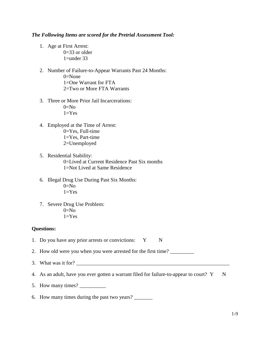### *The Following Items are scored for the Pretrial Assessment Tool:*

- 1. Age at First Arrest:  $0=33$  or older 1=under 33
- 2. Number of Failure-to-Appear Warrants Past 24 Months:  $0=$ None 1=One Warrant for FTA 2=Two or More FTA Warrants
- 3. Three or More Prior Jail Incarcerations:  $0=N<sub>0</sub>$  $1=Yes$
- 4. Employed at the Time of Arrest: 0=Yes, Full-time 1=Yes, Part-time 2=Unemployed
- 5. Residential Stability: 0=Lived at Current Residence Past Six months 1=Not Lived at Same Residence
- 6. Illegal Drug Use During Past Six Months:  $0=$ No  $1=Yes$
- 7. Severe Drug Use Problem:  $0=N<sub>0</sub>$  $1 = Yes$

### **Questions:**

1. Do you have any prior arrests or convictions: Y N

2. How old were you when you were arrested for the first time?

- 3. What was it for?
- 4. As an adult, have you ever gotten a warrant filed for failure-to-appear to court?  $Y \tN$
- 5. How many times?
- 6. How many times during the past two years? \_\_\_\_\_\_\_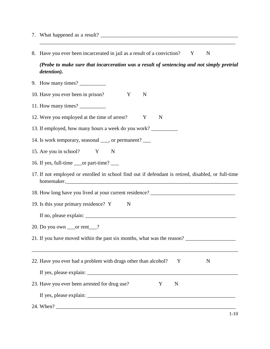- 7. What happened as a result?
- 8. Have you ever been incarcerated in jail as a result of a conviction? Y N

*(Probe to make sure that incarceration was a result of sentencing and not simply pretrial detention).*

\_\_\_\_\_\_\_\_\_\_\_\_\_\_\_\_\_\_\_\_\_\_\_\_\_\_\_\_\_\_\_\_\_\_\_\_\_\_\_\_\_\_\_\_\_\_\_\_\_\_\_\_\_\_\_\_\_\_\_\_\_\_\_\_\_\_\_\_\_\_\_\_\_\_

9. How many times? 10. Have you ever been in prison? Y N 11. How many times? 12. Were you employed at the time of arrest? Y N 13. If employed, how many hours a week do you work? \_\_\_\_\_\_\_\_\_\_\_\_\_\_\_\_\_\_\_\_\_\_\_\_\_\_\_\_\_ 14. Is work temporary, seasonal \_\_\_, or permanent? \_\_\_ 15. Are you in school? Y N 16. If yes, full-time \_\_\_or part-time? \_\_\_ 17. If not employed or enrolled in school find out if defendant is retired, disabled, or full-time homemaker. 18. How long have you lived at your current residence? \_\_\_\_\_\_\_\_\_\_\_\_\_\_\_\_\_\_\_\_\_\_\_\_\_ 19. Is this your primary residence? Y N If no, please explain:  $\frac{1}{2}$  =  $\frac{1}{2}$  =  $\frac{1}{2}$  =  $\frac{1}{2}$  =  $\frac{1}{2}$  =  $\frac{1}{2}$  =  $\frac{1}{2}$  =  $\frac{1}{2}$  =  $\frac{1}{2}$  =  $\frac{1}{2}$  =  $\frac{1}{2}$  =  $\frac{1}{2}$  =  $\frac{1}{2}$  =  $\frac{1}{2}$  =  $\frac{1}{2}$  =  $\frac{1}{2}$  =  $\frac{1}{$ 20. Do you own \_\_\_or rent\_\_\_? 21. If you have moved within the past six months, what was the reason? \_\_\_\_\_\_\_\_\_\_\_\_\_\_\_\_\_\_\_\_\_\_\_\_\_\_\_\_\_\_\_\_\_\_\_\_\_\_\_\_\_\_\_\_\_\_\_\_\_\_\_\_\_\_\_\_\_\_\_\_\_\_\_\_\_\_\_\_\_\_\_\_\_\_\_\_\_\_ 22. Have you ever had a problem with drugs other than alcohol?  $Y$  N If yes, please explain: 23. Have you ever been arrested for drug use? Y N If yes, please explain: 24. When?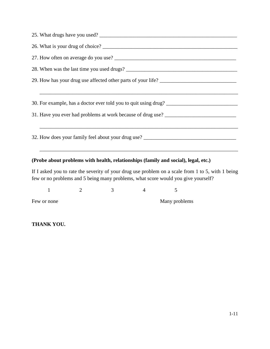| 30. For example, has a doctor ever told you to quit using drug?                   |
|-----------------------------------------------------------------------------------|
|                                                                                   |
|                                                                                   |
| 32. How does your family feel about your drug use? ______________________________ |
|                                                                                   |
|                                                                                   |

### **(Probe about problems with health, relationships (family and social), legal, etc.)**

If I asked you to rate the severity of your drug use problem on a scale from 1 to 5, with 1 being few or no problems and 5 being many problems, what score would you give yourself?

 $1 2 3 4 5$ 

Few or none Many problems

**THANK YOU.**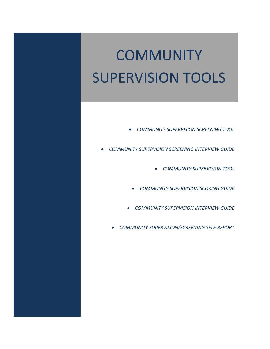# **COMMUNITY** SUPERVISION TOOLS

- *COMMUNITY SUPERVISION SCREENING TOOL*
- *COMMUNITY SUPERVISION SCREENING INTERVIEW GUIDE*
	- *COMMUNITY SUPERVISION TOOL*
	- *COMMUNITY SUPERVISION SCORING GUIDE*
	- *COMMUNITY SUPERVISION INTERVIEW GUIDE*
	- *COMMUNITY SUPERVISION/SCREENING SELF‐REPORT*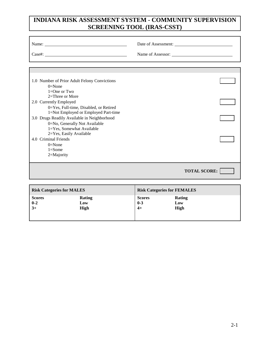### **INDIANA RISK ASSESSMENT SYSTEM - COMMUNITY SUPERVISION SCREENING TOOL (IRAS-CSST)**

|                                   | Name:<br>Case#:                                                                                                      |                          | Date of Assessment:                |  |
|-----------------------------------|----------------------------------------------------------------------------------------------------------------------|--------------------------|------------------------------------|--|
|                                   |                                                                                                                      |                          |                                    |  |
| $0 = None$<br>$1=One$ or Two      | 1.0 Number of Prior Adult Felony Convictions                                                                         |                          |                                    |  |
| 2.0 Currently Employed            | 2=Three or More<br>0=Yes, Full-time, Disabled, or Retired                                                            |                          |                                    |  |
|                                   | 1=Not Employed or Employed Part-time<br>3.0 Drugs Readily Available in Neighborhood<br>0=No, Generally Not Available |                          |                                    |  |
| 4.0 Criminal Friends<br>$0=$ None | 1=Yes, Somewhat Available<br>2=Yes, Easily Available                                                                 |                          |                                    |  |
| $1 = Some$<br>2=Majority          |                                                                                                                      |                          |                                    |  |
|                                   |                                                                                                                      |                          | <b>TOTAL SCORE:</b>                |  |
|                                   |                                                                                                                      |                          |                                    |  |
| <b>Risk Categories for MALES</b>  |                                                                                                                      |                          | <b>Risk Categories for FEMALES</b> |  |
| <b>Scores</b><br>$0 - 2$          | Rating<br>Low                                                                                                        | <b>Scores</b><br>$0 - 3$ | Rating<br>Low                      |  |

**3+ High 4+ High**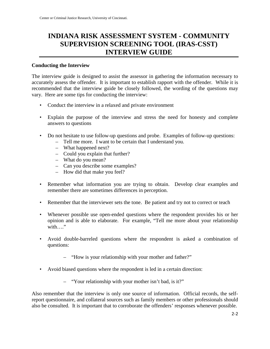### **INDIANA RISK ASSESSMENT SYSTEM - COMMUNITY SUPERVISION SCREENING TOOL (IRAS-CSST) INTERVIEW GUIDE**

### **Conducting the Interview**

The interview guide is designed to assist the assessor in gathering the information necessary to accurately assess the offender. It is important to establish rapport with the offender. While it is recommended that the interview guide be closely followed, the wording of the questions may vary. Here are some tips for conducting the interview:

- Conduct the interview in a relaxed and private environment
- Explain the purpose of the interview and stress the need for honesty and complete answers to questions
- Do not hesitate to use follow-up questions and probe. Examples of follow-up questions:
	- Tell me more. I want to be certain that I understand you.
	- What happened next?
	- Could you explain that further?
	- What do you mean?
	- Can you describe some examples?
	- How did that make you feel?
- Remember what information you are trying to obtain. Develop clear examples and remember there are sometimes differences in perception.
- Remember that the interviewer sets the tone. Be patient and try not to correct or teach
- Whenever possible use open-ended questions where the respondent provides his or her opinion and is able to elaborate. For example, "Tell me more about your relationship with…"
- Avoid double-barreled questions where the respondent is asked a combination of questions:
	- "How is your relationship with your mother and father?"
- Avoid biased questions where the respondent is led in a certain direction:
	- "Your relationship with your mother isn't bad, is it?"

Also remember that the interview is only one source of information. Official records, the selfreport questionnaire, and collateral sources such as family members or other professionals should also be consulted. It is important that to corroborate the offenders' responses whenever possible.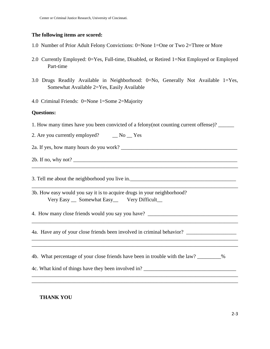### **The following items are scored:**

- 1.0 Number of Prior Adult Felony Convictions: 0=None 1=One or Two 2=Three or More
- 2.0 Currently Employed: 0=Yes, Full-time, Disabled, or Retired 1=Not Employed or Employed Part-time
- 3.0 Drugs Readily Available in Neighborhood: 0=No, Generally Not Available 1=Yes, Somewhat Available 2=Yes, Easily Available
- 4.0 Criminal Friends: 0=None 1=Some 2=Majority

### **Questions:**

1. How many times have you been convicted of a felony(not counting current offense)? \_\_\_\_\_\_

\_\_\_\_\_\_\_\_\_\_\_\_\_\_\_\_\_\_\_\_\_\_\_\_\_\_\_\_\_\_\_\_\_\_\_\_\_\_\_\_\_\_\_\_\_\_\_\_\_\_\_\_\_\_\_\_\_\_\_\_\_\_\_\_\_\_\_\_\_\_\_\_\_\_\_\_\_\_

\_\_\_\_\_\_\_\_\_\_\_\_\_\_\_\_\_\_\_\_\_\_\_\_\_\_\_\_\_\_\_\_\_\_\_\_\_\_\_\_\_\_\_\_\_\_\_\_\_\_\_\_\_\_\_\_\_\_\_\_\_\_\_\_\_\_\_\_\_\_\_\_\_\_\_\_\_\_

\_\_\_\_\_\_\_\_\_\_\_\_\_\_\_\_\_\_\_\_\_\_\_\_\_\_\_\_\_\_\_\_\_\_\_\_\_\_\_\_\_\_\_\_\_\_\_\_\_\_\_\_\_\_\_\_\_\_\_\_\_\_\_\_\_\_\_\_\_\_\_\_\_\_\_\_\_\_

\_\_\_\_\_\_\_\_\_\_\_\_\_\_\_\_\_\_\_\_\_\_\_\_\_\_\_\_\_\_\_\_\_\_\_\_\_\_\_\_\_\_\_\_\_\_\_\_\_\_\_\_\_\_\_\_\_\_\_\_\_\_\_\_\_\_\_\_\_\_\_\_\_\_\_\_\_\_ \_\_\_\_\_\_\_\_\_\_\_\_\_\_\_\_\_\_\_\_\_\_\_\_\_\_\_\_\_\_\_\_\_\_\_\_\_\_\_\_\_\_\_\_\_\_\_\_\_\_\_\_\_\_\_\_\_\_\_\_\_\_\_\_\_\_\_\_\_\_\_\_\_\_\_\_\_\_

\_\_\_\_\_\_\_\_\_\_\_\_\_\_\_\_\_\_\_\_\_\_\_\_\_\_\_\_\_\_\_\_\_\_\_\_\_\_\_\_\_\_\_\_\_\_\_\_\_\_\_\_\_\_\_\_\_\_\_\_\_\_\_\_\_\_\_\_\_\_\_\_\_\_\_\_\_\_ \_\_\_\_\_\_\_\_\_\_\_\_\_\_\_\_\_\_\_\_\_\_\_\_\_\_\_\_\_\_\_\_\_\_\_\_\_\_\_\_\_\_\_\_\_\_\_\_\_\_\_\_\_\_\_\_\_\_\_\_\_\_\_\_\_\_\_\_\_\_\_\_\_\_\_\_\_\_

2. Are you currently employed? \_\_\_ No \_\_ Yes

2a. If yes, how many hours do you work? \_\_\_\_\_\_\_\_\_\_\_\_\_\_\_\_\_\_\_\_\_\_\_\_\_\_\_\_\_\_\_\_\_\_\_\_\_\_\_\_\_\_\_\_

2b. If no, why not? \_\_\_\_\_\_\_\_\_\_\_\_\_\_\_\_\_\_\_\_\_\_\_\_\_\_\_\_\_\_\_\_\_\_\_\_\_\_\_\_\_\_\_\_\_\_\_\_\_\_\_\_\_\_\_\_\_\_\_\_\_\_

3. Tell me about the neighborhood you live in. \_\_\_\_\_\_\_\_\_\_\_\_\_\_\_\_\_\_\_\_\_\_\_\_\_\_\_\_\_\_\_\_\_\_

3b. How easy would you say it is to acquire drugs in your neighborhood? Very Easy \_\_ Somewhat Easy \_\_ Very Difficult\_

4. How many close friends would you say you have?

4a. Have any of your close friends been involved in criminal behavior? \_\_\_\_\_\_\_\_\_\_\_\_\_\_\_\_\_\_\_

4b. What percentage of your close friends have been in trouble with the law? \_\_\_\_\_\_\_\_\_%

4c. What kind of things have they been involved in? \_\_\_\_\_\_\_\_\_\_\_\_\_\_\_\_\_\_\_\_\_\_\_\_\_\_\_\_\_

**THANK YOU**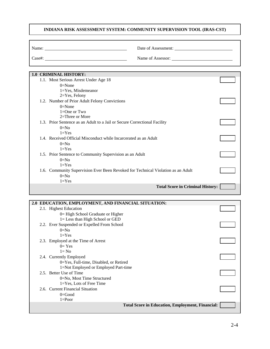### **INDIANA RISK ASSESSMENT SYSTEM: COMMUNITY SUPERVISION TOOL (IRAS-CST)**

| Name:  | Date of Assessment: |
|--------|---------------------|
| Case#: | Name of Assessor:   |

|  | <b>1.0 CRIMINAL HISTORY:</b>                                                     |  |
|--|----------------------------------------------------------------------------------|--|
|  | 1.1. Most Serious Arrest Under Age 18                                            |  |
|  | $0=$ None                                                                        |  |
|  | $1 = Yes$ , Misdemeanor                                                          |  |
|  | $2 = Yes$ , Felony                                                               |  |
|  | 1.2. Number of Prior Adult Felony Convictions                                    |  |
|  | $0=$ None                                                                        |  |
|  | $1=One$ or Two                                                                   |  |
|  | $2=$ Three or More                                                               |  |
|  | 1.3. Prior Sentence as an Adult to a Jail or Secure Correctional Facility        |  |
|  | $0=No$                                                                           |  |
|  | $1 = Yes$                                                                        |  |
|  | 1.4. Received Official Misconduct while Incarcerated as an Adult                 |  |
|  | $0=No$                                                                           |  |
|  | $1 = Yes$                                                                        |  |
|  | 1.5. Prior Sentence to Community Supervision as an Adult                         |  |
|  | $0=No$                                                                           |  |
|  | $1 = Yes$                                                                        |  |
|  | 1.6. Community Supervision Ever Been Revoked for Technical Violation as an Adult |  |
|  | $0=No$                                                                           |  |
|  | $1 = Yes$                                                                        |  |
|  | <b>Total Score in Criminal History:</b>                                          |  |
|  |                                                                                  |  |

| 2.0 EDUCATION, EMPLOYMENT, AND FINANCIAL SITUATION:     |  |
|---------------------------------------------------------|--|
| 2.1. Highest Education                                  |  |
| 0 = High School Graduate or Higher                      |  |
| $l =$ Less than High School or GED                      |  |
| 2.2. Ever Suspended or Expelled From School             |  |
| $0=$ No                                                 |  |
| $1 = Yes$                                               |  |
| 2.3. Employed at the Time of Arrest                     |  |
| $0=Yes$                                                 |  |
| $l = No$                                                |  |
| 2.4. Currently Employed                                 |  |
| 0=Yes, Full-time, Disabled, or Retired                  |  |
| 1=Not Employed or Employed Part-time                    |  |
| 2.5. Better Use of Time                                 |  |
| 0=No, Most Time Structured                              |  |
| $1 = Yes$ , Lots of Free Time                           |  |
| 2.6. Current Financial Situation                        |  |
| $0 = Good$                                              |  |
| $1 =$ Poor                                              |  |
| <b>Total Score in Education, Employment, Financial:</b> |  |
|                                                         |  |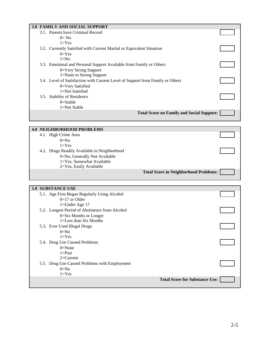| <b>3.0 FAMILY AND SOCIAL SUPPORT</b>                                           |  |
|--------------------------------------------------------------------------------|--|
| 3.1. Parents have Criminal Record                                              |  |
| $0=$ No                                                                        |  |
| $1 = Yes$                                                                      |  |
| 3.2. Currently Satisfied with Current Marital or Equivalent Situation          |  |
| $0=Yes$                                                                        |  |
| $1 = No$                                                                       |  |
| 3.3. Emotional and Personal Support Available from Family or Others            |  |
| $0 = V$ ery Strong Support                                                     |  |
| 1=None to Strong Support                                                       |  |
| 3.4. Level of Satisfaction with Current Level of Support from Family or Others |  |
| 0=Very Satisfied                                                               |  |
| 1=Not Satisfied                                                                |  |
| 3.5. Stability of Residence                                                    |  |
| $0 =$ Stable                                                                   |  |
| 1=Not Stable                                                                   |  |
| <b>Total Score on Family and Social Support:</b>                               |  |
|                                                                                |  |
|                                                                                |  |

| <b>4.0 NEIGHBORHOOD PROBLEMS</b>             |                                              |
|----------------------------------------------|----------------------------------------------|
| 4.1. High Crime Area                         |                                              |
| $0=No$                                       |                                              |
| $1 = Yes$                                    |                                              |
| 4.2. Drugs Readily Available in Neighborhood |                                              |
| 0=No, Generally Not Available                |                                              |
| 1=Yes, Somewhat Available                    |                                              |
| 2=Yes, Easily Available                      |                                              |
|                                              | <b>Total Score in Neighborhood Problems:</b> |

### **5.0 SUBSTANCE USE**

|  | 5.1. Age First Began Regularly Using Alcohol<br>$0=17$ or Older              |                                       |  |
|--|------------------------------------------------------------------------------|---------------------------------------|--|
|  | 1=Under Age $17$                                                             |                                       |  |
|  | 5.2. Longest Period of Abstinence from Alcohol<br>$0 = Six$ Months or Longer |                                       |  |
|  | 1=Less than Six Months                                                       |                                       |  |
|  | 5.3. Ever Used Illegal Drugs                                                 |                                       |  |
|  | $0=No$<br>$1 = Yes$                                                          |                                       |  |
|  | 5.4. Drug Use Caused Problems                                                |                                       |  |
|  | $0=$ None<br>$1 =$ Past                                                      |                                       |  |
|  | $2=Current$                                                                  |                                       |  |
|  | 5.5. Drug Use Caused Problems with Employment                                |                                       |  |
|  | $0=No$                                                                       |                                       |  |
|  | $1 = Yes$                                                                    |                                       |  |
|  |                                                                              | <b>Total Score for Substance Use:</b> |  |
|  |                                                                              |                                       |  |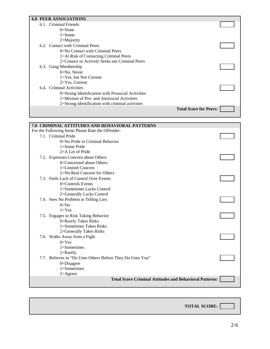| <b>6.0 PEER ASSOCIATIONS</b>                      |                               |
|---------------------------------------------------|-------------------------------|
| 6.1. Criminal Friends                             |                               |
| $0=$ None                                         |                               |
| $1=$ Some                                         |                               |
| $2=$ Majority                                     |                               |
| 6.2. Contact with Criminal Peers                  |                               |
| $0=$ No Contact with Criminal Peers               |                               |
| 1=At Risk of Contacting Criminal Peers            |                               |
| 2=Contact or Actively Seeks out Criminal Peers    |                               |
| 6.3. Gang Membership                              |                               |
| $0 = No$ , Never                                  |                               |
| $1 = Yes$ , but Not Current                       |                               |
| $2 = Yes$ , Current                               |                               |
| 6.4. Criminal Activities                          |                               |
| 0=Strong Identification with Prosocial Activities |                               |
| 1=Mixture of Pro- and Antisocial Activities       |                               |
| 2=Strong identification with criminal activities  |                               |
|                                                   | <b>Total Score for Peers:</b> |
|                                                   |                               |

| <b>7.0 CRIMINAL ATTITUDES AND BEHAVIORAL PATTERNS</b>          |  |
|----------------------------------------------------------------|--|
| For the Following Items Please Rate the Offender:              |  |
| 7.1. Criminal Pride                                            |  |
| $0=$ No Pride in Criminal Behavior                             |  |
| $1 = Some$ Pride                                               |  |
| $2=$ A Lot of Pride                                            |  |
| 7.2. Expresses Concern about Others                            |  |
| 0=Concerned about Others                                       |  |
| 1=Limited Concern                                              |  |
| 2=No Real Concern for Others                                   |  |
| 7.3. Feels Lack of Control Over Events                         |  |
| $0 =$ Controls Events                                          |  |
| 1=Sometimes Lacks Control                                      |  |
| 2=Generally Lacks Control                                      |  |
| 7.4. Sees No Problem in Telling Lies                           |  |
| $0=No$                                                         |  |
| $1 = Yes$                                                      |  |
| 7.5. Engages in Risk Taking Behavior                           |  |
| 0=Rarely Takes Risks                                           |  |
| 1=Sometimes Takes Risks                                        |  |
| 2=Generally Takes Risks                                        |  |
| 7.6. Walks Away from a Fight                                   |  |
| $0=Yes$                                                        |  |
| $1 =$ Sometimes                                                |  |
| $2=$ Rarely                                                    |  |
| 7.7. Believes in "Do Unto Others Before They Do Unto You"      |  |
| $0 = Disagree$                                                 |  |
| $1 =$ Sometimes                                                |  |
| $2=Agrees$                                                     |  |
| <b>Total Score Criminal Attitudes and Behavioral Patterns:</b> |  |

**TOTAL SCORE:**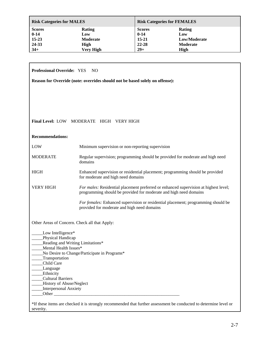| <b>Risk Categories for MALES</b> |                 |               | <b>Risk Categories for FEMALES</b> |  |  |
|----------------------------------|-----------------|---------------|------------------------------------|--|--|
| <b>Scores</b>                    | Rating          | <b>Scores</b> | Rating                             |  |  |
| $0 - 14$                         | Low             | $0 - 14$      | Low                                |  |  |
| $15-23$                          | <b>Moderate</b> | $15 - 21$     | Low/Moderate                       |  |  |
| 24-33                            | High            | $22 - 28$     | <b>Moderate</b>                    |  |  |
| $34+$                            | Very High       | $29+$         | High                               |  |  |

| Professional Override: YES NO                                                |                                                                                                                                                           |  |  |  |  |
|------------------------------------------------------------------------------|-----------------------------------------------------------------------------------------------------------------------------------------------------------|--|--|--|--|
| Reason for Override (note: overrides should not be based solely on offense): |                                                                                                                                                           |  |  |  |  |
|                                                                              |                                                                                                                                                           |  |  |  |  |
|                                                                              |                                                                                                                                                           |  |  |  |  |
|                                                                              |                                                                                                                                                           |  |  |  |  |
|                                                                              |                                                                                                                                                           |  |  |  |  |
|                                                                              | Final Level: LOW MODERATE HIGH VERY HIGH                                                                                                                  |  |  |  |  |
|                                                                              |                                                                                                                                                           |  |  |  |  |
| <b>Recommendations:</b>                                                      |                                                                                                                                                           |  |  |  |  |
| LOW                                                                          | Minimum supervision or non-reporting supervision                                                                                                          |  |  |  |  |
| <b>MODERATE</b>                                                              | Regular supervision; programming should be provided for moderate and high need<br>domains                                                                 |  |  |  |  |
| <b>HIGH</b>                                                                  | Enhanced supervision or residential placement; programming should be provided<br>for moderate and high need domains                                       |  |  |  |  |
| <b>VERY HIGH</b>                                                             | For males: Residential placement preferred or enhanced supervision at highest level;<br>programming should be provided for moderate and high need domains |  |  |  |  |
|                                                                              | For females: Enhanced supervision or residential placement; programming should be<br>provided for moderate and high need domains                          |  |  |  |  |
| Other Areas of Concern. Check all that Apply:                                |                                                                                                                                                           |  |  |  |  |
| Low Intelligence*                                                            |                                                                                                                                                           |  |  |  |  |
| Physical Handicap<br>Reading and Writing Limitations*                        |                                                                                                                                                           |  |  |  |  |
| Mental Health Issues*                                                        |                                                                                                                                                           |  |  |  |  |
| No Desire to Change/Participate in Programs*                                 |                                                                                                                                                           |  |  |  |  |
| Transportation<br>Child Care                                                 |                                                                                                                                                           |  |  |  |  |
| Language                                                                     |                                                                                                                                                           |  |  |  |  |
| Ethnicity                                                                    |                                                                                                                                                           |  |  |  |  |
| <b>Cultural Barriers</b><br>History of Abuse/Neglect                         |                                                                                                                                                           |  |  |  |  |
| Interpersonal Anxiety                                                        |                                                                                                                                                           |  |  |  |  |
|                                                                              |                                                                                                                                                           |  |  |  |  |
|                                                                              | *If these items are checked it is strongly recommended that further assessment be conducted to determine level or                                         |  |  |  |  |
| severity.                                                                    |                                                                                                                                                           |  |  |  |  |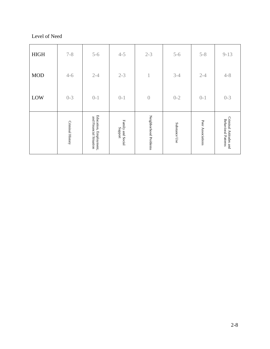### Level of Need

|             | Criminal History | Education, Employment,<br>and Financial Situation | Family and Social<br>Support | Neighborhood Problems | Substance Use | Peer Associations | Criminal Attitudes and<br><b>Behavioral Patterns</b> |
|-------------|------------------|---------------------------------------------------|------------------------------|-----------------------|---------------|-------------------|------------------------------------------------------|
| LOW         | $0 - 3$          | $0 - 1$                                           | $0 - 1$                      | $\sqrt{a}$            | $0 - 2$       | $0 - 1$           | $0 - 3$                                              |
| <b>MOD</b>  | $4 - 6$          | $2 - 4$                                           | $2 - 3$                      | $\mathbf 1$           | $3 - 4$       | $2 - 4$           | $4 - 8$                                              |
| <b>HIGH</b> | $7 - 8$          | $5 - 6$                                           | $4 - 5$                      | $2 - 3$               | $5 - 6$       | $5 - 8$           | $9 - 13$                                             |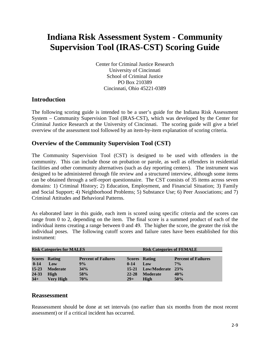# **Indiana Risk Assessment System - Community Supervision Tool (IRAS-CST) Scoring Guide**

Center for Criminal Justice Research University of Cincinnati School of Criminal Justice PO Box 210389 Cincinnati, Ohio 45221-0389

### **Introduction**

The following scoring guide is intended to be a user's guide for the Indiana Risk Assessment System – Community Supervision Tool (IRAS-CST), which was developed by the Center for Criminal Justice Research at the University of Cincinnati. The scoring guide will give a brief overview of the assessment tool followed by an item-by-item explanation of scoring criteria.

### **Overview of the Community Supervision Tool (CST)**

The Community Supervision Tool (CST) is designed to be used with offenders in the community. This can include those on probation or parole, as well as offenders in residential facilities and other community alternatives (such as day reporting centers). The instrument was designed to be administered through file review and a structured interview, although some items can be obtained through a self-report questionnaire. The CST consists of 35 items across seven domains: 1) Criminal History; 2) Education, Employment, and Financial Situation; 3) Family and Social Support; 4) Neighborhood Problems; 5) Substance Use; 6) Peer Associations; and 7) Criminal Attitudes and Behavioral Patterns.

As elaborated later in this guide, each item is scored using specific criteria and the scores can range from 0 to 2, depending on the item. The final score is a summed product of each of the individual items creating a range between 0 and 49. The higher the score, the greater the risk the individual poses. The following cutoff scores and failure rates have been established for this instrument:

| <b>Risk Categories for MALES</b> |                      |                            |           | <b>Risk Categories of FEMALE</b> |                            |  |
|----------------------------------|----------------------|----------------------------|-----------|----------------------------------|----------------------------|--|
|                                  |                      |                            |           |                                  |                            |  |
|                                  | <b>Scores Rating</b> | <b>Percent of Failures</b> |           | <b>Scores</b> Rating             | <b>Percent of Failures</b> |  |
| $0 - 14$                         | Low                  | 9%                         | $0-14$    | Low                              | $7\%$                      |  |
| $15 - 23$                        | <b>Moderate</b>      | 34%                        | $15 - 21$ | Low/Moderate 23%                 |                            |  |
| 24-33                            | High                 | 58%                        | 22-28     | <b>Moderate</b>                  | 40%                        |  |
| $34+$                            | <b>Very High</b>     | 70%                        | $29+$     | High                             | 50%                        |  |

### **Reassessment**

Reassessment should be done at set intervals (no earlier than six months from the most recent assessment) or if a critical incident has occurred.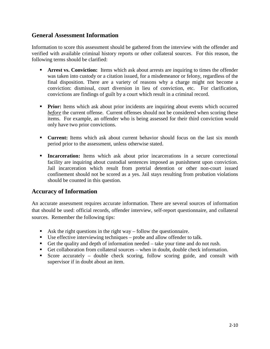### **General Assessment Information**

Information to score this assessment should be gathered from the interview with the offender and verified with available criminal history reports or other collateral sources. For this reason, the following terms should be clarified:

- **Arrest vs. Conviction:** Items which ask about arrests are inquiring to times the offender was taken into custody or a citation issued, for a misdemeanor or felony, regardless of the final disposition. There are a variety of reasons why a charge might not become a conviction: dismissal, court diversion in lieu of conviction, etc. For clarification, convictions are findings of guilt by a court which result in a criminal record.
- **Prior:** Items which ask about prior incidents are inquiring about events which occurred *before* the current offense. Current offenses should not be considered when scoring these items. For example, an offender who is being assessed for their third conviction would only have two prior convictions.
- **Current:** Items which ask about current behavior should focus on the last six month period prior to the assessment, unless otherwise stated.
- **Incarceration:** Items which ask about prior incarcerations in a secure correctional facility are inquiring about custodial sentences imposed as punishment upon conviction. Jail incarceration which result from pretrial detention or other non-court issued confinement should not be scored as a yes. Jail stays resulting from probation violations should be counted in this question.

### **Accuracy of Information**

An accurate assessment requires accurate information. There are several sources of information that should be used: official records, offender interview, self-report questionnaire, and collateral sources. Remember the following tips:

- Ask the right questions in the right way follow the questionnaire.
- Use effective interviewing techniques probe and allow offender to talk.
- Get the quality and depth of information needed take your time and do not rush.
- Get collaboration from collateral sources when in doubt, double check information.
- Score accurately double check scoring, follow scoring guide, and consult with supervisor if in doubt about an item.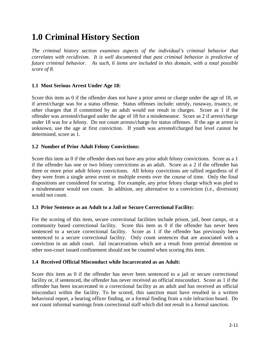# **1.0 Criminal History Section**

*The criminal history section examines aspects of the individual's criminal behavior that correlates with recidivism. It is well documented that past criminal behavior is predictive of future criminal behavior. As such, 6 items are included in this domain, with a total possible score of 8.* 

### **1.1 Most Serious Arrest Under Age 18:**

Score this item as 0 if the offender does not have a prior arrest or charge under the age of 18, or if arrest/charge was for a status offense. Status offenses include: unruly, runaway, truancy, or other charges that if committed by an adult would not result in charges. Score as 1 if the offender was arrested/charged under the age of 18 for a misdemeanor. Score as 2 if arrest/charge under 18 was for a felony. Do not count arrests/charge for status offenses. If the age at arrest is unknown, use the age at first conviction. If youth was arrested/charged but level cannot be determined, score as 1.

### **1.2 Number of Prior Adult Felony Convictions:**

Score this item as 0 if the offender does not have any prior adult felony convictions. Score as a 1 if the offender has one or two felony convictions as an adult. Score as a 2 if the offender has three or more prior adult felony convictions. All felony convictions are tallied regardless of if they were from a single arrest event or multiple events over the course of time. Only the final dispositions are considered for scoring. For example, any prior felony charge which was pled to a misdemeanor would not count. In addition, any alternative to a conviction (i.e., diversion) would not count.

### **1.3 Prior Sentence as an Adult to a Jail or Secure Correctional Facility:**

For the scoring of this item, secure correctional facilities include prison, jail, boot camps, or a community based correctional facility. Score this item as 0 if the offender has never been sentenced to a secure correctional facility. Score as 1 if the offender has previously been sentenced to a secure correctional facility. Only count sentences that are associated with a conviction in an adult court. Jail incarcerations which are a result from pretrial detention or other non-court issued confinement should not be counted when scoring this item.

### **1.4 Received Official Misconduct while Incarcerated as an Adult:**

Score this item as 0 if the offender has never been sentenced to a jail or secure correctional facility or, if sentenced, the offender has never received an official misconduct. Score as 1 if the offender has been incarcerated in a correctional facility as an adult and has received an official misconduct within the facility. To be scored, this sanction must have resulted in a written behavioral report, a hearing officer finding, or a formal finding from a rule infraction board. Do not count informal warnings from correctional staff which did not result in a formal sanction.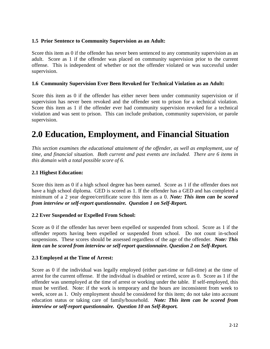### **1.5 Prior Sentence to Community Supervision as an Adult:**

Score this item as 0 if the offender has never been sentenced to any community supervision as an adult. Score as 1 if the offender was placed on community supervision prior to the current offense. This is independent of whether or not the offender violated or was successful under supervision.

### **1.6 Community Supervision Ever Been Revoked for Technical Violation as an Adult:**

Score this item as 0 if the offender has either never been under community supervision or if supervision has never been revoked and the offender sent to prison for a technical violation. Score this item as 1 if the offender ever had community supervision revoked for a technical violation and was sent to prison. This can include probation, community supervision, or parole supervision.

# **2.0 Education, Employment, and Financial Situation**

*This section examines the educational attainment of the offender, as well as employment, use of time, and financial situation. Both current and past events are included. There are 6 items in this domain with a total possible score of 6.* 

### **2.1 Highest Education:**

Score this item as 0 if a high school degree has been earned. Score as 1 if the offender does not have a high school diploma. GED is scored as 1. If the offender has a GED and has completed a minimum of a 2 year degree/certificate score this item as a 0. *Note: This item can be scored from interview or self-report questionnaire. Question 1 on Self-Report.* 

### **2.2 Ever Suspended or Expelled From School:**

Score as 0 if the offender has never been expelled or suspended from school. Score as 1 if the offender reports having been expelled or suspended from school. Do not count in-school suspensions. These scores should be assessed regardless of the age of the offender. *Note: This item can be scored from interview or self-report questionnaire. Question 2 on Self-Report.* 

### **2.3 Employed at the Time of Arrest:**

Score as 0 if the individual was legally employed (either part-time or full-time) at the time of arrest for the current offense. If the individual is disabled or retired, score as 0. Score as 1 if the offender was unemployed at the time of arrest or working under the table. If self-employed, this must be verified. Note: if the work is temporary and the hours are inconsistent from week to week, score as 1. Only employment should be considered for this item; do not take into account education status or taking care of family/household. *Note: This item can be scored from interview or self-report questionnaire. Question 10 on Self-Report.*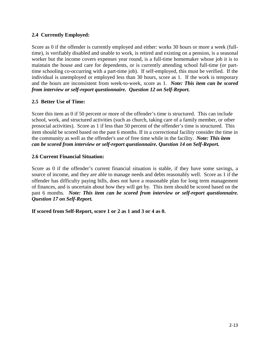### **2.4 Currently Employed:**

Score as 0 if the offender is currently employed and either: works 30 hours or more a week (fulltime), is verifiably disabled and unable to work, is retired and existing on a pension, is a seasonal worker but the income covers expenses year round, is a full-time homemaker whose job it is to maintain the house and care for dependents, or is currently attending school full-time (or parttime schooling co-occurring with a part-time job). If self-employed, this must be verified. If the individual is unemployed or employed less than 30 hours, score as 1. If the work is temporary and the hours are inconsistent from week-to-week, score as 1. *Note: This item can be scored from interview or self-report questionnaire. Question 12 on Self-Report.* 

### **2.5 Better Use of Time:**

Score this item as 0 if 50 percent or more of the offender's time is structured. This can include school, work, and structured activities (such as church, taking care of a family member, or other prosocial activities). Score as 1 if less than 50 percent of the offender's time is structured. This item should be scored based on the past 6 months. If in a correctional facility consider the time in the community as well as the offender's use of free time while in the facility. *Note: This item can be scored from interview or self-report questionnaire. Question 14 on Self-Report.* 

### **2.6 Current Financial Situation:**

Score as 0 if the offender's current financial situation is stable, if they have some savings, a source of income, and they are able to manage needs and debts reasonably well. Score as 1 if the offender has difficulty paying bills, does not have a reasonable plan for long term management of finances, and is uncertain about how they will get by. This item should be scored based on the past 6 months. *Note: This item can be scored from interview or self-report questionnaire. Question 17 on Self-Report.* 

**If scored from Self-Report, score 1 or 2 as 1 and 3 or 4 as 0.**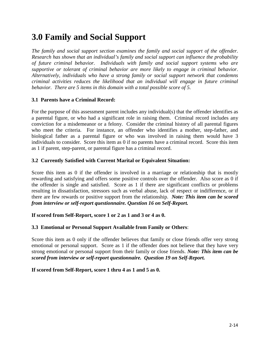# **3.0 Family and Social Support**

*The family and social support section examines the family and social support of the offender. Research has shown that an individual's family and social support can influence the probability of future criminal behavior. Individuals with family and social support systems who are supportive or tolerant of criminal behavior are more likely to engage in criminal behavior. Alternatively, individuals who have a strong family or social support network that condemns criminal activities reduces the likelihood that an individual will engage in future criminal behavior. There are 5 items in this domain with a total possible score of 5.* 

### **3.1 Parents have a Criminal Record:**

For the purpose of this assessment parent includes any individual(s) that the offender identifies as a parental figure, or who had a significant role in raising them. Criminal record includes any conviction for a misdemeanor or a felony. Consider the criminal history of all parental figures who meet the criteria. For instance, an offender who identifies a mother, step-father, and biological father as a parental figure or who was involved in raising them would have 3 individuals to consider. Score this item as 0 if no parents have a criminal record. Score this item as 1 if parent, step-parent, or parental figure has a criminal record.

### **3.2 Currently Satisfied with Current Marital or Equivalent Situation:**

Score this item as 0 if the offender is involved in a marriage or relationship that is mostly rewarding and satisfying and offers some positive controls over the offender. Also score as 0 if the offender is single and satisfied. Score as 1 if there are significant conflicts or problems resulting in dissatisfaction, stressors such as verbal abuse, lack of respect or indifference, or if there are few rewards or positive support from the relationship. *Note: This item can be scored from interview or self-report questionnaire. Question 16 on Self-Report.* 

### **If scored from Self-Report, score 1 or 2 as 1 and 3 or 4 as 0.**

### **3.3 Emotional or Personal Support Available from Family or Others**:

Score this item as 0 only if the offender believes that family or close friends offer very strong emotional or personal support. Score as 1 if the offender does not believe that they have very strong emotional or personal support from their family or close friends. *Note: This item can be scored from interview or self-report questionnaire. Question 19 on Self-Report.* 

**If scored from Self-Report, score 1 thru 4 as 1 and 5 as 0.**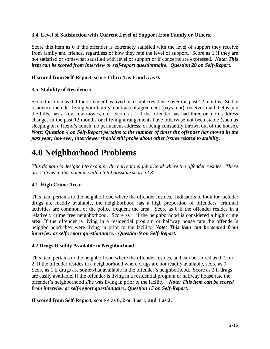### **3.4 Level of Satisfaction with Current Level of Support from Family or Others.**

Score this item as 0 if the offender is extremely satisfied with the level of support they receive from family and friends, regardless of how they rate the level of support. Score as 1 if they are not satisfied or somewhat satisfied with level of support or if concerns are expressed**.** *Note: This item can be scored from interview or self-report questionnaire. Question 20 on Self-Report.* 

### **If scored from Self-Report, score 1 thru 4 as 1 and 5 as 0.**

### **3.5 Stability of Residence:**

Score this item as 0 if the offender has lived in a stable residence over the past 12 months. Stable residence includes living with family, contractual agreement (pays rent), receives mail, helps pay the bills, has a key, few moves, etc. Score as 1 if the offender has had three or more address changes in the past 12 months or if living arrangements have otherwise not been stable (such as sleeping on a friend's couch, no permanent address, or being constantly thrown out of the house). *Note: Question 4 on Self-Report pertains to the number of times the offender has moved in the past year; however, interviewer should still probe about other issues related to stability.*

# **4.0 Neighborhood Problems**

*This domain is designed to examine the current neighborhood where the offender resides. There are 2 items in this domain with a total possible score of 3*.

### **4.1 High Crime Area:**

This item pertains to the neighborhood where the offender resides. Indicators to look for include: drugs are readily available, the neighborhood has a high proportion of offenders, criminal activities are common, or the police frequent the area. Score as 0 if the offender resides in a relatively crime free neighborhood. Score as 1 if the neighborhood is considered a high crime area. If the offender is living in a residential program or halfway house rate the offender's neighborhood they were living in prior to the facility. *Note: This item can be scored from interview or self-report questionnaire. Question 9 on Self-Report.* 

### **4.2 Drugs Readily Available in Neighborhood:**

This item pertains to the neighborhood where the offender resides, and can be scored as 0, 1, or 2. If the offender resides in a neighborhood where drugs are not readily available, score as 0. Score as 1 if drugs are somewhat available in the offender's neighborhood. Score as 2 if drugs are easily available. If the offender is living in a residential program or halfway house rate the offender's neighborhood s/he was living in prior to the facility. *Note: This item can be scored from interview or self-report questionnaire. Question 15 on Self-Report.* 

### **If scored from Self-Report, score 4 as 0, 2 or 3 as 1, and 1 as 2.**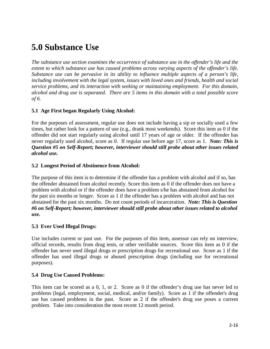# **5.0 Substance Use**

*The substance use section examines the occurrence of substance use in the offender's life and the extent to which substance use has caused problems across varying aspects of the offender's life. Substance use can be pervasive in its ability to influence multiple aspects of a person's life, including involvement with the legal system, issues with loved ones and friends, health and social service problems, and its interaction with seeking or maintaining employment. For this domain, alcohol and drug use is separated. There are 5 items in this domain with a total possible score of 6.* 

### **5.1 Age First began Regularly Using Alcohol:**

For the purposes of assessment, regular use does not include having a sip or socially used a few times, but rather look for a pattern of use (e.g., drank most weekends). Score this item as 0 if the offender did not start regularly using alcohol until 17 years of age or older. If the offender has never regularly used alcohol, score as 0. If regular use before age 17, score as 1. *Note: This is Question #5 on Self-Report; however, interviewer should still probe about other issues related alcohol use.*

### **5.2 Longest Period of Abstinence from Alcohol:**

The purpose of this item is to determine if the offender has a problem with alcohol and if so, has the offender abstained from alcohol recently. Score this item as 0 if the offender does not have a problem with alcohol or if the offender does have a problem s/he has abstained from alcohol for the past six months or longer. Score as 1 if the offender has a problem with alcohol and has not abstained for the past six months. Do not count periods of incarceration. *Note: This is Question #6 on Self-Report; however, interviewer should still probe about other issues related to alcohol use.*

### **5.3 Ever Used Illegal Drugs:**

Use includes current or past use. For the purposes of this item, assessor can rely on interview, official records, results from drug tests, or other verifiable sources. Score this item as 0 if the offender has never used illegal drugs or prescription drugs for recreational use. Score as 1 if the offender has used illegal drugs or abused prescription drugs (including use for recreational purposes).

### **5.4 Drug Use Caused Problems:**

This item can be scored as a 0, 1, or 2. Score as 0 if the offender's drug use has never led to problems (legal, employment, social, medical, and/or family). Score as 1 if the offender's drug use has caused problems in the past. Score as 2 if the offender's drug use poses a current problem. Take into consideration the most recent 12 month period.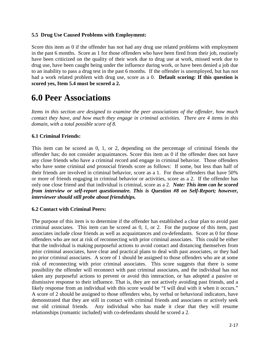### **5.5 Drug Use Caused Problems with Employment:**

Score this item as 0 if the offender has not had any drug use related problems with employment in the past 6 months. Score as 1 for those offenders who have been fired from their job, routinely have been criticized on the quality of their work due to drug use at work, missed work due to drug use, have been caught being under the influence during work, or have been denied a job due to an inability to pass a drug test in the past 6 months. If the offender is unemployed, but has not had a work related problem with drug use, score as a 0. **Default scoring: If this question is scored yes, Item 5.4 must be scored a 2.**

# **6.0 Peer Associations**

*Items in this section are designed to examine the peer associations of the offender, how much contact they have, and how much they engage in criminal activities. There are 4 items in this domain, with a total possible score of 8.* 

### **6.1 Criminal Friends:**

This item can be scored as 0, 1, or 2, depending on the percentage of criminal friends the offender has; do not consider acquaintances. Score this item as 0 if the offender does not have any close friends who have a criminal record and engage in criminal behavior. Those offenders who have some criminal *and* prosocial friends score as follows: If some, but less than half of their friends are involved in criminal behavior, score as a 1. For those offenders that have 50% or more of friends engaging in criminal behavior or activities, score as a 2. If the offender has only one close friend and that individual is criminal, score as a 2. *Note: This item can be scored from interview or self-report questionnaire. This is Question #8 on Self-Report; however, interviewer should still probe about friendships.*

### **6.2 Contact with Criminal Peers:**

The purpose of this item is to determine if the offender has established a clear plan to avoid past criminal associates. This item can be scored as 0, 1, or 2. For the purpose of this item, past associates include close friends as well as acquaintances and co-defendants. Score as 0 for those offenders who are not at risk of reconnecting with prior criminal associates. This could be either that the individual is making purposeful actions to avoid contact and distancing themselves from prior criminal associates, have clear and practical plans to deal with past associates, or they had no prior criminal associates.A score of 1 should be assigned to those offenders who are at some risk of reconnecting with prior criminal associates. This score suggests that there is some possibility the offender will reconnect with past criminal associates, and the individual has not taken any purposeful actions to prevent or avoid this interaction, or has adopted a passive or dismissive response to their influence. That is, they are not actively avoiding past friends, and a likely response from an individual with this score would be "I will deal with it when it occurs." A score of 2 should be assigned to those offenders who, by verbal or behavioral indicators, have demonstrated that they are still in contact with criminal friends and associates or actively seek out old criminal friends. Any individual who has made it clear that they will resume relationships (romantic included) with co-defendants should be scored a 2.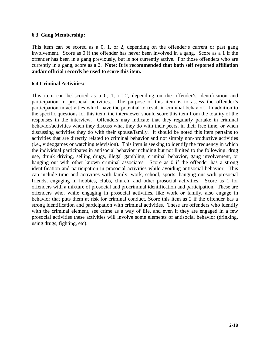## **6.3 Gang Membership:**

This item can be scored as a 0, 1, or 2, depending on the offender's current or past gang involvement. Score as 0 if the offender has never been involved in a gang. Score as a 1 if the offender has been in a gang previously, but is not currently active. For those offenders who are currently in a gang, score as a 2. **Note: It is recommended that both self reported affiliation and/or official records be used to score this item.** 

## **6.4 Criminal Activities:**

This item can be scored as a 0, 1, or 2, depending on the offender's identification and participation in prosocial activities. The purpose of this item is to assess the offender's participation in activities which have the potential to result in criminal behavior. In addition to the specific questions for this item, the interviewer should score this item from the totality of the responses in the interview. Offenders may indicate that they regularly partake in criminal behavior/activities when they discuss what they do with their peers, in their free time, or when discussing activities they do with their spouse/family. It should be noted this item pertains to activities that are directly related to criminal behavior and not simply non-productive activities (i.e., videogames or watching television). This item is seeking to identify the frequency in which the individual participates in antisocial behavior including but not limited to the following: drug use, drunk driving, selling drugs, illegal gambling, criminal behavior, gang involvement, or hanging out with other known criminal associates. Score as 0 if the offender has a strong identification and participation in prosocial activities while avoiding antisocial behavior. This can include time and activities with family, work, school, sports, hanging out with prosocial friends, engaging in hobbies, clubs, church, and other prosocial activities. Score as 1 for offenders with a mixture of prosocial and procriminal identification and participation. These are offenders who, while engaging in prosocial activities, like work or family, also engage in behavior that puts them at risk for criminal conduct. Score this item as 2 if the offender has a strong identification and participation with criminal activities. These are offenders who identify with the criminal element, see crime as a way of life, and even if they are engaged in a few prosocial activities these activities will involve some elements of antisocial behavior (drinking, using drugs, fighting, etc).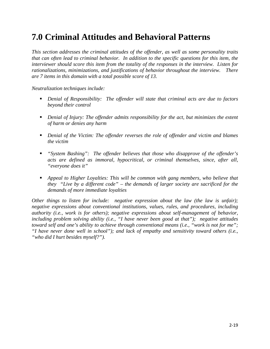# **7.0 Criminal Attitudes and Behavioral Patterns**

*This section addresses the criminal attitudes of the offender, as well as some personality traits that can often lead to criminal behavior. In addition to the specific questions for this item, the interviewer should score this item from the totality of the responses in the interview. Listen for rationalizations, minimizations, and justifications of behavior throughout the interview. There are 7 items in this domain with a total possible score of 13.* 

*Neutralization techniques include:* 

- **•** Denial of Responsibility: The offender will state that criminal acts are due to factors *beyond their control*
- *Denial of Injury: The offender admits responsibility for the act, but minimizes the extent of harm or denies any harm*
- *Denial of the Victim: The offender reverses the role of offender and victim and blames the victim*
- *"System Bashing": The offender believes that those who disapprove of the offender's acts are defined as immoral, hypocritical, or criminal themselves, since, after all, "everyone does it"*
- *Appeal to Higher Loyalties: This will be common with gang members, who believe that they "Live by a different code" – the demands of larger society are sacrificed for the demands of more immediate loyalties*

*Other things to listen for include: negative expression about the law (the law is unfair); negative expressions about conventional institutions, values, rules, and procedures, including authority (i.e., work is for others); negative expressions about self-management of behavior, including problem solving ability (i.e., "I have never been good at that"); negative attitudes toward self and one's ability to achieve through conventional means (i.e., "work is not for me"; "I have never done well in school"); and lack of empathy and sensitivity toward others (i.e., "who did I hurt besides myself?").*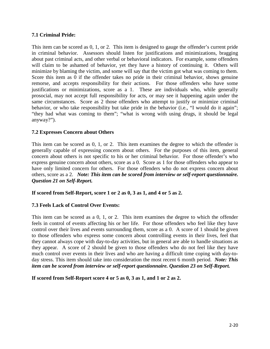# **7.1 Criminal Pride:**

This item can be scored as 0, 1, or 2. This item is designed to gauge the offender's current pride in criminal behavior. Assessors should listen for justifications and minimizations, bragging about past criminal acts, and other verbal or behavioral indicators. For example, some offenders will claim to be ashamed of behavior, yet they have a history of continuing it. Others will minimize by blaming the victim, and some will say that the victim got what was coming to them. Score this item as 0 if the offender takes no pride in their criminal behavior, shows genuine remorse, and accepts responsibility for their actions. For those offenders who have some justifications or minimizations, score as a 1. These are individuals who, while generally prosocial, may not accept full responsibility for acts, or may see it happening again under the same circumstances. Score as 2 those offenders who attempt to justify or minimize criminal behavior, or who take responsibility but take pride in the behavior (i.e., "I would do it again"; "they had what was coming to them"; "what is wrong with using drugs, it should be legal anyway?").

## **7.2 Expresses Concern about Others**

This item can be scored as 0, 1, or 2. This item examines the degree to which the offender is generally capable of expressing concern about others. For the purposes of this item, general concern about others is not specific to his or her criminal behavior. For those offender's who express genuine concern about others, score as a 0. Score as 1 for those offenders who appear to have only limited concern for others. For those offenders who do not express concern about others, score as a 2. *Note: This item can be scored from interview or self-report questionnaire. Question 21 on Self-Report.*

#### **If scored from Self-Report, score 1 or 2 as 0, 3 as 1, and 4 or 5 as 2.**

#### **7.3 Feels Lack of Control Over Events:**

This item can be scored as a 0, 1, or 2. This item examines the degree to which the offender feels in control of events affecting his or her life. For those offenders who feel like they have control over their lives and events surrounding them, score as a 0. A score of 1 should be given to those offenders who express some concern about controlling events in their lives, feel that they cannot always cope with day-to-day activities, but in general are able to handle situations as they appear. A score of 2 should be given to those offenders who do not feel like they have much control over events in their lives and who are having a difficult time coping with day-today stress. This item should take into consideration the most recent 6 month period. *Note: This item can be scored from interview or self-report questionnaire. Question 23 on Self-Report.* 

**If scored from Self-Report score 4 or 5 as 0, 3 as 1, and 1 or 2 as 2.**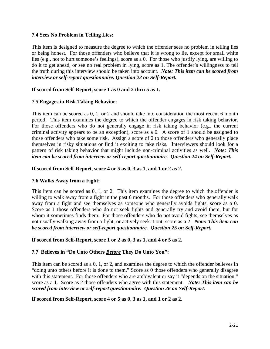## **7.4 Sees No Problem in Telling Lies:**

This item is designed to measure the degree to which the offender sees no problem in telling lies or being honest. For those offenders who believe that it is wrong to lie, except for small white lies (e.g., not to hurt someone's feelings), score as a 0. For those who justify lying, are willing to do it to get ahead, or see no real problem in lying, score as 1. The offender's willingness to tell the truth during this interview should be taken into account. *Note: This item can be scored from interview or self-report questionnaire. Question 22 on Self-Report.* 

## **If scored from Self-Report, score 1 as 0 and 2 thru 5 as 1.**

## **7.5 Engages in Risk Taking Behavior:**

This item can be scored as 0, 1, or 2 and should take into consideration the most recent 6 month period. This item examines the degree to which the offender engages in risk taking behavior. For those offenders who do not generally engage in risk taking behavior (e.g., the current criminal activity appears to be an exception), score as a 0. A score of 1 should be assigned to those offenders who take some risk. Assign a score of 2 to those offenders who generally place themselves in risky situations or find it exciting to take risks. Interviewers should look for a pattern of risk taking behavior that might include non-criminal activities as well. *Note: This item can be scored from interview or self-report questionnaire. Question 24 on Self-Report.* 

## **If scored from Self-Report, score 4 or 5 as 0, 3 as 1, and 1 or 2 as 2.**

#### **7.6 Walks Away from a Fight:**

This item can be scored as 0, 1, or 2. This item examines the degree to which the offender is willing to walk away from a fight in the past 6 months. For those offenders who generally walk away from a fight and see themselves as someone who generally avoids fights, score as a 0. Score as 1 those offenders who do not seek fights and generally try and avoid them, but for whom it sometimes finds them. For those offenders who do not avoid fights, see themselves as not usually walking away from a fight, or actively seek it out, score as a 2. *Note: This item can be scored from interview or self-report questionnaire. Question 25 on Self-Report.* 

#### **If scored from Self-Report, score 1 or 2 as 0, 3 as 1, and 4 or 5 as 2.**

# **7.7 Believes in "Do Unto Others** *Before* **They Do Unto You":**

This item can be scored as a 0, 1, or 2, and examines the degree to which the offender believes in "doing unto others before it is done to them." Score as 0 those offenders who generally disagree with this statement. For those offenders who are ambivalent or say it "depends on the situation," score as a 1. Score as 2 those offenders who agree with this statement. *Note: This item can be scored from interview or self-report questionnaire. Question 26 on Self-Report.* 

#### **If scored from Self-Report, score 4 or 5 as 0, 3 as 1, and 1 or 2 as 2.**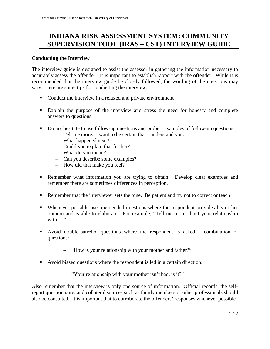# **INDIANA RISK ASSESSMENT SYSTEM: COMMUNITY SUPERVISION TOOL (IRAS – CST) INTERVIEW GUIDE**

## **Conducting the Interview**

The interview guide is designed to assist the assessor in gathering the information necessary to accurately assess the offender. It is important to establish rapport with the offender. While it is recommended that the interview guide be closely followed, the wording of the questions may vary. Here are some tips for conducting the interview:

- Conduct the interview in a relaxed and private environment
- Explain the purpose of the interview and stress the need for honesty and complete answers to questions
- Do not hesitate to use follow-up questions and probe. Examples of follow-up questions:
	- Tell me more. I want to be certain that I understand you.
	- What happened next?
	- Could you explain that further?
	- What do you mean?
	- Can you describe some examples?
	- How did that make you feel?
- Remember what information you are trying to obtain. Develop clear examples and remember there are sometimes differences in perception.
- Remember that the interviewer sets the tone. Be patient and try not to correct or teach
- Whenever possible use open-ended questions where the respondent provides his or her opinion and is able to elaborate. For example, "Tell me more about your relationship with…."
- Avoid double-barreled questions where the respondent is asked a combination of questions:
	- "How is your relationship with your mother and father?"
- Avoid biased questions where the respondent is led in a certain direction:
	- "Your relationship with your mother isn't bad, is it?"

Also remember that the interview is only one source of information. Official records, the selfreport questionnaire, and collateral sources such as family members or other professionals should also be consulted. It is important that to corroborate the offenders' responses whenever possible.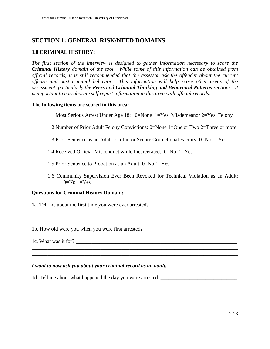# **SECTION 1: GENERAL RISK/NEED DOMAINS**

# **1.0 CRIMINAL HISTORY:**

*The first section of the interview is designed to gather information necessary to score the Criminal History domain of the tool. While some of this information can be obtained from official records, it is still recommended that the assessor ask the offender about the current offense and past criminal behavior. This information will help score other areas of the assessment, particularly the Peers and Criminal Thinking and Behavioral Patterns sections. It is important to corroborate self report information in this area with official records.* 

#### **The following items are scored in this area:**

- 1.1 Most Serious Arrest Under Age 18: 0=None 1=Yes, Misdemeanor 2=Yes, Felony
- 1.2 Number of Prior Adult Felony Convictions: 0=None 1=One or Two 2=Three or more
- 1.3 Prior Sentence as an Adult to a Jail or Secure Correctional Facility: 0=No 1=Yes
- 1.4 Received Official Misconduct while Incarcerated:  $0=N_0$  1=Yes
- 1.5 Prior Sentence to Probation as an Adult: 0=No 1=Yes
- 1.6 Community Supervision Ever Been Revoked for Technical Violation as an Adult:  $0=No 1=Yes$

\_\_\_\_\_\_\_\_\_\_\_\_\_\_\_\_\_\_\_\_\_\_\_\_\_\_\_\_\_\_\_\_\_\_\_\_\_\_\_\_\_\_\_\_\_\_\_\_\_\_\_\_\_\_\_\_\_\_\_\_\_\_\_\_\_\_\_\_\_\_\_\_\_\_\_\_\_\_

\_\_\_\_\_\_\_\_\_\_\_\_\_\_\_\_\_\_\_\_\_\_\_\_\_\_\_\_\_\_\_\_\_\_\_\_\_\_\_\_\_\_\_\_\_\_\_\_\_\_\_\_\_\_\_\_\_\_\_\_\_\_\_\_\_\_\_\_\_\_\_\_\_\_\_\_\_\_ \_\_\_\_\_\_\_\_\_\_\_\_\_\_\_\_\_\_\_\_\_\_\_\_\_\_\_\_\_\_\_\_\_\_\_\_\_\_\_\_\_\_\_\_\_\_\_\_\_\_\_\_\_\_\_\_\_\_\_\_\_\_\_\_\_\_\_\_\_\_\_\_\_\_\_\_\_\_

\_\_\_\_\_\_\_\_\_\_\_\_\_\_\_\_\_\_\_\_\_\_\_\_\_\_\_\_\_\_\_\_\_\_\_\_\_\_\_\_\_\_\_\_\_\_\_\_\_\_\_\_\_\_\_\_\_\_\_\_\_\_\_\_\_\_\_\_\_\_\_\_\_\_\_\_\_\_

\_\_\_\_\_\_\_\_\_\_\_\_\_\_\_\_\_\_\_\_\_\_\_\_\_\_\_\_\_\_\_\_\_\_\_\_\_\_\_\_\_\_\_\_\_\_\_\_\_\_\_\_\_\_\_\_\_\_\_\_\_\_\_\_\_\_\_\_\_\_\_\_\_\_\_\_\_\_

\_\_\_\_\_\_\_\_\_\_\_\_\_\_\_\_\_\_\_\_\_\_\_\_\_\_\_\_\_\_\_\_\_\_\_\_\_\_\_\_\_\_\_\_\_\_\_\_\_\_\_\_\_\_\_\_\_\_\_\_\_\_\_\_\_\_\_\_\_\_\_\_\_\_\_\_\_\_

#### **Questions for Criminal History Domain:**

1a. Tell me about the first time you were ever arrested? \_\_\_\_\_\_\_\_\_\_\_\_\_\_\_\_\_\_\_\_\_\_\_\_\_\_\_\_\_\_\_\_\_

1b. How old were you when you were first arrested? \_\_\_\_\_

1c. What was it for? \_\_\_\_\_\_\_\_\_\_\_\_\_\_\_\_\_\_\_\_\_\_\_\_\_\_\_\_\_\_\_\_\_\_\_\_\_\_\_\_\_\_\_\_\_\_\_\_\_\_\_\_\_\_\_\_\_\_\_\_\_

#### *I want to now ask you about your criminal record as an adult.*

1d. Tell me about what happened the day you were arrested.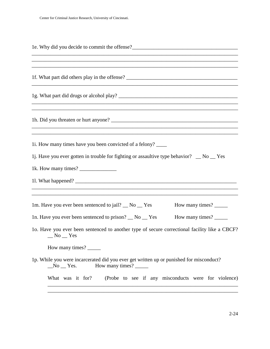| 1e. Why did you decide to commit the offense?                                                                                                                                                                                                                                                                                                                                                                         |
|-----------------------------------------------------------------------------------------------------------------------------------------------------------------------------------------------------------------------------------------------------------------------------------------------------------------------------------------------------------------------------------------------------------------------|
| 1f. What part did others play in the offense?                                                                                                                                                                                                                                                                                                                                                                         |
|                                                                                                                                                                                                                                                                                                                                                                                                                       |
| ,我们也不能在这里的时候,我们也不能在这里的时候,我们也不能会在这里的时候,我们也不能会在这里的时候,我们也不能会在这里的时候,我们也不能会在这里的时候,我们也不                                                                                                                                                                                                                                                                                                                                     |
| ,我们也不会有什么。""我们的人,我们也不会有什么?""我们的人,我们也不会有什么?""我们的人,我们也不会有什么?""我们的人,我们也不会有什么?""我们的人<br>1i. How many times have you been convicted of a felony?<br>1j. Have you ever gotten in trouble for fighting or assaultive type behavior? $\Box$ No $\Box$ Yes<br>1k. How many times?                                                                                                                                              |
| 1m. Have you ever been sentenced to jail? _ No _ Yes<br>How many times?<br>1n. Have you ever been sentenced to prison? __ No __ Yes<br>How many times?<br>1o. Have you ever been sentenced to another type of secure correctional facility like a CBCF?<br>$No$ $Yes$<br>How many times?<br>1p. While you were incarcerated did you ever get written up or punished for misconduct?<br>How many times?<br>$No$ $Yes.$ |
| What was it for?<br>(Probe to see if any misconducts were for violence)                                                                                                                                                                                                                                                                                                                                               |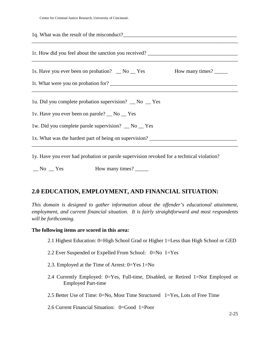| 1r. How did you feel about the sanction you received? ___________________________ |  |
|-----------------------------------------------------------------------------------|--|
| 1s. Have you ever been on probation? No Yes How many times?                       |  |
|                                                                                   |  |
| 1u. Did you complete probation supervision? _ No _ Yes                            |  |
| 1v. Have you ever been on parole? No Yes                                          |  |
| 1w. Did you complete parole supervision? _ No _ Yes                               |  |
| 1x. What was the hardest part of being on supervision?                            |  |

1y. Have you ever had probation or parole supervision revoked for a technical violation?

 $\Box$  No  $\Box$  Yes How many times?  $\Box$ 

# **2.0 EDUCATION, EMPLOYMENT, AND FINANCIAL SITUATION:**

*This domain is designed to gather information about the offender's educational attainment, employment, and current financial situation. It is fairly straightforward and most respondents will be forthcoming.* 

#### **The following items are scored in this area:**

- 2.1 Highest Education: 0=High School Grad or Higher 1=Less than High School or GED
- 2.2 Ever Suspended or Expelled From School: 0=No 1=Yes
- 2.3. Employed at the Time of Arrest: 0=Yes 1=No
- 2.4 Currently Employed: 0=Yes, Full-time, Disabled, or Retired 1=Not Employed or Employed Part-time
- 2.5 Better Use of Time: 0=No, Most Time Structured 1=Yes, Lots of Free Time
- 2.6 Current Financial Situation: 0=Good 1=Poor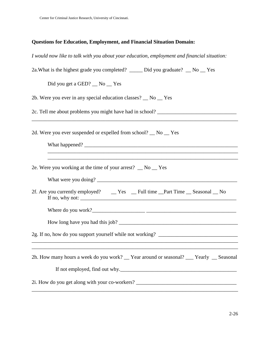# **Questions for Education, Employment, and Financial Situation Domain:**

| I would now like to talk with you about your education, employment and financial situation: |
|---------------------------------------------------------------------------------------------|
| 2a. What is the highest grade you completed? ______ Did you graduate? __ No __ Yes          |
| Did you get a GED? __ No __ Yes                                                             |
| 2b. Were you ever in any special education classes? _ No _ Yes                              |
| 2c. Tell me about problems you might have had in school? ________________________           |
| 2d. Were you ever suspended or expelled from school? _ No _ Yes                             |
|                                                                                             |
| 2e. Were you working at the time of your arrest? _ No _ Yes                                 |
|                                                                                             |
|                                                                                             |
| If no, why not: $\sqrt{\frac{2}{\pi}}$                                                      |
|                                                                                             |
|                                                                                             |
|                                                                                             |
|                                                                                             |
| 2h. How many hours a week do you work? __ Year around or seasonal? __ Yearly __ Seasonal    |
| If not employed, find out why.                                                              |
| 2i. How do you get along with your co-workers? _________________________________            |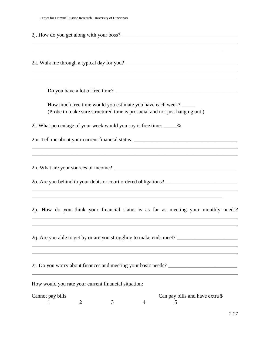Center for Criminal Justice Research, University of Cincinnati.

| 2. How do you get along with your boss?                                                                                                  |
|------------------------------------------------------------------------------------------------------------------------------------------|
| 2k. Walk me through a typical day for you?                                                                                               |
|                                                                                                                                          |
| How much free time would you estimate you have each week?<br>(Probe to make sure structured time is prosocial and not just hanging out.) |
| 21. What percentage of your week would you say is free time: _____%                                                                      |
|                                                                                                                                          |
| ,我们也不会有什么。""我们的人,我们也不会有什么?""我们的人,我们也不会有什么?""我们的人,我们的人,我们的人,我们的人,我们的人,我们的人,我们的人,我们                                                        |
| 2p. How do you think your financial status is as far as meeting your monthly needs?                                                      |
|                                                                                                                                          |
| 2q. Are you able to get by or are you struggling to make ends meet?                                                                      |
|                                                                                                                                          |
| How would you rate your current financial situation:                                                                                     |
| Cannot pay bills<br>Can pay bills and have extra \$<br>3<br>2<br>$\overline{4}$<br>C                                                     |
| $2 - 27$                                                                                                                                 |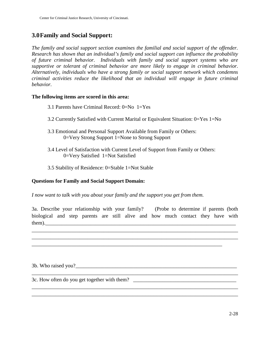# **3.0Family and Social Support:**

*The family and social support section examines the familial and social support of the offender. Research has shown that an individual's family and social support can influence the probability of future criminal behavior. Individuals with family and social support systems who are supportive or tolerant of criminal behavior are more likely to engage in criminal behavior. Alternatively, individuals who have a strong family or social support network which condemns criminal activities reduce the likelihood that an individual will engage in future criminal behavior.* 

#### **The following items are scored in this area:**

| 3.1 Parents have Criminal Record: $0=N_0$ 1=Yes |  |  |  |  |  |  |  |
|-------------------------------------------------|--|--|--|--|--|--|--|
|-------------------------------------------------|--|--|--|--|--|--|--|

- 3.2 Currently Satisfied with Current Marital or Equivalent Situation: 0=Yes 1=No
- 3.3 Emotional and Personal Support Available from Family or Others: 0=Very Strong Support 1=None to Strong Support
- 3.4 Level of Satisfaction with Current Level of Support from Family or Others: 0=Very Satisfied 1=Not Satisfied
- 3.5 Stability of Residence: 0=Stable 1=Not Stable

#### **Questions for Family and Social Support Domain:**

*I now want to talk with you about your family and the support you get from them.* 

3a. Describe your relationship with your family? (Probe to determine if parents (both biological and step parents are still alive and how much contact they have with them).\_\_\_\_\_\_\_\_\_\_\_\_\_\_\_\_\_\_\_\_\_\_\_\_\_\_\_\_\_\_\_\_\_\_\_\_\_\_\_\_\_\_\_\_\_\_\_\_\_\_\_\_\_\_\_\_\_\_\_\_\_\_\_\_\_\_\_\_\_\_\_\_

\_\_\_\_\_\_\_\_\_\_\_\_\_\_\_\_\_\_\_\_\_\_\_\_\_\_\_\_\_\_\_\_\_\_\_\_\_\_\_\_\_\_\_\_\_\_\_\_\_\_\_\_\_\_\_\_\_\_\_\_\_\_\_\_\_\_\_\_\_\_\_\_\_\_\_\_\_\_ \_\_\_\_\_\_\_\_\_\_\_\_\_\_\_\_\_\_\_\_\_\_\_\_\_\_\_\_\_\_\_\_\_\_\_\_\_\_\_\_\_\_\_\_\_\_\_\_\_\_\_\_\_\_\_\_\_\_\_\_\_\_\_\_\_\_\_\_\_\_\_\_\_\_\_\_\_\_

\_\_\_\_\_\_\_\_\_\_\_\_\_\_\_\_\_\_\_\_\_\_\_\_\_\_\_\_\_\_\_\_\_\_\_\_\_\_\_\_\_\_\_\_\_\_\_\_\_\_\_\_\_\_\_\_\_\_\_\_\_\_\_\_\_\_\_\_\_\_\_\_\_\_\_\_\_\_

\_\_\_\_\_\_\_\_\_\_\_\_\_\_\_\_\_\_\_\_\_\_\_\_\_\_\_\_\_\_\_\_\_\_\_\_\_\_\_\_\_\_\_\_\_\_\_\_\_\_\_\_\_\_\_\_\_\_\_\_\_\_\_\_\_\_\_\_\_\_\_\_\_\_\_\_\_\_ \_\_\_\_\_\_\_\_\_\_\_\_\_\_\_\_\_\_\_\_\_\_\_\_\_\_\_\_\_\_\_\_\_\_\_\_\_\_\_\_\_\_\_\_\_\_\_\_\_\_\_\_\_\_\_\_\_\_\_\_\_\_\_\_\_\_\_\_\_\_\_\_\_\_\_\_\_\_

\_\_\_\_\_\_\_\_\_\_\_\_\_\_\_\_\_\_\_\_\_\_\_\_\_\_\_\_\_\_\_\_\_\_\_\_\_\_\_\_\_\_\_\_\_\_\_\_\_\_\_\_\_\_\_\_\_\_\_\_\_\_\_\_\_\_\_\_\_\_\_\_

3b. Who raised you?\_\_\_\_\_\_\_\_\_\_\_\_\_\_\_\_\_\_\_\_\_\_\_\_\_\_\_\_\_\_\_\_\_\_\_\_\_\_\_\_\_\_\_\_\_\_\_\_\_\_\_\_\_\_\_\_\_\_\_\_\_

3c. How often do you get together with them? \_\_\_\_\_\_\_\_\_\_\_\_\_\_\_\_\_\_\_\_\_\_\_\_\_\_\_\_\_\_\_\_\_\_\_\_\_\_\_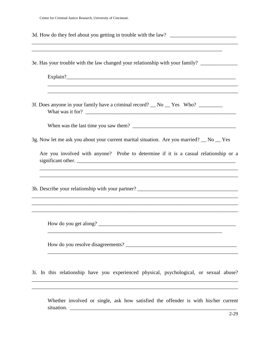Center for Criminal Justice Research, University of Cincinnati.

| ,我们也不会有什么。""我们的人,我们也不会有什么?""我们的人,我们也不会有什么?""我们的人,我们也不会有什么?""我们的人,我们也不会有什么?""我们的人                                                                                                        |
|-----------------------------------------------------------------------------------------------------------------------------------------------------------------------------------------|
| ,我们也不能在这里的时候,我们也不能在这里的时候,我们也不能会在这里的时候,我们也不能会在这里的时候,我们也不能会在这里的时候,我们也不能会在这里的时候,我们也<br>3e. Has your trouble with the law changed your relationship with your family? _____________________ |
| ,我们也不会有什么。""我们的人,我们也不会有什么?""我们的人,我们也不会有什么?""我们的人,我们也不会有什么?""我们的人,我们也不会有什么?""我们的人                                                                                                        |
| 3f. Does anyone in your family have a criminal record? _ No _ Yes Who? ________                                                                                                         |
|                                                                                                                                                                                         |
| 3g. Now let me ask you about your current marital situation. Are you married? _ No _ Yes                                                                                                |
| Are you involved with anyone? Probe to determine if it is a casual relationship or a<br>significant other.                                                                              |
| ,我们也不能在这里的时候,我们也不能在这里的时候,我们也不能会在这里的时候,我们也不能会在这里的时候,我们也不能会在这里的时候,我们也不能会在这里的时候,我们也不                                                                                                       |
|                                                                                                                                                                                         |
|                                                                                                                                                                                         |
| 3i. In this relationship have you experienced physical, psychological, or sexual abuse?                                                                                                 |

Whether involved or single, ask how satisfied the offender is with his/her current situation. \_\_\_\_\_\_\_\_\_\_\_\_\_\_\_\_\_\_\_\_\_\_\_\_\_\_\_\_\_\_\_\_\_\_\_\_\_\_\_\_\_\_\_\_\_\_\_\_\_\_\_\_\_\_\_\_\_\_\_\_\_\_\_

\_\_\_\_\_\_\_\_\_\_\_\_\_\_\_\_\_\_\_\_\_\_\_\_\_\_\_\_\_\_\_\_\_\_\_\_\_\_\_\_\_\_\_\_\_\_\_\_\_\_\_\_\_\_\_\_\_\_\_\_\_\_\_\_\_\_\_\_\_\_\_\_\_\_\_\_\_\_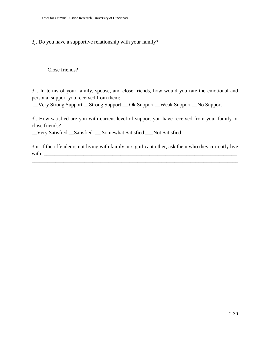3j. Do you have a supportive relationship with your family? \_\_\_\_\_\_\_\_\_\_\_\_\_\_\_\_\_\_\_\_\_

Close friends?

\_\_\_\_\_\_\_\_\_\_\_\_\_\_\_\_\_\_\_\_\_\_\_\_\_\_\_\_\_\_\_\_\_\_\_\_\_\_\_\_\_\_\_\_\_\_\_\_\_\_\_\_\_\_\_\_\_\_\_\_\_\_\_\_\_\_\_\_\_\_\_\_

\_\_\_\_\_\_\_\_\_\_\_\_\_\_\_\_\_\_\_\_\_\_\_\_\_\_\_\_\_\_\_\_\_\_\_\_\_\_\_\_\_\_\_\_\_\_\_\_\_\_\_\_\_\_\_\_\_\_\_\_\_\_\_\_\_\_\_\_\_\_\_\_\_\_\_\_\_\_ \_\_\_\_\_\_\_\_\_\_\_\_\_\_\_\_\_\_\_\_\_\_\_\_\_\_\_\_\_\_\_\_\_\_\_\_\_\_\_\_\_\_\_\_\_\_\_\_\_\_\_\_\_\_\_\_\_\_\_\_\_\_\_\_\_\_\_\_\_\_\_\_\_\_\_\_\_\_

3k. In terms of your family, spouse, and close friends, how would you rate the emotional and personal support you received from them:

\_\_Very Strong Support \_\_Strong Support \_\_ Ok Support \_\_Weak Support \_\_No Support

3l. How satisfied are you with current level of support you have received from your family or close friends?

\_\_Very Satisfied \_\_Satisfied \_\_ Somewhat Satisfied \_\_\_Not Satisfied

3m. If the offender is not living with family or significant other, ask them who they currently live  $with.$ 

\_\_\_\_\_\_\_\_\_\_\_\_\_\_\_\_\_\_\_\_\_\_\_\_\_\_\_\_\_\_\_\_\_\_\_\_\_\_\_\_\_\_\_\_\_\_\_\_\_\_\_\_\_\_\_\_\_\_\_\_\_\_\_\_\_\_\_\_\_\_\_\_\_\_\_\_\_\_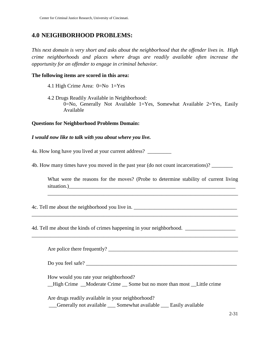# **4.0 NEIGHBORHOOD PROBLEMS:**

*This next domain is very short and asks about the neighborhood that the offender lives in. High crime neighborhoods and places where drugs are readily available often increase the opportunity for an offender to engage in criminal behavior.* 

#### **The following items are scored in this area:**

- 4.1 High Crime Area: 0=No 1=Yes
- 4.2 Drugs Readily Available in Neighborhood: 0=No, Generally Not Available 1=Yes, Somewhat Available 2=Yes, Easily Available

#### **Questions for Neighborhood Problems Domain:**

#### *I would now like to talk with you about where you live.*

4a. How long have you lived at your current address? \_\_\_\_\_\_\_\_\_

4b. How many times have you moved in the past year (do not count incarcerations)?

What were the reasons for the moves? (Probe to determine stability of current living situation.)

\_\_\_\_\_\_\_\_\_\_\_\_\_\_\_\_\_\_\_\_\_\_\_\_\_\_\_\_\_\_\_\_\_\_\_\_\_\_\_\_\_\_\_\_\_\_\_\_\_\_\_\_\_\_\_\_\_\_\_\_\_\_\_\_\_\_\_\_\_\_\_\_

\_\_\_\_\_\_\_\_\_\_\_\_\_\_\_\_\_\_\_\_\_\_\_\_\_\_\_\_\_\_\_\_\_\_\_\_\_\_\_\_\_\_\_\_\_\_\_\_\_\_\_\_\_\_\_\_\_\_\_\_\_\_\_\_\_\_\_\_\_\_\_\_\_\_\_\_\_\_

\_\_\_\_\_\_\_\_\_\_\_\_\_\_\_\_\_\_\_\_\_\_\_\_\_\_\_\_\_\_\_\_\_\_\_\_\_\_\_\_\_\_\_\_\_\_\_\_\_\_\_\_\_\_\_\_\_\_\_\_\_\_\_\_\_\_\_\_\_\_\_\_\_\_\_\_\_\_

4c. Tell me about the neighborhood you live in. \_\_\_\_\_\_\_\_\_\_\_\_\_\_\_\_\_\_\_\_\_\_\_\_\_\_\_\_\_\_\_\_\_

4d. Tell me about the kinds of crimes happening in your neighborhood.

Are police there frequently? \_\_\_\_\_\_\_\_\_\_\_\_\_\_\_\_\_\_\_\_\_\_\_\_\_\_\_\_\_\_\_\_\_\_\_\_\_\_\_\_\_\_\_\_\_\_\_\_\_

Do you feel safe?

How would you rate your neighborhood?

\_\_High Crime \_\_Moderate Crime \_\_ Some but no more than most \_\_Little crime

Are drugs readily available in your neighborhood?

\_\_\_Generally not available \_\_\_ Somewhat available \_\_\_ Easily available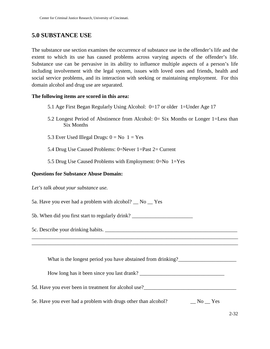# **5.0 SUBSTANCE USE**

The substance use section examines the occurrence of substance use in the offender's life and the extent to which its use has caused problems across varying aspects of the offender's life. Substance use can be pervasive in its ability to influence multiple aspects of a person's life including involvement with the legal system, issues with loved ones and friends, health and social service problems, and its interaction with seeking or maintaining employment. For this domain alcohol and drug use are separated.

#### **The following items are scored in this area:**

- 5.1 Age First Began Regularly Using Alcohol:  $0=17$  or older 1=Under Age 17
- 5.2 Longest Period of Abstinence from Alcohol: 0= Six Months or Longer 1=Less than Six Months
- 5.3 Ever Used Illegal Drugs:  $0 = No$  1 = Yes
- 5.4 Drug Use Caused Problems: 0=Never 1=Past 2= Current
- 5.5 Drug Use Caused Problems with Employment: 0=No 1=Yes

#### **Questions for Substance Abuse Domain:**

*Let's talk about your substance use.* 

5a. Have you ever had a problem with alcohol? \_\_ No \_\_ Yes

5b. When did you first start to regularly drink?

5c. Describe your drinking habits. \_\_\_\_\_\_\_\_\_\_\_\_\_\_\_\_\_\_\_\_\_\_\_\_\_\_\_\_\_\_\_\_\_\_\_\_\_\_\_\_\_\_\_\_\_\_\_\_\_\_

What is the longest period you have abstained from drinking?\_\_\_\_\_\_\_\_\_\_\_\_\_\_\_\_\_\_\_\_

How long has it been since you last drank? \_\_\_\_\_\_\_\_\_\_\_\_\_\_\_\_\_\_\_\_\_\_\_\_\_\_\_\_\_\_\_\_

\_\_\_\_\_\_\_\_\_\_\_\_\_\_\_\_\_\_\_\_\_\_\_\_\_\_\_\_\_\_\_\_\_\_\_\_\_\_\_\_\_\_\_\_\_\_\_\_\_\_\_\_\_\_\_\_\_\_\_\_\_\_\_\_\_\_\_\_\_\_\_\_\_\_\_\_\_\_ \_\_\_\_\_\_\_\_\_\_\_\_\_\_\_\_\_\_\_\_\_\_\_\_\_\_\_\_\_\_\_\_\_\_\_\_\_\_\_\_\_\_\_\_\_\_\_\_\_\_\_\_\_\_\_\_\_\_\_\_\_\_\_\_\_\_\_\_\_\_\_\_\_\_\_\_\_\_

5d. Have you ever been in treatment for alcohol use?

5e. Have you ever had a problem with drugs other than alcohol? No No No Yes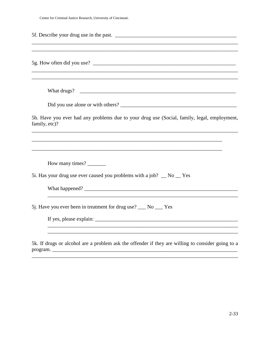Center for Criminal Justice Research, University of Cincinnati.

| ,我们也不能在这里的时候,我们也不能在这里的时候,我们也不能会在这里的时候,我们也不能会在这里的时候,我们也不能会在这里的时候,我们也不能会在这里的时候,我们也不                                                                                                     |
|---------------------------------------------------------------------------------------------------------------------------------------------------------------------------------------|
|                                                                                                                                                                                       |
|                                                                                                                                                                                       |
| 5h. Have you ever had any problems due to your drug use (Social, family, legal, employment,<br>family, etc)?                                                                          |
| ,我们也不能在这里的时候,我们也不能在这里的时候,我们也不能会在这里的时候,我们也不能会在这里的时候,我们也不能会在这里的时候,我们也不能会在这里的时候,我们也不                                                                                                     |
| How many times?                                                                                                                                                                       |
| 5i. Has your drug use ever caused you problems with a job? __ No __ Yes                                                                                                               |
|                                                                                                                                                                                       |
| 5j. Have you ever been in treatment for drug use? ___ No ___ Yes                                                                                                                      |
|                                                                                                                                                                                       |
| ,我们也不会有什么。""我们的人,我们也不会有什么?""我们的人,我们也不会有什么?""我们的人,我们也不会有什么?""我们的人,我们也不会有什么?""我们的人<br>5k. If drugs or alcohol are a problem ask the offender if they are willing to consider going to a |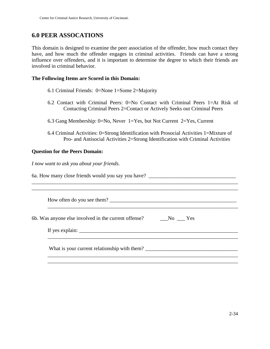# **6.0 PEER ASSOCATIONS**

This domain is designed to examine the peer association of the offender, how much contact they have, and how much the offender engages in criminal activities. Friends can have a strong influence over offenders, and it is important to determine the degree to which their friends are involved in criminal behavior.

#### **The Following Items are Scored in this Domain:**

- 6.1 Criminal Friends: 0=None 1=Some 2=Majority
- 6.2 Contact with Criminal Peers: 0=No Contact with Criminal Peers 1=At Risk of Contacting Criminal Peers 2=Contact or Actively Seeks out Criminal Peers
- 6.3 Gang Membership: 0=No, Never 1=Yes, but Not Current 2=Yes, Current
- 6.4 Criminal Activities: 0=Strong Identification with Prosocial Activities 1=Mixture of Pro- and Antisocial Activities 2=Strong Identification with Criminal Activities

#### **Question for the Peers Domain:**

*I now want to ask you about your friends.* 

6a. How many close friends would you say you have? \_\_\_\_\_\_\_\_\_\_\_\_\_\_\_\_\_\_\_\_\_\_\_\_\_\_\_\_\_\_

| How often do you see them?                                                                                                                                                                                                                                                                           |
|------------------------------------------------------------------------------------------------------------------------------------------------------------------------------------------------------------------------------------------------------------------------------------------------------|
| 6b. Was anyone else involved in the current offense? No No Ness<br>If yes explain: $\frac{1}{2}$ is the set of the set of the set of the set of the set of the set of the set of the set of the set of the set of the set of the set of the set of the set of the set of the set of the set of the s |
|                                                                                                                                                                                                                                                                                                      |

\_\_\_\_\_\_\_\_\_\_\_\_\_\_\_\_\_\_\_\_\_\_\_\_\_\_\_\_\_\_\_\_\_\_\_\_\_\_\_\_\_\_\_\_\_\_\_\_\_\_\_\_\_\_\_\_\_\_\_\_\_\_\_\_\_\_\_\_\_\_\_\_\_\_\_\_\_\_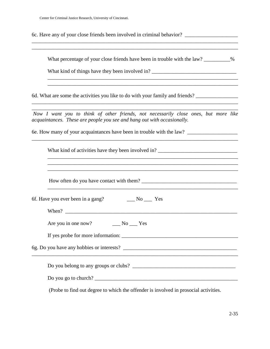6c. Have any of your close friends been involved in criminal behavior?

What percentage of your close friends have been in trouble with the law? \_\_\_\_\_\_\_\_\_%

\_\_\_\_\_\_\_\_\_\_\_\_\_\_\_\_\_\_\_\_\_\_\_\_\_\_\_\_\_\_\_\_\_\_\_\_\_\_\_\_\_\_\_\_\_\_\_\_\_\_\_\_\_\_\_\_\_\_\_\_\_\_\_\_\_\_\_\_\_\_\_\_ \_\_\_\_\_\_\_\_\_\_\_\_\_\_\_\_\_\_\_\_\_\_\_\_\_\_\_\_\_\_\_\_\_\_\_\_\_\_\_\_\_\_\_\_\_\_\_\_\_\_\_\_\_\_\_\_\_\_\_\_\_\_\_\_\_\_\_\_\_\_\_\_

\_\_\_\_\_\_\_\_\_\_\_\_\_\_\_\_\_\_\_\_\_\_\_\_\_\_\_\_\_\_\_\_\_\_\_\_\_\_\_\_\_\_\_\_\_\_\_\_\_\_\_\_\_\_\_\_\_\_\_\_\_\_\_\_\_\_\_\_\_\_\_\_\_\_\_\_\_\_ \_\_\_\_\_\_\_\_\_\_\_\_\_\_\_\_\_\_\_\_\_\_\_\_\_\_\_\_\_\_\_\_\_\_\_\_\_\_\_\_\_\_\_\_\_\_\_\_\_\_\_\_\_\_\_\_\_\_\_\_\_\_\_\_\_\_\_\_\_\_\_\_\_\_\_\_\_\_

What kind of things have they been involved in? \_\_\_\_\_\_\_\_\_\_\_\_\_\_\_\_\_\_\_\_\_\_\_\_\_\_\_\_\_\_\_\_

6d. What are some the activities you like to do with your family and friends?

*Now I want you to think of other friends, not necessarily close ones, but more like acquaintances. These are people you see and hang out with occasionally.* 

\_\_\_\_\_\_\_\_\_\_\_\_\_\_\_\_\_\_\_\_\_\_\_\_\_\_\_\_\_\_\_\_\_\_\_\_\_\_\_\_\_\_\_\_\_\_\_\_\_\_\_\_\_\_\_\_\_\_\_\_\_\_\_\_\_\_\_\_\_\_\_\_\_\_\_\_\_\_

\_\_\_\_\_\_\_\_\_\_\_\_\_\_\_\_\_\_\_\_\_\_\_\_\_\_\_\_\_\_\_\_\_\_\_\_\_\_\_\_\_\_\_\_\_\_\_\_\_\_\_\_\_\_\_\_\_\_\_\_\_\_\_\_\_\_\_\_\_\_\_\_\_\_\_\_\_\_ \_\_\_\_\_\_\_\_\_\_\_\_\_\_\_\_\_\_\_\_\_\_\_\_\_\_\_\_\_\_\_\_\_\_\_\_\_\_\_\_\_\_\_\_\_\_\_\_\_\_\_\_\_\_\_\_\_\_\_\_\_\_\_\_\_\_\_\_\_\_\_\_\_\_\_\_\_\_

6e. How many of your acquaintances have been in trouble with the law? \_\_\_\_\_\_\_\_\_\_\_\_\_\_\_\_\_

| and the control of the control of the control of the control of the control of the control of the control of the                                                                                          |  |  |  |  |  |
|-----------------------------------------------------------------------------------------------------------------------------------------------------------------------------------------------------------|--|--|--|--|--|
| ,一个人的人都是一个人的人,我们就是一个人的人,我们就是一个人的人,我们就是一个人的人,我们就是一个人的人,我们就是一个人的人,我们就是一个人的人,我们就是一个人<br><u> 1989 - Johann Barbara, martin amerikan basar dan berasal dalam basa dalam basar dalam basar dalam basar dala</u> |  |  |  |  |  |
| 6f. Have you ever been in a gang? No Sext No Sext                                                                                                                                                         |  |  |  |  |  |
|                                                                                                                                                                                                           |  |  |  |  |  |
|                                                                                                                                                                                                           |  |  |  |  |  |
|                                                                                                                                                                                                           |  |  |  |  |  |
| <u> 1989 - Johann John Stone, markin sanadi a shekara ta 1989 - An tsara tsara tsara tsara tsara tsara tsara tsa</u>                                                                                      |  |  |  |  |  |
| Do you belong to any groups or clubs?                                                                                                                                                                     |  |  |  |  |  |
|                                                                                                                                                                                                           |  |  |  |  |  |

(Probe to find out degree to which the offender is involved in prosocial activities.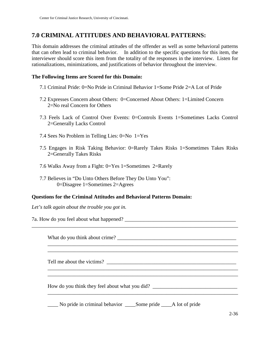# **7.0 CRIMINAL ATTITUDES AND BEHAVIORAL PATTERNS:**

This domain addresses the criminal attitudes of the offender as well as some behavioral patterns that can often lead to criminal behavior. In addition to the specific questions for this item, the interviewer should score this item from the totality of the responses in the interview. Listen for rationalizations, minimizations, and justifications of behavior throughout the interview.

#### **The Following Items are Scored for this Domain:**

- 7.1 Criminal Pride: 0=No Pride in Criminal Behavior 1=Some Pride 2=A Lot of Pride
- 7.2 Expresses Concern about Others: 0=Concerned About Others: 1=Limited Concern 2=No real Concern for Others
- 7.3 Feels Lack of Control Over Events: 0=Controls Events 1=Sometimes Lacks Control 2=Generally Lacks Control
- 7.4 Sees No Problem in Telling Lies: 0=No 1=Yes
- 7.5 Engages in Risk Taking Behavior: 0=Rarely Takes Risks 1=Sometimes Takes Risks 2=Generally Takes Risks

\_\_\_\_\_\_\_\_\_\_\_\_\_\_\_\_\_\_\_\_\_\_\_\_\_\_\_\_\_\_\_\_\_\_\_\_\_\_\_\_\_\_\_\_\_\_\_\_\_\_\_\_\_\_\_\_\_\_\_\_\_\_\_\_\_\_\_\_\_\_\_\_

\_\_\_\_\_\_\_\_\_\_\_\_\_\_\_\_\_\_\_\_\_\_\_\_\_\_\_\_\_\_\_\_\_\_\_\_\_\_\_\_\_\_\_\_\_\_\_\_\_\_\_\_\_\_\_\_\_\_\_\_\_\_\_\_\_\_\_\_\_\_\_\_

\_\_\_\_\_\_\_\_\_\_\_\_\_\_\_\_\_\_\_\_\_\_\_\_\_\_\_\_\_\_\_\_\_\_\_\_\_\_\_\_\_\_\_\_\_\_\_\_\_\_\_\_\_\_\_\_\_\_\_\_\_\_\_\_\_\_\_\_\_\_\_\_

 $\overline{\phantom{a}}$  , and the contribution of the contribution of the contribution of the contribution of the contribution of the contribution of the contribution of the contribution of the contribution of the contribution of the

- 7.6 Walks Away from a Fight: 0=Yes 1=Sometimes 2=Rarely
- 7.7 Believes in "Do Unto Others Before They Do Unto You": 0=Disagree 1=Sometimes 2=Agrees

#### **Questions for the Criminal Attitudes and Behavioral Patterns Domain:**

*Let's talk again about the trouble you got in.* 

7a. How do you feel about what happened? \_\_\_\_\_\_\_\_\_\_\_\_\_\_\_\_\_\_\_\_\_\_\_\_\_\_\_\_\_\_\_\_\_\_\_\_\_\_\_\_\_\_

What do you think about crime? \_\_\_\_\_\_\_\_\_\_\_\_\_\_\_\_\_\_\_\_\_\_\_\_\_\_\_\_\_\_\_\_\_\_\_\_\_\_\_\_\_\_\_\_\_

Tell me about the victims?

How do you think they feel about what you did? \_\_\_\_\_\_\_\_\_\_\_\_\_\_\_\_\_\_\_\_\_\_\_\_\_\_\_\_\_\_\_\_\_

\_\_\_\_ No pride in criminal behavior \_\_\_\_Some pride \_\_\_\_A lot of pride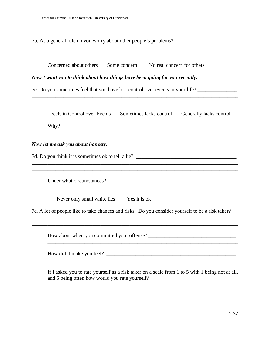7b. As a general rule do you worry about other people's problems? \_\_\_\_\_\_\_\_\_\_\_\_\_\_\_

\_\_\_\_\_\_\_\_\_\_\_\_\_\_\_\_\_\_\_\_\_\_\_\_\_\_\_\_\_\_\_\_\_\_\_\_\_\_\_\_\_\_\_\_\_\_\_\_\_\_\_\_\_\_\_\_\_\_\_\_\_\_\_\_\_\_\_\_\_\_\_\_\_\_\_\_\_\_

\_\_\_Concerned about others \_\_\_Some concern \_\_\_ No real concern for others *Now I want you to think about how things have been going for you recently.*  7c. Do you sometimes feel that you have lost control over events in your life? \_\_\_\_\_\_\_\_\_\_\_\_\_\_\_ \_\_\_\_\_\_\_\_\_\_\_\_\_\_\_\_\_\_\_\_\_\_\_\_\_\_\_\_\_\_\_\_\_\_\_\_\_\_\_\_\_\_\_\_\_\_\_\_\_\_\_\_\_\_\_\_\_\_\_\_\_\_\_\_\_\_\_\_\_\_\_\_\_\_\_\_\_\_ \_\_\_\_\_\_\_\_\_\_\_\_\_\_\_\_\_\_\_\_\_\_\_\_\_\_\_\_\_\_\_\_\_\_\_\_\_\_\_\_\_\_\_\_\_\_\_\_\_\_\_\_\_\_\_\_\_\_\_\_\_\_\_\_\_\_\_\_\_\_\_\_\_\_\_\_\_\_ \_\_\_\_Feels in Control over Events \_\_\_Sometimes lacks control \_\_\_Generally lacks control  $Why?$ \_\_\_\_\_\_\_\_\_\_\_\_\_\_\_\_\_\_\_\_\_\_\_\_\_\_\_\_\_\_\_\_\_\_\_\_\_\_\_\_\_\_\_\_\_\_\_\_\_\_\_\_\_\_\_\_\_\_\_\_\_\_\_\_\_\_\_\_\_\_\_\_ *Now let me ask you about honesty.*  7d. Do you think it is sometimes ok to tell a lie? \_\_\_\_\_\_\_\_\_\_\_\_\_\_\_\_\_\_\_\_\_\_\_\_\_\_\_\_\_\_\_\_\_\_\_\_\_\_\_\_\_\_\_\_\_\_\_\_\_\_\_\_\_\_\_\_\_\_\_\_\_\_\_\_\_\_\_\_\_\_\_\_\_\_\_\_\_\_ \_\_\_\_\_\_\_\_\_\_\_\_\_\_\_\_\_\_\_\_\_\_\_\_\_\_\_\_\_\_\_\_\_\_\_\_\_\_\_\_\_\_\_\_\_\_\_\_\_\_\_\_\_\_\_\_\_\_\_\_\_\_\_\_\_\_\_\_\_\_\_\_\_\_\_\_\_\_ Under what circumstances? \_\_\_\_\_\_\_\_\_\_\_\_\_\_\_\_\_\_\_\_\_\_\_\_\_\_\_\_\_\_\_\_\_\_\_\_\_\_\_\_\_\_\_\_\_\_\_\_ \_\_\_\_\_\_\_\_\_\_\_\_\_\_\_\_\_\_\_\_\_\_\_\_\_\_\_\_\_\_\_\_\_\_\_\_\_\_\_\_\_\_\_\_\_\_\_\_\_\_\_\_\_\_\_\_\_\_\_\_\_\_\_\_\_\_\_\_\_\_\_\_ \_\_\_ Never only small white lies \_\_\_\_Yes it is ok 7e. A lot of people like to take chances and risks. Do you consider yourself to be a risk taker? \_\_\_\_\_\_\_\_\_\_\_\_\_\_\_\_\_\_\_\_\_\_\_\_\_\_\_\_\_\_\_\_\_\_\_\_\_\_\_\_\_\_\_\_\_\_\_\_\_\_\_\_\_\_\_\_\_\_\_\_\_\_\_\_\_\_\_\_\_\_\_\_\_\_\_\_\_\_ \_\_\_\_\_\_\_\_\_\_\_\_\_\_\_\_\_\_\_\_\_\_\_\_\_\_\_\_\_\_\_\_\_\_\_\_\_\_\_\_\_\_\_\_\_\_\_\_\_\_\_\_\_\_\_\_\_\_\_\_\_\_\_\_\_\_\_\_\_\_\_\_\_\_\_\_\_\_ How about when you committed your offense? \_\_\_\_\_\_\_\_\_\_\_\_\_\_\_\_\_\_\_\_\_\_\_\_\_\_\_\_\_\_\_\_\_ \_\_\_\_\_\_\_\_\_\_\_\_\_\_\_\_\_\_\_\_\_\_\_\_\_\_\_\_\_\_\_\_\_\_\_\_\_\_\_\_\_\_\_\_\_\_\_\_\_\_\_\_\_\_\_\_\_\_\_\_\_\_\_\_\_\_\_\_\_\_\_\_ How did it make you feel? \_\_\_\_\_\_\_\_\_\_\_\_\_\_\_\_\_\_\_\_\_\_\_\_\_\_\_\_\_\_\_\_\_\_\_\_\_\_\_\_\_\_\_\_\_\_\_\_\_ \_\_\_\_\_\_\_\_\_\_\_\_\_\_\_\_\_\_\_\_\_\_\_\_\_\_\_\_\_\_\_\_\_\_\_\_\_\_\_\_\_\_\_\_\_\_\_\_\_\_\_\_\_\_\_\_\_\_\_\_\_\_\_\_\_\_\_\_\_\_\_\_ If I asked you to rate yourself as a risk taker on a scale from 1 to 5 with 1 being not at all, and 5 being often how would you rate yourself?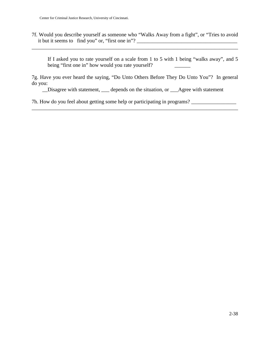7f. Would you describe yourself as someone who "Walks Away from a fight", or "Tries to avoid it but it seems to find you" or, "first one in"? \_\_\_\_\_\_\_\_\_\_\_\_\_\_\_\_\_\_\_\_\_\_\_\_\_\_\_\_\_\_\_\_

\_\_\_\_\_\_\_\_\_\_\_\_\_\_\_\_\_\_\_\_\_\_\_\_\_\_\_\_\_\_\_\_\_\_\_\_\_\_\_\_\_\_\_\_\_\_\_\_\_\_\_\_\_\_\_\_\_\_\_\_\_\_\_\_\_\_\_\_\_\_\_\_\_\_\_\_\_\_

If I asked you to rate yourself on a scale from 1 to 5 with 1 being "walks away", and 5 being "first one in" how would you rate yourself?

7g. Have you ever heard the saying, "Do Unto Others Before They Do Unto You"? In general do you:

\_\_Disagree with statement, \_\_\_ depends on the situation, or \_\_\_Agree with statement

\_\_\_\_\_\_\_\_\_\_\_\_\_\_\_\_\_\_\_\_\_\_\_\_\_\_\_\_\_\_\_\_\_\_\_\_\_\_\_\_\_\_\_\_\_\_\_\_\_\_\_\_\_\_\_\_\_\_\_\_\_\_\_\_\_\_\_\_\_\_\_\_\_\_\_\_\_\_

7h. How do you feel about getting some help or participating in programs? \_\_\_\_\_\_\_\_\_\_\_\_\_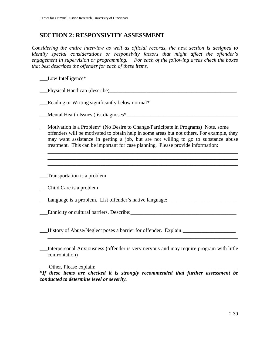# **SECTION 2: RESPONSIVITY ASSESSMENT**

*Considering the entire interview as well as official records, the next section is designed to identify special considerations or responsivity factors that might affect the offender's engagement in supervision or programming. For each of the following areas check the boxes that best describes the offender for each of these items.* 

\_\_\_Low Intelligence\*

\_\_\_Physical Handicap (describe)\_\_\_\_\_\_\_\_\_\_\_\_\_\_\_\_\_\_\_\_\_\_\_\_\_\_\_\_\_\_\_\_\_\_\_\_\_\_\_\_\_\_\_\_\_\_\_\_

\_\_\_Reading or Writing significantly below normal\*

\_\_\_Mental Health Issues (list diagnoses\*\_\_\_\_\_\_\_\_\_\_\_\_\_\_\_\_\_\_\_\_\_\_\_\_\_\_\_\_\_\_\_\_\_\_\_\_\_\_\_\_\_\_

\_\_\_Motivation is a Problem\* (No Desire to Change/Participate in Programs) Note, some offenders will be motivated to obtain help in some areas but not others. For example, they may want assistance in getting a job, but are not willing to go to substance abuse treatment. This can be important for case planning. Please provide information:

\_\_\_\_\_\_\_\_\_\_\_\_\_\_\_\_\_\_\_\_\_\_\_\_\_\_\_\_\_\_\_\_\_\_\_\_\_\_\_\_\_\_\_\_\_\_\_\_\_\_\_\_\_\_\_\_\_\_\_\_\_\_\_\_\_\_\_\_\_\_\_\_ \_\_\_\_\_\_\_\_\_\_\_\_\_\_\_\_\_\_\_\_\_\_\_\_\_\_\_\_\_\_\_\_\_\_\_\_\_\_\_\_\_\_\_\_\_\_\_\_\_\_\_\_\_\_\_\_\_\_\_\_\_\_\_\_\_\_\_\_\_\_\_\_ \_\_\_\_\_\_\_\_\_\_\_\_\_\_\_\_\_\_\_\_\_\_\_\_\_\_\_\_\_\_\_\_\_\_\_\_\_\_\_\_\_\_\_\_\_\_\_\_\_\_\_\_\_\_\_\_\_\_\_\_\_\_\_\_\_\_\_\_\_\_\_\_

\_\_\_Transportation is a problem

\_\_\_Child Care is a problem

Language is a problem. List offender's native language:

Lethnicity or cultural barriers. Describe: with the contract of the contract of the contract of the contract of

\_\_\_History of Abuse/Neglect poses a barrier for offender. Explain:\_\_\_\_\_\_\_\_\_\_\_\_\_\_\_\_\_\_\_\_

\_\_\_Interpersonal Anxiousness (offender is very nervous and may require program with little confrontation)

 $\overline{\phantom{a}}$  , and the contribution of the contribution of the contribution of the contribution of the contribution of the contribution of the contribution of the contribution of the contribution of the contribution of the

\_\_\_ Other, Please explain: \_\_\_\_\_\_\_\_\_\_\_\_\_\_\_\_\_\_\_\_\_\_\_\_\_\_\_\_\_\_\_\_\_\_\_\_\_\_\_\_\_\_\_\_\_\_\_\_\_\_\_\_\_

*\*If these items are checked it is strongly recommended that further assessment be conducted to determine level or severity.*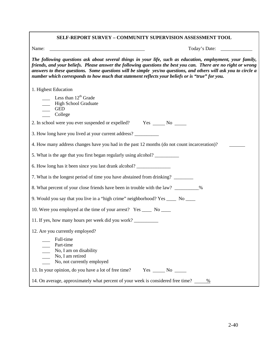| SELF-REPORT SURVEY - COMMUNITY SUPERVISION ASSESSMENT TOOL                                                                                                                                                                                                                                                                                                                                                                                         |
|----------------------------------------------------------------------------------------------------------------------------------------------------------------------------------------------------------------------------------------------------------------------------------------------------------------------------------------------------------------------------------------------------------------------------------------------------|
| Name:<br><u> 1980 - Johann Barbara, martxa alemaniar a</u><br>Today's Date:                                                                                                                                                                                                                                                                                                                                                                        |
| The following questions ask about several things in your life, such as education, employment, your family,<br>friends, and your beliefs. Please answer the following questions the best you can. There are no right or wrong<br>answers to these questions. Some questions will be simple yes/no questions, and others will ask you to circle a<br>number which corresponds to how much that statement reflects your beliefs or is "true" for you. |
| 1. Highest Education                                                                                                                                                                                                                                                                                                                                                                                                                               |
| Less than $12th$ Grade<br><b>High School Graduate</b><br><b>GED</b><br>College                                                                                                                                                                                                                                                                                                                                                                     |
| 2. In school were you ever suspended or expelled? Yes _______ No _______                                                                                                                                                                                                                                                                                                                                                                           |
| 3. How long have you lived at your current address?                                                                                                                                                                                                                                                                                                                                                                                                |
| 4. How many address changes have you had in the past 12 months (do not count incarceration)?                                                                                                                                                                                                                                                                                                                                                       |
| 5. What is the age that you first began regularly using alcohol?                                                                                                                                                                                                                                                                                                                                                                                   |
| 6. How long has it been since you last drank alcohol? ___________________________                                                                                                                                                                                                                                                                                                                                                                  |
| 7. What is the longest period of time you have abstained from drinking? ________                                                                                                                                                                                                                                                                                                                                                                   |
| 8. What percent of your close friends have been in trouble with the law? _________%                                                                                                                                                                                                                                                                                                                                                                |
| 9. Would you say that you live in a "high crime" neighborhood? Yes ____ No ____                                                                                                                                                                                                                                                                                                                                                                    |
| 10. Were you employed at the time of your arrest? Yes ______ No _____                                                                                                                                                                                                                                                                                                                                                                              |
| 11. If yes, how many hours per week did you work?                                                                                                                                                                                                                                                                                                                                                                                                  |
| 12. Are you currently employed?<br>Full-time<br>Part-time<br>$\qquad$ No, I am on disability<br>No, I am retired<br>No, not currently employed                                                                                                                                                                                                                                                                                                     |
| 13. In your opinion, do you have a lot of free time?<br>$Yes \_\_ No \_\_$                                                                                                                                                                                                                                                                                                                                                                         |
| 14. On average, approximately what percent of your week is considered free time? _____ %                                                                                                                                                                                                                                                                                                                                                           |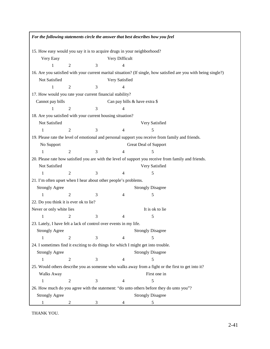| For the following statements circle the answer that best describes how you feel         |                |   |                               |                                                                                                                  |  |
|-----------------------------------------------------------------------------------------|----------------|---|-------------------------------|------------------------------------------------------------------------------------------------------------------|--|
| 15. How easy would you say it is to acquire drugs in your neighborhood?                 |                |   |                               |                                                                                                                  |  |
| Very Difficult<br>Very Easy                                                             |                |   |                               |                                                                                                                  |  |
| 1                                                                                       | $\mathfrak{2}$ | 3 | 4                             |                                                                                                                  |  |
|                                                                                         |                |   |                               | 16. Are you satisfied with your current marital situation? (If single, how satisfied are you with being single?) |  |
| Not Satisfied                                                                           |                |   | Very Satisfied                |                                                                                                                  |  |
| $\mathbf{1}$                                                                            | $\mathfrak{2}$ | 3 | 4                             |                                                                                                                  |  |
| 17. How would you rate your current financial stability?                                |                |   |                               |                                                                                                                  |  |
| Cannot pay bills                                                                        |                |   | Can pay bills & have extra \$ |                                                                                                                  |  |
| 1                                                                                       | $\overline{2}$ | 3 | 4                             |                                                                                                                  |  |
| 18. Are you satisfied with your current housing situation?                              |                |   |                               |                                                                                                                  |  |
| Not Satisfied                                                                           |                |   |                               | Very Satisfied                                                                                                   |  |
|                                                                                         | $\overline{2}$ | 3 | 4                             | 5                                                                                                                |  |
|                                                                                         |                |   |                               | 19. Please rate the level of emotional and personal support you receive from family and friends.                 |  |
| No Support                                                                              |                |   |                               | Great Deal of Support                                                                                            |  |
|                                                                                         | 2              | 3 | 4                             |                                                                                                                  |  |
|                                                                                         |                |   |                               | 20. Please rate how satisfied you are with the level of support you receive from family and friends.             |  |
| Not Satisfied                                                                           |                |   |                               | Very Satisfied                                                                                                   |  |
|                                                                                         | $\overline{2}$ | 3 | 4                             | 5                                                                                                                |  |
| 21. I'm often upset when I hear about other people's problems.                          |                |   |                               |                                                                                                                  |  |
| <b>Strongly Agree</b>                                                                   |                |   |                               | <b>Strongly Disagree</b>                                                                                         |  |
|                                                                                         | $\overline{2}$ | 3 | $\overline{4}$                | 5                                                                                                                |  |
| 22. Do you think it is ever ok to lie?                                                  |                |   |                               |                                                                                                                  |  |
| Never or only white lies                                                                |                |   |                               | It is ok to lie                                                                                                  |  |
| 1                                                                                       | $\overline{2}$ | 3 | 4                             | 5                                                                                                                |  |
| 23. Lately, I have felt a lack of control over events in my life.                       |                |   |                               |                                                                                                                  |  |
| <b>Strongly Agree</b>                                                                   |                |   |                               | <b>Strongly Disagree</b>                                                                                         |  |
| 1                                                                                       | 2              | 3 | 4                             | 5                                                                                                                |  |
| 24. I sometimes find it exciting to do things for which I might get into trouble.       |                |   |                               |                                                                                                                  |  |
| <b>Strongly Agree</b>                                                                   |                |   |                               | <b>Strongly Disagree</b>                                                                                         |  |
| 1                                                                                       | $\mathfrak{2}$ | 3 | $\overline{4}$                | 5                                                                                                                |  |
|                                                                                         |                |   |                               | 25. Would others describe you as someone who walks away from a fight or the first to get into it?                |  |
| <b>Walks Away</b>                                                                       |                |   |                               | First one in                                                                                                     |  |
| 1                                                                                       | 2              | 3 | 4                             | 5                                                                                                                |  |
| 26. How much do you agree with the statement: "do unto others before they do unto you"? |                |   |                               |                                                                                                                  |  |
| <b>Strongly Disagree</b><br><b>Strongly Agree</b>                                       |                |   |                               |                                                                                                                  |  |
| 1                                                                                       | 2              | 3 | 4                             | 5                                                                                                                |  |

THANK YOU.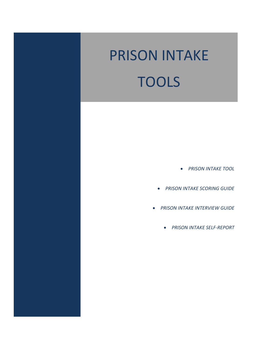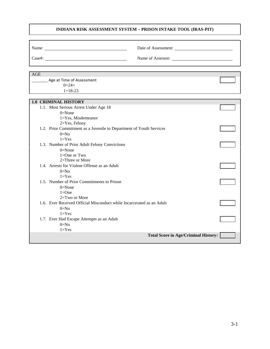# **INDIANA RISK ASSESSMENT SYSTEM – PRISON INTAKE TOOL (IRAS-PIT)**

| $\text{Case} \#:$                                                             | Name of Assessor:                           |  |
|-------------------------------------------------------------------------------|---------------------------------------------|--|
|                                                                               |                                             |  |
| <b>AGE</b>                                                                    |                                             |  |
| Age at Time of Assessment                                                     |                                             |  |
| $0=24+$                                                                       |                                             |  |
| $1 = 18 - 23$                                                                 |                                             |  |
|                                                                               |                                             |  |
| <b>1.0 CRIMINAL HISTORY</b>                                                   |                                             |  |
| 1.1. Most Serious Arrest Under Age 18                                         |                                             |  |
| $0 = None$                                                                    |                                             |  |
| $1 = Yes$ , Misdemeanor                                                       |                                             |  |
| 2=Yes, Felony                                                                 |                                             |  |
| 1.2. Prior Commitment as a Juvenile to Department of Youth Services<br>$0=N0$ |                                             |  |
| $1 = Yes$                                                                     |                                             |  |
| 1.3. Number of Prior Adult Felony Convictions                                 |                                             |  |
| $0 = None$                                                                    |                                             |  |
| $1 = One$ or Two                                                              |                                             |  |
| 2=Three or More                                                               |                                             |  |
| 1.4. Arrests for Violent Offense as an Adult                                  |                                             |  |
| $0=No$                                                                        |                                             |  |
| $1 = Yes$                                                                     |                                             |  |
| 1.5. Number of Prior Commitments to Prison                                    |                                             |  |
| $0 = None$                                                                    |                                             |  |
| $1 = One$                                                                     |                                             |  |
| 2=Two or More                                                                 |                                             |  |
| 1.6. Ever Received Official Misconduct while Incarcerated as an Adult         |                                             |  |
| $0=N0$                                                                        |                                             |  |
| $1 = Yes$                                                                     |                                             |  |
| 1.7. Ever Had Escape Attempts as an Adult<br>$0=N0$                           |                                             |  |
| $1 = Yes$                                                                     |                                             |  |
|                                                                               | <b>Total Score in Age/Criminal History:</b> |  |
|                                                                               |                                             |  |
|                                                                               |                                             |  |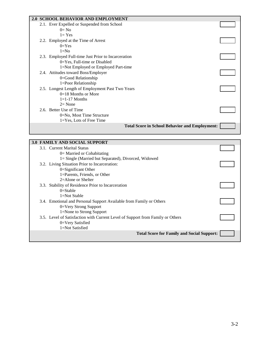| 2.0 SCHOOL BEHAVIOR AND EMPLOYMENT                    |  |
|-------------------------------------------------------|--|
| 2.1. Ever Expelled or Suspended from School           |  |
| $0=$ No                                               |  |
| $1 = Yes$                                             |  |
| 2.2. Employed at the Time of Arrest                   |  |
| $0=Yes$                                               |  |
| $1 = No$                                              |  |
| 2.3. Employed Full-time Just Prior to Incarceration   |  |
| $0 = Yes$ , Full-time or Disabled                     |  |
| 1=Not Employed or Employed Part-time                  |  |
| 2.4. Attitudes toward Boss/Employer                   |  |
| 0=Good Relationship                                   |  |
| $1 =$ Poor Relationship                               |  |
| 2.5. Longest Length of Employment Past Two Years      |  |
| $0=18$ Months or More                                 |  |
| $1=1-17$ Months                                       |  |
| $2=$ None                                             |  |
| 2.6. Better Use of Time                               |  |
| 0=No, Most Time Structure                             |  |
| $1 = Yes$ , Lots of Free Time                         |  |
| <b>Total Score in School Behavior and Employment:</b> |  |
|                                                       |  |

| <b>3.0 FAMILY AND SOCIAL SUPPORT</b>                                           |  |
|--------------------------------------------------------------------------------|--|
| 3.1. Current Marital Status                                                    |  |
| $0=$ Married or Cohabitating                                                   |  |
| 1= Single (Married but Separated), Divorced, Widowed                           |  |
| 3.2. Living Situation Prior to Incarceration:                                  |  |
| $0 =$ Significant Other                                                        |  |
| 1=Parents, Friends, or Other                                                   |  |
| $2=$ Alone or Shelter                                                          |  |
| Stability of Residence Prior to Incarceration<br>3.3.                          |  |
| $0=Stable$                                                                     |  |
| $1 = Not Stable$                                                               |  |
| 3.4. Emotional and Personal Support Available from Family or Others            |  |
| 0=Very Strong Support                                                          |  |
| 1=None to Strong Support                                                       |  |
| 3.5. Level of Satisfaction with Current Level of Support from Family or Others |  |
| 0=Very Satisfied                                                               |  |
| 1=Not Satisfied                                                                |  |
| <b>Total Score for Family and Social Support:</b>                              |  |
|                                                                                |  |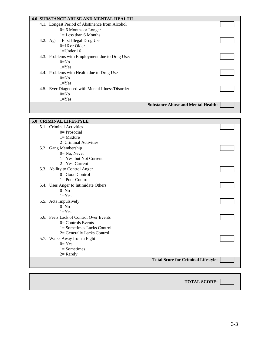| <b>4.0 SUBSTANCE ABUSE AND MENTAL HEALTH</b>     |  |
|--------------------------------------------------|--|
| 4.1. Longest Period of Abstinence from Alcohol   |  |
| $0=6$ Months or Longer                           |  |
| $l =$ Less than 6 Months                         |  |
| 4.2. Age at First Illegal Drug Use               |  |
| $0=16$ or Older                                  |  |
| $1=$ Under 16                                    |  |
| 4.3. Problems with Employment due to Drug Use:   |  |
| $0=No$                                           |  |
| $1 = Yes$                                        |  |
| 4.4. Problems with Health due to Drug Use        |  |
| $0 = No$                                         |  |
| $1 = Yes$                                        |  |
| 4.5. Ever Diagnosed with Mental Illness/Disorder |  |
| $0=No$                                           |  |
| $1 = Yes$                                        |  |
| <b>Substance Abuse and Mental Health:</b>        |  |
|                                                  |  |

| <b>5.0 CRIMINAL LIFESTYLE</b>          |                                            |  |
|----------------------------------------|--------------------------------------------|--|
| 5.1. Criminal Activities               |                                            |  |
| $0=$ Prosocial                         |                                            |  |
| $l =$ Mixture                          |                                            |  |
| 2=Criminal Activities                  |                                            |  |
| 5.2. Gang Membership                   |                                            |  |
| $0 = No$ , Never                       |                                            |  |
| 1= Yes, but Not Current                |                                            |  |
| $2=Yes, Current$                       |                                            |  |
| 5.3. Ability to Control Anger          |                                            |  |
| $0 = Good Control$                     |                                            |  |
| $l = Poor Control$                     |                                            |  |
| 5.4. Uses Anger to Intimidate Others   |                                            |  |
| $0=No$                                 |                                            |  |
| $1 = Yes$                              |                                            |  |
| 5.5. Acts Impulsively                  |                                            |  |
| $0=No$                                 |                                            |  |
| $1 = Yes$                              |                                            |  |
| 5.6. Feels Lack of Control Over Events |                                            |  |
| $0=$ Controls Events                   |                                            |  |
| 1= Sometimes Lacks Control             |                                            |  |
| 2= Generally Lacks Control             |                                            |  |
| 5.7. Walks Away from a Fight           |                                            |  |
| $0=Yes$                                |                                            |  |
| $1 =$ Sometimes                        |                                            |  |
| $2=$ Rarely                            |                                            |  |
|                                        | <b>Total Score for Criminal Lifestyle:</b> |  |
|                                        |                                            |  |

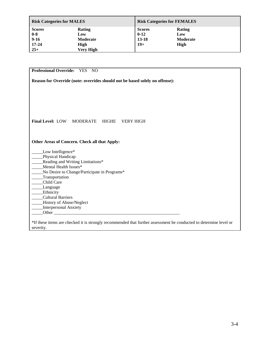| <b>Risk Categories for MALES</b> |               | <b>Risk Categories for FEMALES</b> |                 |  |
|----------------------------------|---------------|------------------------------------|-----------------|--|
| <b>Scores</b>                    | <b>Rating</b> | <b>Scores</b>                      | Rating          |  |
| $0-8$                            | Low           | $0 - 12$                           | Low             |  |
| $9 - 16$                         | Moderate      | $13 - 18$                          | <b>Moderate</b> |  |
| $17 - 24$                        | High          | $19+$                              | High            |  |
| $25+$                            | Very High     |                                    |                 |  |

| Reason for Override (note: overrides should not be based solely on offense): |
|------------------------------------------------------------------------------|
|                                                                              |
|                                                                              |
|                                                                              |
|                                                                              |
|                                                                              |
| <b>Final Level: LOW MODERATE</b><br>HIGHE<br><b>VERY HIGH</b>                |
|                                                                              |
|                                                                              |
| Other Areas of Concern. Check all that Apply:                                |
| Low Intelligence*                                                            |
| Physical Handicap                                                            |
| Reading and Writing Limitations*                                             |
| Mental Health Issues*                                                        |
| No Desire to Change/Participate in Programs*                                 |
| Transportation                                                               |
| Child Care                                                                   |
| Language                                                                     |
| Ethnicity                                                                    |
| <b>Cultural Barriers</b>                                                     |
| History of Abuse/Neglect                                                     |
| Interpersonal Anxiety                                                        |
|                                                                              |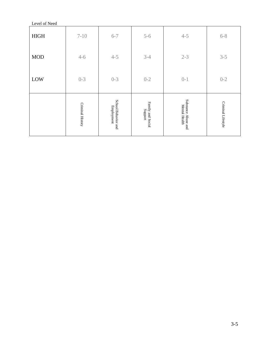| Level of Need |                  |                                   |                                                                                            |                                      |                    |
|---------------|------------------|-----------------------------------|--------------------------------------------------------------------------------------------|--------------------------------------|--------------------|
| <b>HIGH</b>   | $7 - 10$         | $6 - 7$                           | $5 - 6$                                                                                    | $4 - 5$                              | $6 - 8$            |
| <b>MOD</b>    | $4 - 6$          | $4 - 5$                           | $3-4$                                                                                      | $2 - 3$                              | $3 - 5$            |
| LOW           | $0 - 3$          | $0 - 3$                           | $0 - 2$                                                                                    | $0 - 1$                              | $0 - 2$            |
|               | Criminal History | School Behavior and<br>Employment | Family and Social<br>$\operatorname*{2nddns}% \nolimits_{\Delta}\left( \mathcal{N}\right)$ | Substance Abuse and<br>Mental Health | Criminal Lifestyle |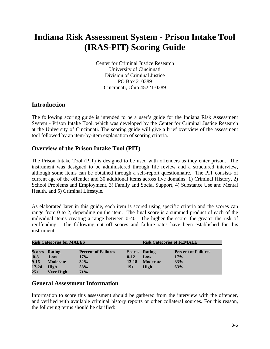# **Indiana Risk Assessment System - Prison Intake Tool (IRAS-PIT) Scoring Guide**

Center for Criminal Justice Research University of Cincinnati Division of Criminal Justice PO Box 210389 Cincinnati, Ohio 45221-0389

# **Introduction**

The following scoring guide is intended to be a user's guide for the Indiana Risk Assessment System - Prison Intake Tool, which was developed by the Center for Criminal Justice Research at the University of Cincinnati. The scoring guide will give a brief overview of the assessment tool followed by an item-by-item explanation of scoring criteria.

# **Overview of the Prison Intake Tool (PIT)**

The Prison Intake Tool (PIT) is designed to be used with offenders as they enter prison. The instrument was designed to be administered through file review and a structured interview, although some items can be obtained through a self-report questionnaire. The PIT consists of current age of the offender and 30 additional items across five domains: 1) Criminal History, 2) School Problems and Employment, 3) Family and Social Support, 4) Substance Use and Mental Health, and 5) Criminal Lifestyle.

As elaborated later in this guide, each item is scored using specific criteria and the scores can range from 0 to 2, depending on the item. The final score is a summed product of each of the individual items creating a range between 0-40. The higher the score, the greater the risk of reoffending. The following cut off scores and failure rates have been established for this instrument:

| <b>Risk Categories for MALES</b> |                      |                            | <b>Risk Categories of FEMALE</b> |                      |                            |  |
|----------------------------------|----------------------|----------------------------|----------------------------------|----------------------|----------------------------|--|
|                                  |                      |                            |                                  |                      |                            |  |
|                                  | <b>Scores Rating</b> | <b>Percent of Failures</b> |                                  | <b>Scores</b> Rating | <b>Percent of Failures</b> |  |
| $0-8$                            | Low                  | 17%                        | $0 - 12$                         | Low                  | 17%                        |  |
| $9 - 16$                         | <b>Moderate</b>      | 32%                        | 13-18                            | <b>Moderate</b>      | 33%                        |  |
| 17-24                            | High                 | 58%                        | $19+$                            | High                 | 63%                        |  |
| $25+$                            | <b>Very High</b>     | 71%                        |                                  |                      |                            |  |

# **General Assessment Information**

Information to score this assessment should be gathered from the interview with the offender, and verified with available criminal history reports or other collateral sources. For this reason, the following terms should be clarified: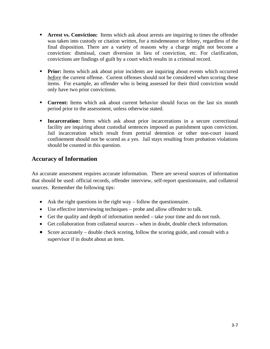- **Arrest vs. Conviction:** Items which ask about arrests are inquiring to times the offender was taken into custody or citation written, for a misdemeanor or felony, regardless of the final disposition. There are a variety of reasons why a charge might not become a conviction: dismissal, court diversion in lieu of conviction, etc. For clarification, convictions are findings of guilt by a court which results in a criminal record.
- **Prior:** Items which ask about prior incidents are inquiring about events which occurred *before* the current offense. Current offenses should not be considered when scoring these items. For example, an offender who is being assessed for their third conviction would only have two prior convictions.
- **Current:** Items which ask about current behavior should focus on the last six month period prior to the assessment, unless otherwise stated.
- **Incarceration:** Items which ask about prior incarcerations in a secure correctional facility are inquiring about custodial sentences imposed as punishment upon conviction. Jail incarceration which result from pretrial detention or other non-court issued confinement should not be scored as a yes. Jail stays resulting from probation violations should be counted in this question.

# **Accuracy of Information**

An accurate assessment requires accurate information. There are several sources of information that should be used: official records, offender interview, self-report questionnaire, and collateral sources. Remember the following tips:

- Ask the right questions in the right way follow the questionnaire.
- Use effective interviewing techniques probe and allow offender to talk.
- Get the quality and depth of information needed take your time and do not rush.
- Get collaboration from collateral sources when in doubt, double check information.
- Score accurately double check scoring, follow the scoring guide, and consult with a supervisor if in doubt about an item.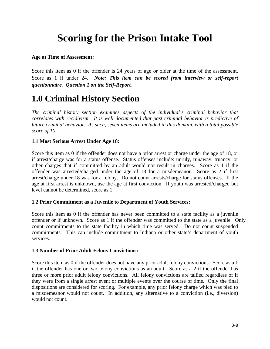# **Scoring for the Prison Intake Tool**

## **Age at Time of Assessment:**

Score this item as 0 if the offender is 24 years of age or older at the time of the assessment. Score as 1 if under 24. *Note: This item can be scored from interview or self-report questionnaire. Question 1 on the Self-Report.*

# **1.0 Criminal History Section**

*The criminal history section examines aspects of the individual's criminal behavior that correlates with recidivism. It is well documented that past criminal behavior is predictive of future criminal behavior. As such, seven items are included in this domain, with a total possible score of 10.* 

# **1.1 Most Serious Arrest Under Age 18:**

Score this item as 0 if the offender does not have a prior arrest or charge under the age of 18, or if arrest/charge was for a status offense. Status offenses include: unruly, runaway, truancy, or other charges that if committed by an adult would not result in charges. Score as 1 if the offender was arrested/charged under the age of 18 for a misdemeanor. Score as 2 if first arrest/charge under 18 was for a felony. Do not count arrests/charge for status offenses. If the age at first arrest is unknown, use the age at first conviction. If youth was arrested/charged but level cannot be determined, score as 1.

# **1.2 Prior Commitment as a Juvenile to Department of Youth Services:**

Score this item as 0 if the offender has never been committed to a state facility as a juvenile offender or if unknown. Score as 1 if the offender was committed to the state as a juvenile. Only count commitments to the state facility in which time was served. Do not count suspended commitments. This can include commitment to Indiana or other state's department of youth services.

# **1.3 Number of Prior Adult Felony Convictions:**

Score this item as 0 if the offender does not have any prior adult felony convictions. Score as a 1 if the offender has one or two felony convictions as an adult. Score as a 2 if the offender has three or more prior adult felony convictions. All felony convictions are tallied regardless of if they were from a single arrest event or multiple events over the course of time. Only the final dispositions are considered for scoring. For example, any prior felony charge which was pled to a misdemeanor would not count. In addition, any alternative to a conviction (i.e., diversion) would not count.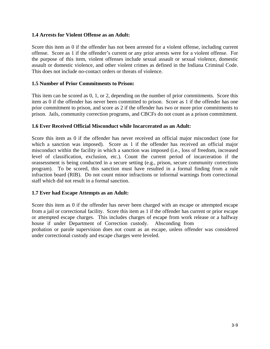## **1.4 Arrests for Violent Offense as an Adult:**

Score this item as 0 if the offender has not been arrested for a violent offense, including current offense. Score as 1 if the offender's current or any prior arrests were for a violent offense. For the purpose of this item, violent offenses include sexual assault or sexual violence, domestic assault or domestic violence, and other violent crimes as defined in the Indiana Criminal Code. This does not include no-contact orders or threats of violence.

## **1.5 Number of Prior Commitments to Prison:**

This item can be scored as 0, 1, or 2, depending on the number of prior commitments. Score this item as 0 if the offender has never been committed to prison. Score as 1 if the offender has one prior commitment to prison, and score as 2 if the offender has two or more prior commitments to prison. Jails, community correction programs, and CBCFs do not count as a prison commitment.

## **1.6 Ever Received Official Misconduct while Incarcerated as an Adult:**

Score this item as 0 if the offender has never received an official major misconduct (one for which a sanction was imposed). Score as 1 if the offender has received an official major misconduct within the facility in which a sanction was imposed (i.e., loss of freedom, increased level of classification, exclusion, etc.). Count the current period of incarceration if the orassessment is being conducted in a secure setting (e.g., prison, secure community corrections program). To be scored, this sanction must have resulted in a formal finding from a rule infraction board (RIB). Do not count minor infractions or informal warnings from correctional staff which did not result in a formal sanction.

#### **1.7 Ever had Escape Attempts as an Adult:**

Score this item as 0 if the offender has never been charged with an escape or attempted escape from a jail or correctional facility. Score this item as 1 if the offender has current or prior escape or attempted escape charges. This includes charges of escape from work release or a halfway house if under Department of Correction custody. Absconding from

probation or parole supervision does not count as an escape, unless offender was considered under correctional custody and escape charges were leveled.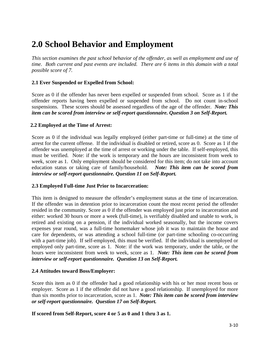# **2.0 School Behavior and Employment**

*This section examines the past school behavior of the offender, as well as employment and use of time. Both current and past events are included. There are 6 items in this domain with a total possible score of 7.* 

# **2.1 Ever Suspended or Expelled from School:**

Score as 0 if the offender has never been expelled or suspended from school. Score as 1 if the offender reports having been expelled or suspended from school. Do not count in-school suspensions. These scores should be assessed regardless of the age of the offender. *Note: This item can be scored from interview or self-report questionnaire. Question 3 on Self-Report.* 

## **2.2 Employed at the Time of Arrest:**

Score as 0 if the individual was legally employed (either part-time or full-time) at the time of arrest for the current offense. If the individual is disabled or retired, score as 0. Score as 1 if the offender was unemployed at the time of arrest or working under the table. If self-employed, this must be verified. Note: if the work is temporary and the hours are inconsistent from week to week, score as 1. Only employment should be considered for this item; do not take into account education status or taking care of family/household. *Note: This item can be scored from interview or self-report questionnaire. Question 11 on Self-Report.* 

# **2.3 Employed Full-time Just Prior to Incarceration:**

This item is designed to measure the offender's employment status at the time of incarceration. If the offender was in detention prior to incarceration count the most recent period the offender resided in the community. Score as 0 if the offender was employed just prior to incarceration and either: worked 30 hours or more a week (full-time), is verifiably disabled and unable to work, is retired and existing on a pension, if the individual worked seasonally, but the income covers expenses year round, was a full-time homemaker whose job it was to maintain the house and care for dependents, or was attending a school full-time (or part-time schooling co-occurring with a part-time job). If self-employed, this must be verified. If the individual is unemployed or employed only part-time, score as 1. Note: if the work was temporary, under the table, or the hours were inconsistent from week to week, score as 1. *Note: This item can be scored from interview or self-report questionnaire. Question 13 on Self-Report.* 

#### **2.4 Attitudes toward Boss/Employer:**

Score this item as 0 if the offender had a good relationship with his or her most recent boss or employer. Score as 1 if the offender did not have a good relationship. If unemployed for more than six months prior to incarceration, score as 1. *Note: This item can be scored from interview or self-report questionnaire. Question 17 on Self-Report.* 

**If scored from Self-Report, score 4 or 5 as 0 and 1 thru 3 as 1.**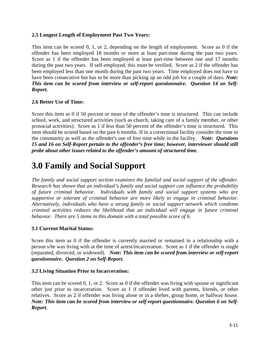# **2.5 Longest Length of Employment Past Two Years:**

This item can be scored 0, 1, or 2, depending on the length of employment. Score as 0 if the offender has been employed 18 months or more at least part-time during the past two years. Score as 1 if the offender has been employed at least part-time between one and 17 months during the past two years. If self-employed, this must be verified. Score as 2 if the offender has been employed less than one month during the past two years. Time employed does not have to have been consecutive but has to be more than picking up an odd job for a couple of days. *Note: This item can be scored from interview or self-report questionnaire. Question 14 on Self-Report.* 

# **2.6 Better Use of Time:**

Score this item as 0 if 50 percent or more of the offender's time is structured. This can include school, work, and structured activities (such as church, taking care of a family member, or other prosocial activities). Score as 1 if less than 50 percent of the offender's time is structured. This item should be scored based on the past 6 months. If in a correctional facility consider the time in the community as well as the offender's use of free time while in the facility. *Note: Questions 15 and 16 on Self-Report pertain to the offender's free time; however, interviewer should still probe about other issues related to the offender's amount of structured time.* 

# **3.0 Family and Social Support**

*The family and social support section examines the familial and social support of the offender. Research has shown that an individual's family and social support can influence the probability of future criminal behavior. Individuals with family and social support systems who are supportive or tolerant of criminal behavior are more likely to engage in criminal behavior. Alternatively, individuals who have a strong family or social support network which condemn criminal activities reduces the likelihood that an individual will engage in future criminal behavior. There are 5 items in this domain with a total possible score of 6.* 

# **3.1 Current Marital Status:**

Score this item as 0 if the offender is currently married or remained in a relationship with a person s/he was living with at the time of arrest/incarceration. Score as 1 if the offender is single (separated, divorced, or widowed). *Note: This item can be scored from interview or self-report questionnaire. Question 2 on Self-Report.* 

# **3.2 Living Situation Prior to Incarceration:**

This item can be scored 0, 1, or 2. Score as 0 if the offender was living with spouse or significant other just prior to incarceration. Score as 1 if offender lived with parents, friends, or other relatives. Score as 2 if offender was living alone or in a shelter, group home, or halfway house. *Note: This item can be scored from interview or self-report questionnaire. Question 6 on Self-Report.*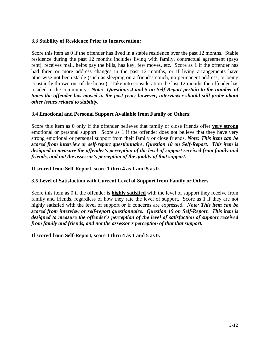#### **3.3 Stability of Residence Prior to Incarceration:**

Score this item as 0 if the offender has lived in a stable residence over the past 12 months. Stable residence during the past 12 months includes living with family, contractual agreement (pays rent), receives mail, helps pay the bills, has key, few moves, etc. Score as 1 if the offender has had three or more address changes in the past 12 months, or if living arrangements have otherwise not been stable (such as sleeping on a friend's couch, no permanent address, or being constantly thrown out of the house). Take into consideration the last 12 months the offender has resided in the community. *Note: Questions 4 and 5 on Self-Report pertain to the number of times the offender has moved in the past year; however, interviewer should still probe about other issues related to stability.*

#### **3.4 Emotional and Personal Support Available from Family or Others**:

Score this item as 0 only if the offender believes that family or close friends offer **very strong** emotional or personal support. Score as 1 if the offender does not believe that they have very strong emotional or personal support from their family or close friends. *Note: This item can be scored from interview or self-report questionnaire. Question 18 on Self-Report. This item is designed to measure the offender's perception of the level of support received from family and friends, and not the assessor's perception of the quality of that support.* 

#### **If scored from Self-Report, score 1 thru 4 as 1 and 5 as 0.**

#### **3.5 Level of Satisfaction with Current Level of Support from Family or Others.**

Score this item as 0 if the offender is **highly satisfied** with the level of support they receive from family and friends, regardless of how they rate the level of support. Score as 1 if they are not highly satisfied with the level of support or if concerns are expressed**.** *Note: This item can be scored from interview or self-report questionnaire. Question 19 on Self-Report. This item is designed to measure the offender's perception of the level of satisfaction of support received from family and friends, and not the assessor's perception of that that support.* 

**If scored from Self-Report, score 1 thru 4 as 1 and 5 as 0.**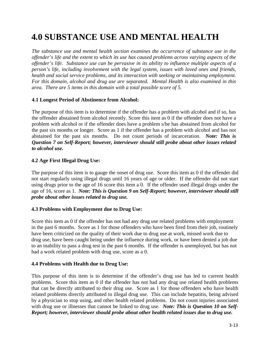## **4.0 SUBSTANCE USE AND MENTAL HEALTH**

*The substance use and mental health section examines the occurrence of substance use in the offender's life and the extent to which its use has caused problems across varying aspects of the offender's life. Substance use can be pervasive in its ability to influence multiple aspects of a person's life, including involvement with the legal system, issues with loved ones and friends, health and social service problems, and its interaction with seeking or maintaining employment. For this domain, alcohol and drug use are separated. Mental Health is also examined in this area. There are 5 items in this domain with a total possible score of 5.* 

#### **4.1 Longest Period of Abstinence from Alcohol:**

The purpose of this item is to determine if the offender has a problem with alcohol and if so, has the offender abstained from alcohol recently. Score this item as 0 if the offender does not have a problem with alcohol or if the offender does have a problem s/he has abstained from alcohol for the past six months or longer. Score as 1 if the offender has a problem with alcohol and has not abstained for the past six months. Do not count periods of incarceration. *Note: This is Question 7 on Self-Report; however, interviewer should still probe about other issues related to alcohol use.*

#### **4.2 Age First Illegal Drug Use:**

The purpose of this item is to gauge the onset of drug use. Score this item as 0 if the offender did not start regularly using illegal drugs until 16 years of age or older. If the offender did not start using drugs prior to the age of 16 score this item a 0. If the offender used illegal drugs under the age of 16, score as 1. *Note: This is Question 9 on Self-Report; however, interviewer should still probe about other issues related to drug use.*

#### **4.3 Problems with Employment due to Drug Use:**

Score this item as 0 if the offender has not had any drug use related problems with employment in the past 6 months. Score as 1 for those offenders who have been fired from their job, routinely have been criticized on the quality of their work due to drug use at work, missed work due to drug use, have been caught being under the influence during work, or have been denied a job due to an inability to pass a drug test in the past 6 months. If the offender is unemployed, but has not had a work related problem with drug use, score as a 0.

#### **4.4 Problems with Health due to Drug Use:**

This purpose of this item is to determine if the offender's drug use has led to current health problems. Score this item as 0 if the offender has not had any drug use related health problems that can be directly attributed to their drug use. Score as 1 for those offenders who have health related problems directly attributed to illegal drug use. This can include hepatitis, being advised by a physician to stop using, and other health related problems. Do not count injuries associated with drug use or illnesses that cannot be linked to drug use. *Note: This is Question 10 on Self-Report; however, interviewer should probe about other health related issues due to drug use.*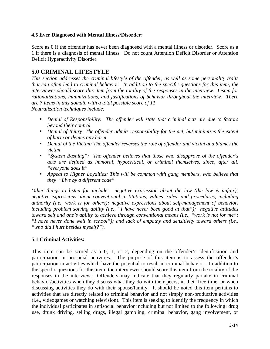#### **4.5 Ever Diagnosed with Mental Illness/Disorder:**

Score as 0 if the offender has never been diagnosed with a mental illness or disorder. Score as a 1 if there is a diagnosis of mental illness. Do not count Attention Deficit Disorder or Attention Deficit Hyperactivity Disorder.

#### **5.0 CRIMINAL LIFESTYLE**

*This section addresses the criminal lifestyle of the offender, as well as some personality traits that can often lead to criminal behavior. In addition to the specific questions for this item, the interviewer should score this item from the totality of the responses in the interview. Listen for rationalizations, minimizations, and justifications of behavior throughout the interview. There are 7 items in this domain with a total possible score of 11.* 

*Neutralization techniques include:* 

- *Denial of Responsibility: The offender will state that criminal acts are due to factors beyond their control*
- *harm of harm or denies any Denial of Injury: The offender admits responsibility for the act, but minimizes the extent*
- *Denial of the Victim: The offender reverses the role of offender and victim and blames the victim*
- *"System Bashing": The offender believes that those who disapprove of the offender's*  "everyone does it" *acts are defined as immoral, hypocritical, or criminal themselves, since, after all,*
- **•** Appeal to Higher Loyalties: This will be common with gang members, who believe that *they "Live by a different code"*

*Other things to listen for include: negative expression about the law (the law is unfair); including problem solving ability (i.e., "I have never been good at that"); negative attitudes negative expressions about conventional institutions, values, rules, and procedures, including authority (i.e., work is for others); negative expressions about self-management of behavior, toward self and one's ability to achieve through conventional means (i.e., "work is not for me"; "I have never done well in school"); and lack of empathy and sensitivity toward others (i.e., "who did I hurt besides myself?").* 

#### **5.1 Criminal Activities:**

participation in prosocial activities. The purpose of this item is to assess the offender's participation in activities which have the potential to result in criminal behavior. In addition to the specific questions for this item, the interviewer should score this item from the totality of the responses in the interview. Offenders may indicate that they regularly partake in criminal This item can be scored as a 0, 1, or 2, depending on the offender's identification and behavior/activities when they discuss what they do with their peers, in their free time, or when discussing activities they do with their spouse/family. It should be noted this item pertains to activities that are directly related to criminal behavior and not simply non-productive activities (i.e., videogames or watching television). This item is seeking to identify the frequency in which the individual participates in antisocial behavior including but not limited to the following: drug use, drunk driving, selling drugs, illegal gambling, criminal behavior, gang involvement, or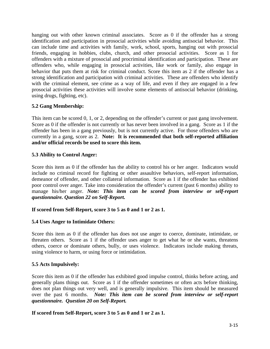hanging out with other known criminal associates. Score as 0 if the offender has a strong identification and participation in prosocial activities while avoiding antisocial behavior. This can include time and activities with family, work, school, sports, hanging out with prosocial friends, engaging in hobbies, clubs, church, and other prosocial activities. Score as 1 for offenders with a mixture of prosocial and procriminal identification and participation. These are offenders who, while engaging in prosocial activities, like work or family, also engage in behavior that puts them at risk for criminal conduct. Score this item as 2 if the offender has a strong identification and participation with criminal activities. These are offenders who identify with the criminal element, see crime as a way of life, and even if they are engaged in a few prosocial activities these activities will involve some elements of antisocial behavior (drinking, using drugs, fighting, etc).

#### **5.2 Gang Membership:**

This item can be scored 0, 1, or 2, depending on the offender's current or past gang involvement. Score as 0 if the offender is not currently or has never been involved in a gang. Score as 1 if the offender has been in a gang previously, but is no t currently active. For those offenders who are currently in a gang, score as 2. Note: It is recommended that both self-reported affiliation **nd/or official records be used to score this item. a**

#### **5.3 Ability to Control Anger:**

include no criminal record for fighting or other assaultive behaviors, self-report information, demeanor of offender, and other collateral information. Score as 1 if the offender has exhibited poor control over anger. Take into consideration the offender's current (past 6 months) ability to manage his/her anger. *Note: This item can be scored from interview or self-report* Score this item as 0 if the offender has the ability to control his or her anger. Indicators would *questionnaire. Question 22 on Self-Report.* 

#### **If scored from Self-Report, score 3 to 5 as 0 and 1 or 2 as 1.**

#### **5.4 Uses Anger to Intimidate Others:**

Score this item as 0 if the offender has does not use anger to coerce, dominate, intimidate, or threaten others. Score as 1 if the offender uses anger to get what he or she wants, threatens others, coerce or dominate others, bully, or uses violence. Indicators include making threats, using violence to harm, or using force or intimidation.

#### **5.5 Acts Impulsively:**

generally plans things out. Score as 1 if the offender sometimes or often acts before thinking, does not plan things out very well, and is generally impulsive. This item should be measured over the past 6 months. Note: This item can be scored from interview or self-report *uestionnaire. Question 20 on Self-Report. q* Score this item as 0 if the offender has exhibited good impulse control, thinks before acting, and

**If scored from Self-Report, score 3 to 5 as 0 and 1 or 2 as 1.**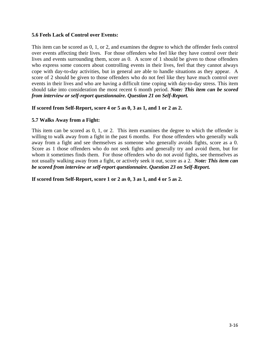#### **5.6 Feels Lack of Control over Events:**

This item can be scored as 0, 1, or 2, and examines the degree to which the offender feels control over events affecting their lives. For those offenders who feel like they have control over their lives and events surrounding them, score as 0. A score of 1 should be given to those offenders who express some concern about controlling events in their lives, feel that they cannot always cope with day-to-day activities, but in general are able to handle situations as they appear. A score of 2 should be given to those offenders who do not feel like they have much control over events in their lives and who are having a difficult time coping with day-to-day stress. This item should take into consideration the most recent 6 month period. *Note: This item can be scored from interview or self-report questionnaire. Question 21 on Self-Report.* 

#### **If scored from Self-Report, score 4 or 5 as 0, 3 as 1, and 1 or 2 as 2.**

#### **5.7 Walks Away from a Fight:**

This item can be scored as  $0, 1,$  or  $2$ . This item examines the degree to which the offender is willing to walk away from a fight in the past 6 months. For those offenders who generally walk Score as 1 those offenders who do not seek fights and generally try and avoid them, but for whom it sometimes finds them. For those offenders who do not avoid fights, see themselves as away from a fight and see themselves as someone who generally avoids fights, score as a 0. not usually walking away from a fight, or actively seek it out, score as a 2. *Note: This item can be scored from interview or self-report questionnaire. Question 23 on Self-Report.* 

**If scored from Self-Report, score 1 or 2 as 0, 3 as 1, and 4 or 5 as 2.**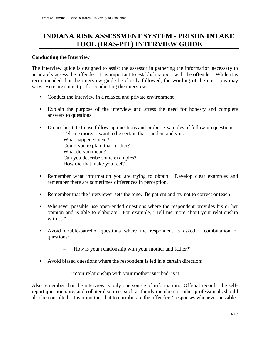### **INDIANA RISK ASSESSMENT SYSTEM - PRISON INTAKE TOOL (IRAS-PIT) INTERVIEW GUIDE**

#### **Conducting the Interview**

The interview guide is designed to assist the assessor in gathering the information necessary to accurately assess the offender. It is important to establish rapport with the offender. While it is recommended that the interview guide be closely followed, the wording of the questions may vary. Here are some tips for conducting the interview:

- Conduct the interview in a relaxed and private environment
- Explain the purpose of the interview and stress the need for honesty and complete answers to questions
- Do not hesitate to use follow-up questions and probe. Examples of follow-up questions:
	- Tell me more. I want to be certain that I understand you.
	- What happened next?
	- Could you explain that further?
	- What do you mean?
	- Can you describe some examples?
	- How did that make you feel?
- Remember what information you are trying to obtain. Develop clear examples and remember there are sometimes differences in perception.
- Remember that the interviewer sets the tone. Be patient and try not to correct or teach
- Whenever possible use open-ended questions where the respondent provides his or her opinion and is able to elaborate. For example, "Tell me more about your relationship with…"
- Avoid double-barreled questions where the respondent is asked a combination of questions:
	- "How is your relationship with your mother and father?"
- Avoid biased questions where the respondent is led in a certain direction:
	- "Your relationship with your mother isn't bad, is it?"

Also remember that the interview is only one source of information. Official records, the selfreport questionnaire, and collateral sources such as family members or other professionals should also be consulted. It is important that to corroborate the offenders' responses whenever possible.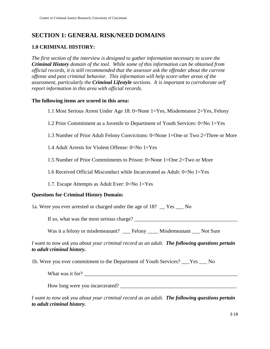#### **SECTION 1: GENERAL RISK/NEED DOMAINS**

#### **1.0 CRIMINAL HISTORY:**

*The first section of the interview is designed to gather information necessary to score the Criminal History domain of the tool. While some of this information can be obtained from official records, it is still recommended that the assessor ask the offender about the current offense and past criminal behavior. This information will help score other areas of the assessment, particularly the Criminal Lifestyle sections. It is important to corroborate self report information in this area with official records.* 

#### **The following items are scored in this area:**

- 1.1 Most Serious Arrest Under Age 18: 0=None 1=Yes, Misdemeanor 2=Yes, Felony
- 1.2 Prior Commitment as a Juvenile to Department of Youth Services: 0=No 1=Yes
- 1.3 Number of Prior Adult Felony Convictions: 0=None 1=One or Two 2=Three or More
- 1.4 Adult Arrests for Violent Offense: 0=No 1=Yes
- 1.5 Number of Prior Commitments to Prison: 0=None 1=One 2=Two or More
- 1.6 Received Official Misconduct while Incarcerated as Adult: 0=No 1=Yes
- 1.7. Escape Attempts as Adult Ever: 0=No 1=Yes

#### **Questions for Criminal History Domain:**

1a. Were you ever arrested or charged under the age of 18? \_\_ Yes \_\_\_ No

If so, what was the most serious charge? \_\_\_\_\_\_\_\_\_\_\_\_\_\_\_\_\_\_\_\_\_\_\_\_\_\_\_\_\_\_\_\_\_\_\_\_\_\_\_

Was it a felony or misdemeanant? \_\_\_ Felony \_\_\_\_ Misdemeanant \_\_\_ Not Sure

#### *I want to now ask you about your criminal record as an adult. The following questions pertain to adult criminal history.*

1b. Were you ever commitment to the Department of Youth Services? \_\_\_Yes \_\_\_ No

What was it for? \_\_\_\_\_\_\_\_\_\_\_\_\_\_\_\_\_\_\_\_\_\_\_\_\_\_\_\_\_\_\_\_\_\_\_\_\_\_\_\_\_\_\_\_\_\_\_\_\_\_\_\_\_\_\_\_\_\_

How long were you incarcerated? \_\_\_\_\_\_\_\_\_\_\_\_\_\_\_\_\_\_\_\_\_\_\_\_\_\_\_\_\_\_\_\_\_\_\_\_\_\_\_\_\_\_\_\_

*I want to now ask you about your criminal record as an adult. The following questions pertain to adult criminal history.*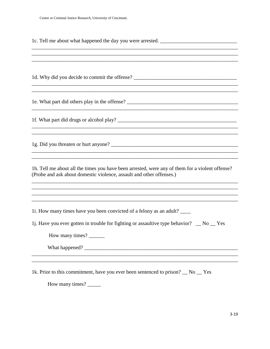|  |  |  |  |  | 1c. Tell me about what happened the day you were arrested. |  |
|--|--|--|--|--|------------------------------------------------------------|--|
|  |  |  |  |  |                                                            |  |

1d. Why did you decide to commit the offense? \_\_\_\_\_\_\_\_\_\_\_\_\_\_\_\_\_\_\_\_\_\_\_\_\_\_\_\_\_\_\_\_\_\_\_ 1e. What part did others play in the offense? \_\_\_\_\_\_\_\_\_\_\_\_\_\_\_\_\_\_\_\_\_\_\_\_\_\_\_\_\_\_\_\_\_\_ 1h. Tell me about all the times you have been arrested, were any of them for a violent offense? (Probe and ask about domestic violence, assault and other offenses.) <u> 1989 - Johann Barn, mars an t-Amerikaansk politiker (\* 1958)</u> 1. How many times have you been convicted of a felony as an adult? 1. Have you ever gotten in trouble for fighting or assaultive type behavior?  $\Box$  No  $\Box$  Yes How many times? What happened?

1k. Prior to this commitment, have you ever been sentenced to prison? No Yes

How many times?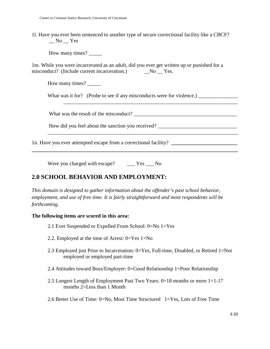1l. Have you ever been sentenced to another type of secure correctional facility like a CBCF?  $N<sub>0</sub>$   $Yes$ 

How many times?

1m. While you were incarcerated as an adult, did you ever get written up or punished for a misconduct? (Include current incarceration.) \_\_\_No \_\_ Yes.

How many times?

What was it for? (Probe to see if any misconducts were for violence.)

 $\overline{\phantom{a}}$  ,  $\overline{\phantom{a}}$  ,  $\overline{\phantom{a}}$  ,  $\overline{\phantom{a}}$  ,  $\overline{\phantom{a}}$  ,  $\overline{\phantom{a}}$  ,  $\overline{\phantom{a}}$  ,  $\overline{\phantom{a}}$  ,  $\overline{\phantom{a}}$  ,  $\overline{\phantom{a}}$  ,  $\overline{\phantom{a}}$  ,  $\overline{\phantom{a}}$  ,  $\overline{\phantom{a}}$  ,  $\overline{\phantom{a}}$  ,  $\overline{\phantom{a}}$  ,  $\overline{\phantom{a}}$ 

What was the result of the misconduct?

How did you feel about the sanction you received?

1n. Have you ever attempted escape from a correctional facility? **\_\_\_\_\_\_\_\_\_\_\_\_\_\_\_\_\_\_\_\_\_\_\_\_\_** 

Were you charged with escape? Yes No

#### **2.0 SCHOOL BEHAVIOR AND EMPLOYMENT:**

*This domain is designed to gather information about the offender's past school behavior, employment, and use of free time. It is fairly straightforward and most respondents will be forthcoming.* 

**\_\_\_\_\_\_\_\_\_\_\_\_\_\_\_\_\_\_\_\_\_\_\_\_\_\_\_\_\_\_\_\_\_\_\_\_\_\_\_\_\_\_\_\_\_\_\_\_\_\_\_\_\_\_\_\_\_\_\_\_\_\_\_\_\_\_\_\_\_\_\_\_\_\_\_\_\_\_** 

#### **The following items are scored in this area:**

- 2.1 Ever Suspended or Expelled From School: 0=No 1=Yes
- 2.2. Employed at the time of Arrest: 0=Yes 1=No
- 2.3 Employed just Prior to Incarceration: 0=Yes, Full-time, Disabled, or Retired 1=Not employed or employed part-time
- 2.4 Attitudes toward Boss/Employer: 0=Good Relationship 1=Poor Relationship
- 2.5 Longest Length of Employment Past Two Years: 0=18 months or more 1=1-17 months 2=Less than 1 Month

2.6 Better Use of Time: 0=No, Most Time Structured 1=Yes, Lots of Free Time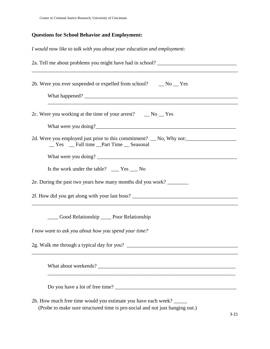#### **Questions for School Behavior and Employment:**

*I would now like to talk with you about your education and employment:* 

| 2a. Tell me about problems you might have had in school? ________________________<br><u> 1989 - Johann Stoff, amerikansk politiker (* 1908)</u> |
|-------------------------------------------------------------------------------------------------------------------------------------------------|
| 2b. Were you ever suspended or expelled from school? __ No __ Yes                                                                               |
| 2c. Were you working at the time of your arrest? $\Box$ No $\Box$ Yes                                                                           |
| _Yes _Eull time _Part Time _Seasonal                                                                                                            |
| Is the work under the table? ____ Yes ___ No<br>2e. During the past two years how many months did you work?                                     |
| and the control of the control of the control of the control of the control of the control of the control of the                                |
| Cood Relationship ______ Poor Relationship                                                                                                      |
| I now want to ask you about how you spend your time?                                                                                            |
|                                                                                                                                                 |
|                                                                                                                                                 |
|                                                                                                                                                 |
| 2h. How much free time would you estimate you have each week?<br>(Probe to make sure structured time is pro-social and not just hanging out.)   |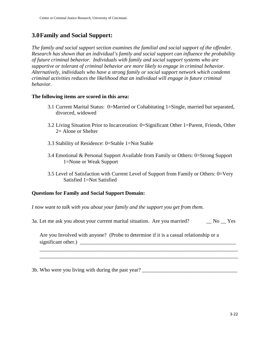#### **3.0Family and Social Support:**

*The family and social support section examines the familial and social support of the offender. Research has shown that an individual's family and social support can influence the probability of future criminal behavior. Individuals with family and social support systems who are supportive or tolerant of criminal behavior are more likely to engage in criminal behavior. Alternatively, individuals who have a strong family or social support network which condemn criminal activities reduces the likelihood that an individual will engage in future criminal behavior.* 

#### **The following items are scored in this area:**

- 3.1 Current Marital Status: 0=Married or Cohabitating 1=Single, married but separated, divorced, widowed
- 3.2 Living Situation Prior to Incarceration: 0=Significant Other 1=Parent, Friends, Other 2= Alone or Shelter
- 3.3 Stability of Residence: 0=Stable 1=Not Stable
- 3.4 Emotional & Personal Support Available from Family or Others: 0=Strong Support 1=None or Weak Support
- 3.5 Level of Satisfaction with Current Level of Support from Family or Others: 0=Very Satisfied 1=Not Satisfied

#### **Questions for Family and Social Support Domain:**

*I now want to talk with you about your family and the support you get from them.* 

3a. Let me ask you about your current marital situation. Are you married? No Yes

Are you Involved with anyone? (Probe to determine if it is a casual relationship or a significant other.) \_\_\_\_\_\_\_\_\_\_\_\_\_\_\_\_\_\_\_\_\_\_\_\_\_\_\_\_\_\_\_\_\_\_\_\_\_\_\_\_\_\_\_\_\_\_\_\_\_\_\_\_\_\_\_\_\_\_\_

3b. Who were you living with during the past year? \_\_\_\_\_\_\_\_\_\_\_\_\_\_\_\_\_\_\_\_\_\_\_\_\_\_\_\_\_\_

\_\_\_\_\_\_\_\_\_\_\_\_\_\_\_\_\_\_\_\_\_\_\_\_\_\_\_\_\_\_\_\_\_\_\_\_\_\_\_\_\_\_\_\_\_\_\_\_\_\_\_\_\_\_\_\_\_\_\_\_\_\_\_\_\_\_\_\_\_\_\_\_\_\_\_ \_\_\_\_\_\_\_\_\_\_\_\_\_\_\_\_\_\_\_\_\_\_\_\_\_\_\_\_\_\_\_\_\_\_\_\_\_\_\_\_\_\_\_\_\_\_\_\_\_\_\_\_\_\_\_\_\_\_\_\_\_\_\_\_\_\_\_\_\_\_\_\_\_\_\_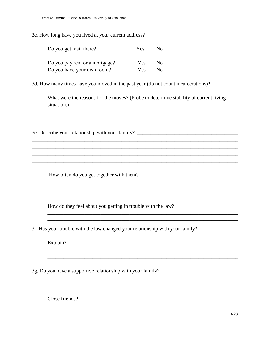| 3c. How long have you lived at your current address? ___________________________                                                                                                                                                            |
|---------------------------------------------------------------------------------------------------------------------------------------------------------------------------------------------------------------------------------------------|
| Do you get mail there?<br>$Yes$ No                                                                                                                                                                                                          |
| Do you pay rent or a mortgage? _______ Yes _____ No                                                                                                                                                                                         |
| 3d. How many times have you moved in the past year (do not count incarcerations)?                                                                                                                                                           |
| What were the reasons for the moves? (Probe to determine stability of current living<br>,我们也不会有什么。""我们的人,我们也不会有什么?""我们的人,我们也不会有什么?""我们的人,我们也不会有什么?""我们的人,我们也不会有什么?""我们的人                                                                    |
| ,我们也不能在这里的时候,我们也不能在这里的时候,我们也不能会在这里的时候,我们也不能会在这里的时候,我们也不能会在这里的时候,我们也不能会在这里的时候,我们也不<br>3e. Describe your relationship with your family? ________________________________<br><u> 1989 - Johann Barbara, margaret eta idazlearia (h. 1989).</u> |
| ,我们也不能在这里的时候,我们也不能在这里的时候,我们也不能会在这里的时候,我们也不能会在这里的时候,我们也不能会在这里的时候,我们也不能会在这里的时候,我们也不<br>,我们也不能在这里的时候,我们也不能在这里的时候,我们也不能会在这里的时候,我们也不能会在这里的时候,我们也不能会在这里的时候,我们也不能会在这里的时候,我们也                                                                       |
| How do they feel about you getting in trouble with the law? _____________________                                                                                                                                                           |
| 3f. Has your trouble with the law changed your relationship with your family? _______________                                                                                                                                               |
|                                                                                                                                                                                                                                             |
|                                                                                                                                                                                                                                             |
| Close friends?                                                                                                                                                                                                                              |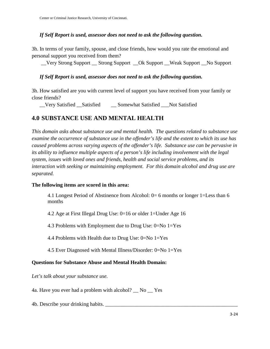#### *If Self Report is used, assessor does not need to ask the following question.*

3h. In terms of your family, spouse, and close friends, how would you rate the emotional and personal support you received from them?

\_\_Very Strong Support \_\_ Strong Support \_\_Ok Support \_\_Weak Support \_\_No Support

#### *If Self Report is used, assessor does not need to ask the following question.*

3h. How satisfied are you with current level of support you have received from your family or close friends?

Very Satisfied Satisfied Somewhat Satisfied Not Satisfied

#### **4.0 SUBSTANCE USE AND MENTAL HEALTH**

*This domain asks about substance use and mental health. The questions related to substance use examine the occurrence of substance use in the offender's life and the extent to which its use has caused problems across varying aspects of the offender's life. Substance use can be pervasive in its ability to influence multiple aspects of a person's life including involvement with the legal system, issues with loved ones and friends, health and social service problems, and its interaction with seeking or maintaining employment. For this domain alcohol and drug use are separated.* 

#### **The following items are scored in this area:**

4.1 Longest Period of Abstinence from Alcohol: 0= 6 months or longer 1=Less than 6 months

4.2 Age at First Illegal Drug Use: 0=16 or older 1=Under Age 16

4.3 Problems with Employment due to Drug Use: 0=No 1=Yes

4.4 Problems with Health due to Drug Use: 0=No 1=Yes

4.5 Ever Diagnosed with Mental Illness/Disorder: 0=No 1=Yes

#### **Questions for Substance Abuse and Mental Health Domain:**

*Let's talk about your substance use.* 

4a. Have you ever had a problem with alcohol? \_\_ No \_\_ Yes

4b. Describe your drinking habits. \_\_\_\_\_\_\_\_\_\_\_\_\_\_\_\_\_\_\_\_\_\_\_\_\_\_\_\_\_\_\_\_\_\_\_\_\_\_\_\_\_\_\_\_\_\_\_\_\_\_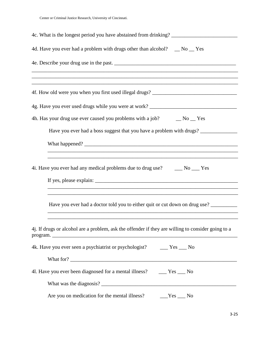| 4d. Have you ever had a problem with drugs other than alcohol? _ No _ Yes                                                                                           |  |  |  |  |  |
|---------------------------------------------------------------------------------------------------------------------------------------------------------------------|--|--|--|--|--|
|                                                                                                                                                                     |  |  |  |  |  |
|                                                                                                                                                                     |  |  |  |  |  |
|                                                                                                                                                                     |  |  |  |  |  |
| 4h. Has your drug use ever caused you problems with a job? $\qquad \qquad$ No $\qquad$ Yes                                                                          |  |  |  |  |  |
| Have you ever had a boss suggest that you have a problem with drugs? ____________                                                                                   |  |  |  |  |  |
|                                                                                                                                                                     |  |  |  |  |  |
| 4i. Have you ever had any medical problems due to drug use? ______ No ____ Yes<br>,我们也不能在这里的时候,我们也不能在这里的时候,我们也不能会在这里的时候,我们也不能会在这里的时候,我们也不能会在这里的时候,我们也不能会在这里的时候,我们也不 |  |  |  |  |  |
| Have you ever had a doctor told you to either quit or cut down on drug use?                                                                                         |  |  |  |  |  |
| 4j. If drugs or alcohol are a problem, ask the offender if they are willing to consider going to a                                                                  |  |  |  |  |  |
| 4k. Have you ever seen a psychiatrist or psychologist? ______ Yes ____ No                                                                                           |  |  |  |  |  |
|                                                                                                                                                                     |  |  |  |  |  |
| 41. Have you ever been diagnosed for a mental illness? ______ Yes ____ No                                                                                           |  |  |  |  |  |
|                                                                                                                                                                     |  |  |  |  |  |
| Are you on medication for the mental illness?<br>$Yes$ No                                                                                                           |  |  |  |  |  |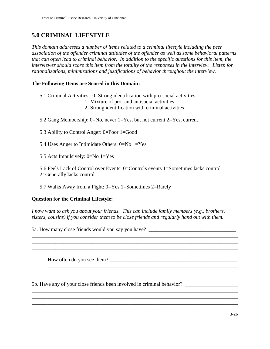#### **5.0 CRIMINAL LIFESTYLE**

*This domain addresses a number of items related to a criminal lifestyle including the peer association of the offender criminal attitudes of the offender as well as some behavioral patterns that can often lead to criminal behavior. In addition to the specific questions for this item, the interviewer should score this item from the totality of the responses in the interview. Listen for rationalizations, minimizations and justifications of behavior throughout the interview.* 

#### **The Following Items are Scored in this Domain:**

- 5.1 Criminal Activities: 0=Strong identification with pro-social activities 1=Mixture of pro- and antisocial activities 2=Strong identification with criminal activities
- 5.2 Gang Membership: 0=No, never 1=Yes, but not current 2=Yes, current
- 5.3 Ability to Control Anger: 0=Poor 1=Good
- 5.4 Uses Anger to Intimidate Others: 0=No 1=Yes
- 5.5 Acts Impulsively: 0=No 1=Yes

5.6 Feels Lack of Control over Events: 0=Controls events 1=Sometimes lacks control 2=Generally lacks control

5.7 Walks Away from a Fight: 0=Yes 1=Sometimes 2=Rarely

#### **Question for the Criminal Lifestyle:**

*I now want to ask you about your friends. This can include family members (e.g., brothers, sisters, cousins) if you consider them to be close friends and regularly hand out with them.* 

\_\_\_\_\_\_\_\_\_\_\_\_\_\_\_\_\_\_\_\_\_\_\_\_\_\_\_\_\_\_\_\_\_\_\_\_\_\_\_\_\_\_\_\_\_\_\_\_\_\_\_\_\_\_\_\_\_\_\_\_\_\_\_\_\_\_\_\_\_\_\_\_\_\_\_\_\_\_

 \_\_\_\_\_\_\_\_\_\_\_\_\_\_\_\_\_\_\_\_\_\_\_\_\_\_\_\_\_\_\_\_\_\_\_\_\_\_\_\_\_\_\_\_\_\_\_\_\_\_\_\_\_\_\_\_\_\_\_\_\_\_\_\_\_\_\_\_\_\_\_\_  $\overline{\phantom{a}}$  , and the contribution of the contribution of the contribution of the contribution of the contribution of the contribution of the contribution of the contribution of the contribution of the contribution of the

\_\_\_\_\_\_\_\_\_\_\_\_\_\_\_\_\_\_\_\_\_\_\_\_\_\_\_\_\_\_\_\_\_\_\_\_\_\_\_\_\_\_\_\_\_\_\_\_\_\_\_\_\_\_\_\_\_\_\_\_\_\_\_\_\_\_\_\_\_\_\_\_\_\_\_\_\_\_ \_\_\_\_\_\_\_\_\_\_\_\_\_\_\_\_\_\_\_\_\_\_\_\_\_\_\_\_\_\_\_\_\_\_\_\_\_\_\_\_\_\_\_\_\_\_\_\_\_\_\_\_\_\_\_\_\_\_\_\_\_\_\_\_\_\_\_\_\_\_\_\_\_\_\_\_\_\_

5a. How many close friends would you say you have? \_\_\_\_\_\_\_\_\_\_\_\_\_\_\_\_\_\_\_\_\_\_\_\_\_\_\_\_\_\_

How often do you see them?

5b. Have any of your close friends been involved in criminal behavior?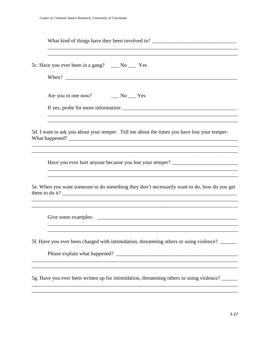| What kind of things have they been involved in? _________________________________                                                                                                                  |
|----------------------------------------------------------------------------------------------------------------------------------------------------------------------------------------------------|
| ,我们也不能在这里的时候,我们也不能在这里的时候,我们也不能会在这里的时候,我们也不能会在这里的时候,我们也不能会在这里的时候,我们也不能会在这里的时候,我们也不<br>5c. Have you ever been in a gang? ____ No ____ Yes<br>When?                                                   |
| If yes, probe for more information:<br>,我们也不能在这里的时候,我们也不能在这里的时候,我们也不能会在这里的时候,我们也不能会在这里的时候,我们也不能会在这里的时候,我们也不能会在这里的时候,我们也不                                                                           |
| 5d. I want to ask you about your temper. Tell me about the times you have lost your temper:<br>What happened?                                                                                      |
| Have you ever hurt anyone because you lost your temper? ________________________                                                                                                                   |
| ,我们也不能在这里的人,我们也不能在这里的人,我们也不能在这里的人,我们也不能在这里的人,我们也不能在这里的人,我们也不能在这里的人,我们也不能在这里的人,我们也<br>5e. When you want someone to do something they don't necessarily want to do, how do you get<br>them to do it? |
|                                                                                                                                                                                                    |
| 5f. Have you ever been charged with intimidation, threatening others or using violence? _____                                                                                                      |
| 5g. Have you ever been written up for intimidation, threatening others or using violence?                                                                                                          |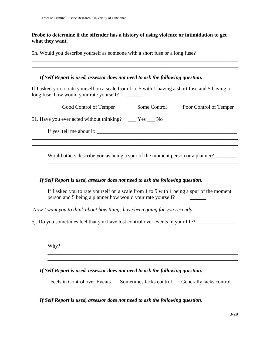#### **Probe to determine if the offender has a history of using violence or intimidation to get what they want.**

5h. Would you describe yourself as someone with a short fuse or a long fuse?

#### *If Self Report is used, assessor does not need to ask the following question.*

If I asked you to rate yourself on a scale from 1 to 5 with 1 having a short fuse and 5 having a long fuse, how would your rate yourself?

\_\_\_\_\_\_\_\_\_\_\_\_\_\_\_\_\_\_\_\_\_\_\_\_\_\_\_\_\_\_\_\_\_\_\_\_\_\_\_\_\_\_\_\_\_\_\_\_\_\_\_\_\_\_\_\_\_\_\_\_\_\_\_\_\_\_\_\_\_\_\_\_\_\_\_\_\_\_

\_\_\_\_\_ Good Control of Temper \_\_\_\_\_\_\_ Some Control \_\_\_\_\_ Poor Control of Temper

51. Have you ever acted without thinking? \_\_\_ Yes \_\_\_ No

If yes, tell me about it:

Would others describe you as being a spur of the moment person or a planner? \_\_\_\_\_\_\_\_\_\_\_\_\_\_\_\_\_\_\_\_\_\_\_\_\_\_\_\_\_\_\_\_\_\_\_\_\_\_\_\_\_\_\_\_\_\_\_\_\_\_\_\_\_\_\_\_\_\_\_\_\_\_\_\_\_\_\_\_\_\_\_\_

 $\overline{\phantom{a}}$  ,  $\overline{\phantom{a}}$  ,  $\overline{\phantom{a}}$  ,  $\overline{\phantom{a}}$  ,  $\overline{\phantom{a}}$  ,  $\overline{\phantom{a}}$  ,  $\overline{\phantom{a}}$  ,  $\overline{\phantom{a}}$  ,  $\overline{\phantom{a}}$  ,  $\overline{\phantom{a}}$  ,  $\overline{\phantom{a}}$  ,  $\overline{\phantom{a}}$  ,  $\overline{\phantom{a}}$  ,  $\overline{\phantom{a}}$  ,  $\overline{\phantom{a}}$  ,  $\overline{\phantom{a}}$ 

\_\_\_\_\_\_\_\_\_\_\_\_\_\_\_\_\_\_\_\_\_\_\_\_\_\_\_\_\_\_\_\_\_\_\_\_\_\_\_\_\_\_\_\_\_\_\_\_\_\_\_\_\_\_\_\_\_\_\_\_\_\_\_\_\_\_\_\_\_\_\_\_\_\_\_\_\_\_ \_\_\_\_\_\_\_\_\_\_\_\_\_\_\_\_\_\_\_\_\_\_\_\_\_\_\_\_\_\_\_\_\_\_\_\_\_\_\_\_\_\_\_\_\_\_\_\_\_\_\_\_\_\_\_\_\_\_\_\_\_\_\_\_\_\_\_\_\_\_\_\_\_\_\_\_\_\_

#### *If Self Report is used, assessor does not need to ask the following question.*

If I asked you to rate yourself on a scale from 1 to 5 with 1 being a spur of the moment person and 5 being a planner how would your rate yourself? \_\_\_\_\_\_

\_\_\_\_\_\_\_\_\_\_\_\_\_\_\_\_\_\_\_\_\_\_\_\_\_\_\_\_\_\_\_\_\_\_\_\_\_\_\_\_\_\_\_\_\_\_\_\_\_\_\_\_\_\_\_\_\_\_\_\_\_\_\_\_\_\_\_\_\_\_\_\_\_\_\_\_\_\_ \_\_\_\_\_\_\_\_\_\_\_\_\_\_\_\_\_\_\_\_\_\_\_\_\_\_\_\_\_\_\_\_\_\_\_\_\_\_\_\_\_\_\_\_\_\_\_\_\_\_\_\_\_\_\_\_\_\_\_\_\_\_\_\_\_\_\_\_\_\_\_\_\_\_\_\_\_\_

 \_\_\_\_\_\_\_\_\_\_\_\_\_\_\_\_\_\_\_\_\_\_\_\_\_\_\_\_\_\_\_\_\_\_\_\_\_\_\_\_\_\_\_\_\_\_\_\_\_\_\_\_\_\_\_\_\_\_\_\_\_\_\_\_\_\_\_\_\_\_\_\_  $\overline{\phantom{a}}$  , and the contribution of the contribution of the contribution of the contribution of the contribution of the contribution of the contribution of the contribution of the contribution of the contribution of the

 *Now I want you to think about how things have been going for you recently.* 

5. Do you sometimes feel that you have lost control over events in your life?

 $Why?$ 

*If Self Report is used, assessor does not need to ask the following question.* 

\_\_\_\_Feels in Control over Events \_\_\_Sometimes lacks control \_\_\_Generally lacks control

*If Self Report is used, assessor does not need to ask the following question.*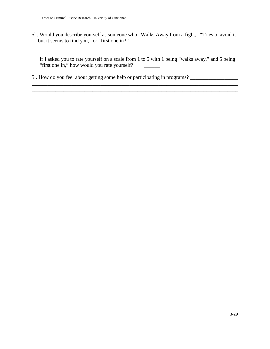5k. Would you describe yourself as someone who "Walks Away from a fight," "Tries to avoid it but it seems to find you," or "first one in?"

If I asked you to rate yourself on a scale from 1 to 5 with 1 being "walks away," and 5 being "first one in," how would you rate yourself? \_\_\_\_\_\_

\_\_\_\_\_\_\_\_\_\_\_\_\_\_\_\_\_\_\_\_\_\_\_\_\_\_\_\_\_\_\_\_\_\_\_\_\_\_\_\_\_\_\_\_\_\_\_\_\_\_\_\_\_\_\_\_\_\_\_\_\_\_\_\_\_\_\_\_\_\_\_\_\_\_\_\_\_\_

\_\_\_\_\_\_\_\_\_\_\_\_\_\_\_\_\_\_\_\_\_\_\_\_\_\_\_\_\_\_\_\_\_\_\_\_\_\_\_\_\_\_\_\_\_\_\_\_\_\_\_\_\_\_\_\_\_\_\_\_\_\_\_\_\_\_\_\_\_\_\_\_\_\_\_

5l. How do you feel about getting some help or participating in programs? \_\_\_\_\_\_\_\_\_\_\_\_\_\_\_\_\_\_\_\_\_\_\_\_\_\_

\_\_\_\_\_\_\_\_\_\_\_\_\_\_\_\_\_\_\_\_\_\_\_\_\_\_\_\_\_\_\_\_\_\_\_\_\_\_\_\_\_\_\_\_\_\_\_\_\_\_\_\_\_\_\_\_\_\_\_\_\_\_\_\_\_\_\_\_\_\_\_\_\_\_\_\_\_\_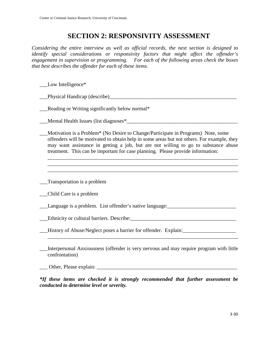#### **SECTION 2: RESPONSIVITY ASSESSMENT**

*Considering the entire interview as well as official records, the next section is designed to identify special considerations or responsivity factors that might affect the offender's engagement in supervision or programming. For each of the following areas check the boxes that best describes the offender for each of these items.* 

| Low Intelligence*                                                                                                                                                                                                                                                                                                                                        |
|----------------------------------------------------------------------------------------------------------------------------------------------------------------------------------------------------------------------------------------------------------------------------------------------------------------------------------------------------------|
|                                                                                                                                                                                                                                                                                                                                                          |
| Reading or Writing significantly below normal*                                                                                                                                                                                                                                                                                                           |
| Mental Health Issues (list diagnoses <sup>*</sup>                                                                                                                                                                                                                                                                                                        |
| Motivation is a Problem* (No Desire to Change/Participate in Programs) Note, some<br>offenders will be motivated to obtain help in some areas but not others. For example, they<br>may want assistance in getting a job, but are not willing to go to substance abuse<br>treatment. This can be important for case planning. Please provide information: |
|                                                                                                                                                                                                                                                                                                                                                          |
| Transportation is a problem                                                                                                                                                                                                                                                                                                                              |
| Child Care is a problem                                                                                                                                                                                                                                                                                                                                  |
| Language is a problem. List offender's native language: ________________________                                                                                                                                                                                                                                                                         |
|                                                                                                                                                                                                                                                                                                                                                          |
| History of Abuse/Neglect poses a barrier for offender. Explain:                                                                                                                                                                                                                                                                                          |
| Interpersonal Anxiousness (offender is very nervous and may require program with little<br>confrontation)                                                                                                                                                                                                                                                |

\_\_\_ Other, Please explain: \_\_\_\_\_\_\_\_\_\_\_\_\_\_\_\_\_\_\_\_\_\_\_\_\_\_\_\_\_\_\_\_\_\_\_\_\_\_\_\_\_\_\_\_\_\_\_\_\_\_\_\_\_

*\*If these items are checked it is strongly recommended that further assessment be conducted to determine level or severity.*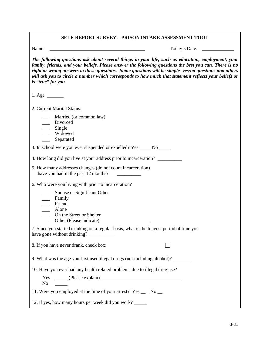| <b>SELF-REPORT SURVEY - PRISON INTAKE ASSESSMENT TOOL</b>                                                                                                                                                                                                                                                                                                                                                                                           |
|-----------------------------------------------------------------------------------------------------------------------------------------------------------------------------------------------------------------------------------------------------------------------------------------------------------------------------------------------------------------------------------------------------------------------------------------------------|
| Name:<br>Today's Date:<br><u> 1980 - Johann Barbara, martin amerikan basar dan basa dan basa dan basa dalam basa dalam basa dalam basa dan</u>                                                                                                                                                                                                                                                                                                      |
| The following questions ask about several things in your life, such as education, employment, your<br>family, friends, and your beliefs. Please answer the following questions the best you can. There is no<br>right or wrong answers to these questions. Some questions will be simple yes/no questions and others<br>will ask you to circle a number which corresponds to how much that statement reflects your beliefs or<br>is "true" for you. |
| 1. Age $\qquad$                                                                                                                                                                                                                                                                                                                                                                                                                                     |
| 2. Current Marital Status:                                                                                                                                                                                                                                                                                                                                                                                                                          |
| Married (or common law)<br>Divorced<br>_____ Single<br>Widowed<br>Separated                                                                                                                                                                                                                                                                                                                                                                         |
| 3. In school were you ever suspended or expelled? Yes ______ No _____                                                                                                                                                                                                                                                                                                                                                                               |
| 4. How long did you live at your address prior to incarceration?                                                                                                                                                                                                                                                                                                                                                                                    |
| 5. How many addresses changes (do not count incarceration)<br>have you had in the past 12 months?                                                                                                                                                                                                                                                                                                                                                   |
| 6. Who were you living with prior to incarceration?                                                                                                                                                                                                                                                                                                                                                                                                 |
| Spouse or Significant Other<br>Family<br>Friend<br>Alone<br>$\overline{\phantom{0}}$<br>On the Street or Shelter                                                                                                                                                                                                                                                                                                                                    |
| 7. Since you started drinking on a regular basis, what is the longest period of time you                                                                                                                                                                                                                                                                                                                                                            |
| 8. If you have never drank, check box:                                                                                                                                                                                                                                                                                                                                                                                                              |
| 9. What was the age you first used illegal drugs (not including alcohol)?                                                                                                                                                                                                                                                                                                                                                                           |
| 10. Have you ever had any health related problems due to illegal drug use?                                                                                                                                                                                                                                                                                                                                                                          |
| No<br><b>Contract Contract</b>                                                                                                                                                                                                                                                                                                                                                                                                                      |
| 11. Were you employed at the time of your arrest? Yes _ No _                                                                                                                                                                                                                                                                                                                                                                                        |
| 12. If yes, how many hours per week did you work?                                                                                                                                                                                                                                                                                                                                                                                                   |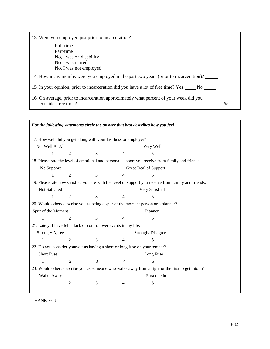| 13. Were you employed just prior to incarceration?                                                            |   |
|---------------------------------------------------------------------------------------------------------------|---|
| Full-time                                                                                                     |   |
| Part-time                                                                                                     |   |
| $\frac{1}{\sqrt{1 - x^2}}$ No, I was on disability                                                            |   |
| No, I was retired                                                                                             |   |
| No, I was not employed                                                                                        |   |
| 14. How many months were you employed in the past two years (prior to incarceration)?                         |   |
| 15. In your opinion, prior to incarceration did you have a lot of free time? Yes ______ No ______             |   |
| 16. On average, prior to incarceration approximately what percent of your week did you<br>consider free time? | % |

| For the following statements circle the answer that best describes how you feel |                                                                                                   |   |                                                                   |                                                                                                      |  |  |  |
|---------------------------------------------------------------------------------|---------------------------------------------------------------------------------------------------|---|-------------------------------------------------------------------|------------------------------------------------------------------------------------------------------|--|--|--|
| 17. How well did you get along with your last boss or employer?                 |                                                                                                   |   |                                                                   |                                                                                                      |  |  |  |
| Not Well At All<br>Very Well                                                    |                                                                                                   |   |                                                                   |                                                                                                      |  |  |  |
| 1                                                                               | $\overline{2}$                                                                                    | 3 | 4                                                                 | 5                                                                                                    |  |  |  |
|                                                                                 |                                                                                                   |   |                                                                   | 18. Please rate the level of emotional and personal support you receive from family and friends.     |  |  |  |
| No Support                                                                      |                                                                                                   |   |                                                                   | Great Deal of Support                                                                                |  |  |  |
| 1                                                                               | $\overline{2}$                                                                                    | 3 | 4                                                                 | 5                                                                                                    |  |  |  |
|                                                                                 |                                                                                                   |   |                                                                   | 19. Please rate how satisfied you are with the level of support you receive from family and friends. |  |  |  |
| Not Satisfied                                                                   |                                                                                                   |   |                                                                   | Very Satisfied                                                                                       |  |  |  |
| 1                                                                               | 2                                                                                                 | 3 |                                                                   | 5                                                                                                    |  |  |  |
|                                                                                 |                                                                                                   |   |                                                                   | 20. Would others describe you as being a spur of the moment person or a planner?                     |  |  |  |
| Spur of the Moment                                                              |                                                                                                   |   |                                                                   | Planner                                                                                              |  |  |  |
|                                                                                 | $\overline{2}$                                                                                    | 3 | 4                                                                 | 5                                                                                                    |  |  |  |
|                                                                                 |                                                                                                   |   | 21. Lately, I have felt a lack of control over events in my life. |                                                                                                      |  |  |  |
| <b>Strongly Agree</b>                                                           |                                                                                                   |   |                                                                   | <b>Strongly Disagree</b>                                                                             |  |  |  |
| 1                                                                               | $\overline{2}$                                                                                    | 3 | 4                                                                 | 5                                                                                                    |  |  |  |
|                                                                                 |                                                                                                   |   |                                                                   | 22. Do you consider yourself as having a short or long fuse on your temper?                          |  |  |  |
| <b>Short Fuse</b>                                                               |                                                                                                   |   |                                                                   | Long Fuse                                                                                            |  |  |  |
|                                                                                 | $\mathfrak{D}$                                                                                    | 3 | 4                                                                 | 5                                                                                                    |  |  |  |
|                                                                                 | 23. Would others describe you as someone who walks away from a fight or the first to get into it? |   |                                                                   |                                                                                                      |  |  |  |
| <b>Walks Away</b>                                                               |                                                                                                   |   |                                                                   | First one in                                                                                         |  |  |  |
| 1                                                                               | 2                                                                                                 | 3 | 4                                                                 | 5                                                                                                    |  |  |  |
|                                                                                 |                                                                                                   |   |                                                                   |                                                                                                      |  |  |  |

THANK YOU.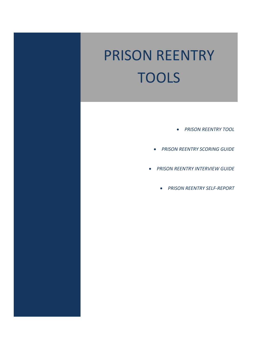# PRISON REENTRY TOOLS

- *PRISON REENTRY TOOL*
- *PRISON REENTRY SCORING GUIDE*
- *PRISON REENTRY INTERVIEW GUIDE*
	- *PRISON REENTRY SELF‐REPORT*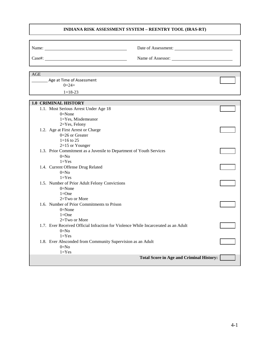#### **INDIANA RISK ASSESSMENT SYSTEM – REENTRY TOOL (IRAS-RT)**

| AGE                                                                                |                                                 |  |
|------------------------------------------------------------------------------------|-------------------------------------------------|--|
| Age at Time of Assessment<br>$0=24+$                                               |                                                 |  |
| $1 = 18 - 23$                                                                      |                                                 |  |
|                                                                                    |                                                 |  |
| <b>1.0 CRIMINAL HISTORY</b>                                                        |                                                 |  |
| 1.1. Most Serious Arrest Under Age 18                                              |                                                 |  |
| $0 = None$                                                                         |                                                 |  |
| $1 = Yes$ , Misdemeanor                                                            |                                                 |  |
| 2=Yes, Felony                                                                      |                                                 |  |
| 1.2. Age at First Arrest or Charge                                                 |                                                 |  |
| $0=26$ or Greater                                                                  |                                                 |  |
| $1=16$ to 25                                                                       |                                                 |  |
| $2=15$ or Younger                                                                  |                                                 |  |
| 1.3. Prior Commitment as a Juvenile to Department of Youth Services                |                                                 |  |
| $0=No$                                                                             |                                                 |  |
| $1 = Yes$                                                                          |                                                 |  |
| 1.4. Current Offense Drug Related                                                  |                                                 |  |
| $0=No$<br>$1 = Yes$                                                                |                                                 |  |
|                                                                                    |                                                 |  |
| 1.5. Number of Prior Adult Felony Convictions<br>$0=$ None                         |                                                 |  |
| $1 = One$                                                                          |                                                 |  |
| 2=Two or More                                                                      |                                                 |  |
| 1.6. Number of Prior Commitments to Prison                                         |                                                 |  |
| $0 = None$                                                                         |                                                 |  |
| $1=One$                                                                            |                                                 |  |
| 2=Two or More                                                                      |                                                 |  |
| 1.7. Ever Received Official Infraction for Violence While Incarcerated as an Adult |                                                 |  |
| $0=No$                                                                             |                                                 |  |
| $1 = Yes$                                                                          |                                                 |  |
| 1.8. Ever Absconded from Community Supervision as an Adult                         |                                                 |  |
| $0=No$                                                                             |                                                 |  |
| $1 = Yes$                                                                          |                                                 |  |
|                                                                                    | <b>Total Score in Age and Criminal History:</b> |  |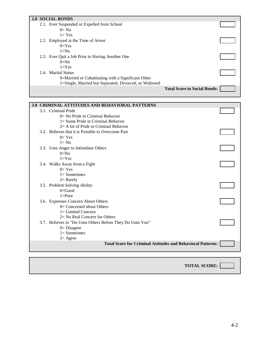| <b>2.0 SOCIAL BONDS</b>                               |                                     |  |
|-------------------------------------------------------|-------------------------------------|--|
| 2.1. Ever Suspended or Expelled from School           |                                     |  |
| $0=$ No                                               |                                     |  |
| $1 = Yes$                                             |                                     |  |
| 2.2. Employed at the Time of Arrest                   |                                     |  |
| $0=Yes$                                               |                                     |  |
| $1 = No$                                              |                                     |  |
| 2.3. Ever Quit a Job Prior to Having Another One      |                                     |  |
| $0=N0$                                                |                                     |  |
| $1 = Yes$                                             |                                     |  |
| 2.4. Marital Status                                   |                                     |  |
| 0=Married or Cohabitating with a Significant Other    |                                     |  |
| 1=Single, Married but Separated, Divorced, or Widowed |                                     |  |
|                                                       | <b>Total Score in Social Bonds:</b> |  |

|  | <b>3.0 CRIMINAL ATTITUDES AND BEHAVIORAL PATTERNS</b>              |  |
|--|--------------------------------------------------------------------|--|
|  | 3.1. Criminal Pride                                                |  |
|  | $0=$ No Pride in Criminal Behavior                                 |  |
|  | $l =$ Some Pride in Criminal Behavior                              |  |
|  | $2=$ A lot of Pride in Criminal Behavior                           |  |
|  | 3.2. Believes that it is Possible to Overcome Past                 |  |
|  | $0=Yes$                                                            |  |
|  | $1 = No$                                                           |  |
|  | 3.3. Uses Anger to Intimidate Others                               |  |
|  | $0=N0$                                                             |  |
|  | $1 = Yes$                                                          |  |
|  | 3.4. Walks Away from a Fight                                       |  |
|  | $0=Yes$                                                            |  |
|  | $1 =$ Sometimes                                                    |  |
|  | $2=$ Rarely                                                        |  |
|  | 3.5. Problem Solving Ability                                       |  |
|  | $0=$ Good                                                          |  |
|  | $1 = Poor$                                                         |  |
|  | 3.6. Expresses Concern About Others                                |  |
|  | $0=$ Concerned about Others                                        |  |
|  | $l =$ Limited Concern                                              |  |
|  | $2 = No$ Real Concern for Others                                   |  |
|  | 3.7. Believes in "Do Unto Others Before They Do Unto You"          |  |
|  | $0 = Disagree$                                                     |  |
|  | $1 =$ Sometimes                                                    |  |
|  | $2 = \text{Agree}$                                                 |  |
|  | <b>Total Score for Criminal Attitudes and Behavioral Patterns:</b> |  |
|  |                                                                    |  |
|  |                                                                    |  |

**TOTAL SCORE:**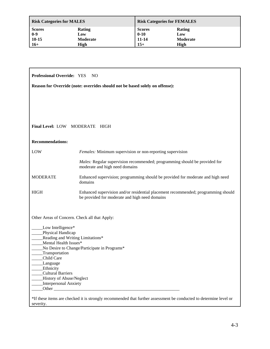| <b>Risk Categories for MALES</b> |               | <b>Risk Categories for FEMALES</b> |          |
|----------------------------------|---------------|------------------------------------|----------|
| <b>Scores</b>                    | <b>Rating</b> | <b>Scores</b>                      | Rating   |
| $0 - 9$                          | Low           | $0 - 10$                           | Low      |
| $10 - 15$                        | Moderate      | 11-14                              | Moderate |
| $16+$                            | High          | $15+$                              | High     |

| <b>Professional Override: YES</b><br>NO.                                     |                                                                                                                                     |  |  |  |  |
|------------------------------------------------------------------------------|-------------------------------------------------------------------------------------------------------------------------------------|--|--|--|--|
| Reason for Override (note: overrides should not be based solely on offense): |                                                                                                                                     |  |  |  |  |
|                                                                              |                                                                                                                                     |  |  |  |  |
|                                                                              |                                                                                                                                     |  |  |  |  |
|                                                                              |                                                                                                                                     |  |  |  |  |
|                                                                              | Final Level: LOW MODERATE HIGH                                                                                                      |  |  |  |  |
|                                                                              |                                                                                                                                     |  |  |  |  |
| <b>Recommendations:</b>                                                      |                                                                                                                                     |  |  |  |  |
| LOW                                                                          | Females: Minimum supervision or non-reporting supervision                                                                           |  |  |  |  |
|                                                                              | Males: Regular supervision recommended; programming should be provided for<br>moderate and high need domains                        |  |  |  |  |
| <b>MODERATE</b>                                                              | Enhanced supervision; programming should be provided for moderate and high need<br>domains                                          |  |  |  |  |
| <b>HIGH</b>                                                                  | Enhanced supervision and/or residential placement recommended; programming should<br>be provided for moderate and high need domains |  |  |  |  |
| Other Areas of Concern. Check all that Apply:                                |                                                                                                                                     |  |  |  |  |
| Low Intelligence*                                                            |                                                                                                                                     |  |  |  |  |
| Physical Handicap                                                            | Reading and Writing Limitations*                                                                                                    |  |  |  |  |
| Mental Health Issues*                                                        |                                                                                                                                     |  |  |  |  |
| No Desire to Change/Participate in Programs*<br>Transportation               |                                                                                                                                     |  |  |  |  |
| Child Care                                                                   |                                                                                                                                     |  |  |  |  |
| Language<br>Ethnicity                                                        |                                                                                                                                     |  |  |  |  |
| <b>Cultural Barriers</b>                                                     |                                                                                                                                     |  |  |  |  |
| History of Abuse/Neglect<br>Interpersonal Anxiety                            |                                                                                                                                     |  |  |  |  |
| Other                                                                        |                                                                                                                                     |  |  |  |  |
|                                                                              | *If these items are checked it is strongly recommended that further assessment be conducted to determine level or                   |  |  |  |  |
| severity.                                                                    |                                                                                                                                     |  |  |  |  |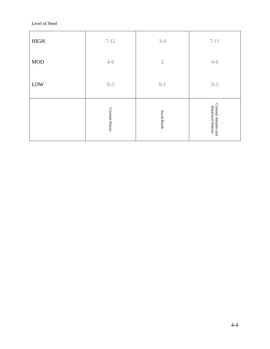Level of Need

|              | Criminal History | Social Bonds   | Criminal Attitudes and<br><b>Behavioral Patterns</b> |
|--------------|------------------|----------------|------------------------------------------------------|
| LOW          | $0 - 3$          | $0 - 1$        | $0 - 3$                                              |
| $\rm MOD$    | $4 - 6$          | $\overline{2}$ | $4 - 6$                                              |
| ${\rm HIGH}$ | $7 - 12$         | $3-4$          | $7 - 11$                                             |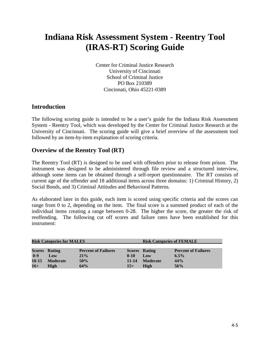## **Indiana Risk Assessment System - Reentry Tool (IRAS-RT) Scoring Guide**

Center for Criminal Justice Research University of Cincinnati School of Criminal Justice PO Box 210389 Cincinnati, Ohio 45221-0389

#### **Introduction**

The following scoring guide is intended to be a user's guide for the Indiana Risk Assessment System - Reentry Tool, which was developed by the Center for Criminal Justice Research at the University of Cincinnati. The scoring guide will give a brief overview of the assessment tool followed by an item-by-item explanation of scoring criteria.

#### **Overview of the Reentry Tool (RT)**

The Reentry Tool (RT) is designed to be used with offenders prior to release from prison. The instrument was designed to be administered through file review and a structured interview, although some items can be obtained through a self-report questionnaire. The RT consists of current age of the offender and 18 additional items across three domains: 1) Criminal History, 2) Social Bonds, and 3) Criminal Attitudes and Behavioral Patterns.

As elaborated later in this guide, each item is scored using specific criteria and the scores can range from 0 to 2, depending on the item. The final score is a summed product of each of the individual items creating a range between 0-28. The higher the score, the greater the risk of reoffending. The following cut off scores and failure rates have been established for this instrument:

| <b>Risk Categories for MALES</b> |                      |                            | <b>Risk Categories of FEMALE</b> |                      |                            |
|----------------------------------|----------------------|----------------------------|----------------------------------|----------------------|----------------------------|
|                                  |                      |                            |                                  |                      |                            |
|                                  | <b>Scores Rating</b> | <b>Percent of Failures</b> |                                  | <b>Scores Rating</b> | <b>Percent of Failures</b> |
| $0 - 9$                          | Low                  | 21%                        | $0 - 10$                         | Low                  | $6.5\%$                    |
| $10 - 15$                        | <b>Moderate</b>      | 50%                        | $11 - 14$                        | <b>Moderate</b>      | 44%                        |
| $16+$                            | High                 | 64%                        | $15 +$                           | High                 | 56%                        |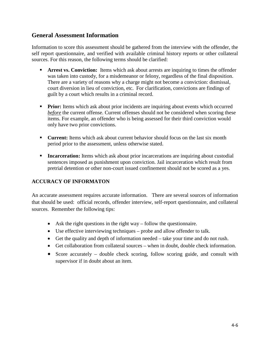#### **General Assessment Information**

Information to score this assessment should be gathered from the interview with the offender, the self report questionnaire, and verified with available criminal history reports or other collateral sources. For this reason, the following terms should be clarified:

- **Arrest vs. Conviction:** Items which ask about arrests are inquiring to times the offender was taken into custody, for a misdemeanor or felony, regardless of the final disposition. There are a variety of reasons why a charge might not become a conviction: dismissal, court diversion in lieu of conviction, etc. For clarification, convictions are findings of guilt by a court which results in a criminal record.
- **Prior:** Items which ask about prior incidents are inquiring about events which occurred *before* the current offense. Current offenses should not be considered when scoring these items. For example, an offender who is being assessed for their third conviction would only have two prior convictions.
- **Current:** Items which ask about current behavior should focus on the last six month period prior to the assessment, unless otherwise stated.
- **Incarceration:** Items which ask about prior incarcerations are inquiring about custodial sentences imposed as punishment upon conviction. Jail incarceration which result from pretrial detention or other non-court issued confinement should not be scored as a yes.

#### **ACCURACY OF INFORMATON**

An accurate assessment requires accurate information. There are several sources of information that should be used: official records, offender interview, self-report questionnaire, and collateral sources. Remember the following tips:

- Ask the right questions in the right way follow the questionnaire.
- Use effective interviewing techniques probe and allow offender to talk.
- Get the quality and depth of information needed take your time and do not rush.
- Get collaboration from collateral sources when in doubt, double check information.
- Score accurately double check scoring, follow scoring guide, and consult with supervisor if in doubt about an item.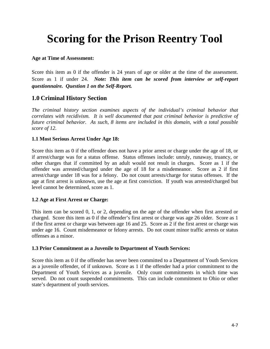## **Scoring for the Prison Reentry Tool**

#### **Age at Time of Assessment:**

Score this item as 0 if the offender is 24 years of age or older at the time of the assessment. Score as 1 if under 24. *Note: This item can be scored from interview or self-report questionnaire. Question 1 on the Self-Report.*

#### **1.0 Criminal History Section**

*The criminal history section examines aspects of the individual's criminal behavior that correlates with recidivism. It is well documented that past criminal behavior is predictive of future criminal behavior. As such, 8 items are included in this domain, with a total possible score of 12.* 

#### **1.1 Most Serious Arrest Under Age 18:**

Score this item as 0 if the offender does not have a prior arrest or charge under the age of 18, or if arrest/charge was for a status offense. Status offenses include: unruly, runaway, truancy, or other charges that if committed by an adult would not result in charges. Score as 1 if the offender was arrested/charged under the age of 18 for a misdemeanor. Score as 2 if first arrest/charge under 18 was for a felony. Do not count arrests/charge for status offenses. If the age at first arrest is unknown, use the age at first conviction. If youth was arrested/charged but level cannot be determined, score as 1.

#### **1.2 Age at First Arrest or Charge:**

This item can be scored 0, 1, or 2, depending on the age of the offender when first arrested or charged. Score this item as 0 if the offender's first arrest or charge was age 26 older. Score as 1 if the first arrest or charge was between age 16 and 25. Score as 2 if the first arrest or charge was under age 16. Count misdemeanor or felony arrests. Do not count minor traffic arrests or status offenses as a minor.

#### **1.3 Prior Commitment as a Juvenile to Department of Youth Services:**

Score this item as 0 if the offender has never been committed to a Department of Youth Services as a juvenile offender, of if unknown. Score as 1 if the offender had a prior commitment to the Department of Youth Services as a juvenile. Only count commitments in which time was served. Do not count suspended commitments. This can include commitment to Ohio or other state's department of youth services.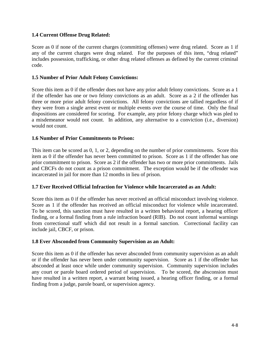#### **1.4 Current Offense Drug Related:**

Score as 0 if none of the current charges (committing offenses) were drug related. Score as 1 if any of the current charges were drug related. For the purposes of this item, "drug related" includes possession, trafficking, or other drug related offenses as defined by the current criminal code.

#### **1.5 Number of Prior Adult Felony Convictions:**

Score this item as 0 if the offender does not have any prior adult felony convictions. Score as a 1 if the offender has one or two felony convictions as an adult. Score as a 2 if the offender has three or more prior adult felony convictions. All felony convictions are tallied regardless of if they were from a single arrest event or multiple events over the course of time. Only the final dispositions are considered for scoring. For example, any prior felony charge which was pled to a misdemeanor would not count. In addition, any alternative to a conviction (i.e., diversion) would not count.

#### **1.6 Number of Prior Commitments to Prison:**

This item can be scored as 0, 1, or 2, depending on the number of prior commitments. Score this item as 0 if the offender has never been committed to prison. Score as 1 if the offender has one prior commitment to prison. Score as 2 if the offender has two or more prior commitments. Jails and CBCFs do not count as a prison commitment. The exception would be if the offender was incarcerated in jail for more than 12 months in lieu of prison.

#### **1.7 Ever Received Official Infraction for Violence while Incarcerated as an Adult:**

Score this item as 0 if the offender has never received an official misconduct involving violence. Score as 1 if the offender has received an official misconduct for violence while incarcerated. To be scored, this sanction must have resulted in a written behavioral report, a hearing officer finding, or a formal finding from a rule infraction board (RIB). Do not count informal warnings from correctional staff which did not result in a formal sanction. Correctional facility can include jail, CBCF, or prison.

#### **1.8 Ever Absconded from Community Supervision as an Adult:**

Score this item as 0 if the offender has never absconded from community supervision as an adult or if the offender has never been under community supervision. Score as 1 if the offender has absconded at least once while under community supervision. Community supervision includes any court or parole board ordered period of supervision. To be scored, the absconsion must have resulted in a written report, a warrant being issued, a hearing officer finding, or a formal finding from a judge, parole board, or supervision agency.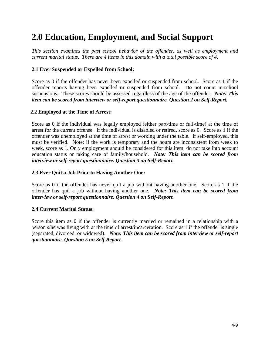## **2.0 Education, Employment, and Social Support**

*This section examines the past school behavior of the offender, as well as employment and current marital status. There are 4 items in this domain with a total possible score of 4.* 

#### **2.1 Ever Suspended or Expelled from School:**

Score as 0 if the offender has never been expelled or suspended from school. Score as 1 if the offender reports having been expelled or suspended from school. Do not count in-school suspensions. These scores should be assessed regardless of the age of the offender. *Note: This item can be scored from interview or self-report questionnaire. Question 2 on Self-Report.* 

#### **2.2 Employed at the Time of Arrest:**

Score as 0 if the individual was legally employed (either part-time or full-time) at the time of arrest for the current offense. If the individual is disabled or retired, score as 0. Score as 1 if the offender was unemployed at the time of arrest or working under the table. If self-employed, this must be verified. Note: if the work is temporary and the hours are inconsistent from week to week, score as 1. Only employment should be considered for this item; do not take into account education status or taking care of family/household. *Note: This item can be scored from interview or self-report questionnaire. Question 3 on Self-Report.* 

#### **2.3 Ever Quit a Job Prior to Having Another One:**

Score as 0 if the offender has never quit a job without having another one. Score as 1 if the offender has quit a job without having another one. *Note: This item can be scored from interview or self-report questionnaire. Question 4 on Self-Report.* 

#### **2.4 Current Marital Status:**

Score this item as 0 if the offender is currently married or remained in a relationship with a person s/he was living with at the time of arrest/incarceration. Score as 1 if the offender is single (separated, divorced, or widowed). *Note: This item can be scored from interview or self-report questionnaire. Question 5 on Self Report.*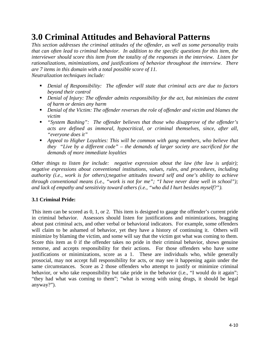## **3.0 Criminal Attitudes and Behavioral Patterns**

*This section addresses the criminal attitudes of the offender, as well as some personality traits that can often lead to criminal behavior. In addition to the specific questions for this item, the interviewer should score this item from the totality of the responses in the interview. Listen for rationalizations, minimizations, and justifications of behavior throughout the interview. There are 7 items in this domain with a total possible score of 11.* 

*Neutralization techniques include:* 

- *Denial of Responsibility: The offender will state that criminal acts are due to factors beyond their control*
- *Denial of Injury: The offender admits responsibility for the act, but minimizes the extent of harm or denies any harm*
- *Denial of the Victim: The offender reverses the role of offender and victim and blames the victim*
- *"System Bashing": The offender believes that those who disapprove of the offender's acts are defined as immoral, hypocritical, or criminal themselves, since, after all, "everyone does it"*
- *Appeal to Higher Loyalties: This will be common with gang members, who believe that they "Live by a different code" – the demands of larger society are sacrificed for the demands of more immediate loyalties*

*Other things to listen for include: negative expression about the law (the law is unfair); negative expressions about conventional institutions, values, rules, and procedures, including authority (i.e., work is for others);negative attitudes toward self and one's ability to achieve through conventional means (i.e., "work is not for me"; "I have never done well in school"); and lack of empathy and sensitivity toward others (i.e., "who did I hurt besides myself?").*

#### **3.1 Criminal Pride:**

This item can be scored as 0, 1, or 2. This item is designed to gauge the offender's current pride in criminal behavior. Assessors should listen for justifications and minimizations, bragging about past criminal acts, and other verbal or behavioral indicators. For example, some offenders will claim to be ashamed of behavior, yet they have a history of continuing it. Others will minimize by blaming the victim, and some will say that the victim got what was coming to them. Score this item as 0 if the offender takes no pride in their criminal behavior, shows genuine remorse, and accepts responsibility for their actions. For those offenders who have some justifications or minimizations, score as a 1. These are individuals who, while generally prosocial, may not accept full responsibility for acts, or may see it happening again under the same circumstances. Score as 2 those offenders who attempt to justify or minimize criminal behavior, or who take responsibility but take pride in the behavior (i.e., "I would do it again"; "they had what was coming to them"; "what is wrong with using drugs, it should be legal anyway?").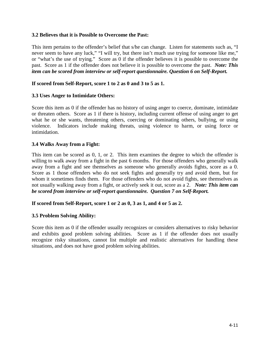#### **3.2 Believes that it is Possible to Overcome the Past:**

This item pertains to the offender's belief that s/he can change. Listen for statements such as, "I never seem to have any luck," "I will try, but there isn't much use trying for someone like me," or "what's the use of trying." Score as 0 if the offender believes it is possible to overcome the past. Score as 1 if the offender does not believe it is possible to overcome the past. *Note: This item can be scored from interview or self-report questionnaire. Question 6 on Self-Report.*

#### **If scored from Self-Report, score 1 to 2 as 0 and 3 to 5 as 1.**

#### **3.3 Uses Anger to Intimidate Others:**

Score this item as 0 if the offender has no history of using anger to coerce, dominate, intimidate or threaten others. Score as 1 if there is history, including current offense of using anger to get what he or she wants, threatening others, coercing or dominating others, bullying, or using violence. Indicators include making threats, using violence to harm, or using force or intimidation.

#### **3.4 Walks Away from a Fight:**

This item can be scored as 0, 1, or 2. This item examines the degree to which the offender is willing to walk away from a fight in the past 6 months. For those offenders who generally walk away from a fight and see themselves as someone who generally avoids fights, score as a 0. Score as 1 those offenders who do not seek fights and generally try and avoid them, but for whom it sometimes finds them. For those offenders who do not avoid fights, see themselves as not usually walking away from a fight, or actively seek it out, score as a 2. *Note: This item can be scored from interview or self-report questionnaire. Question 7 on Self-Report.* 

#### **If scored from Self-Report, score 1 or 2 as 0, 3 as 1, and 4 or 5 as 2.**

#### **3.5 Problem Solving Ability:**

Score this item as 0 if the offender usually recognizes or considers alternatives to risky behavior and exhibits good problem solving abilities. Score as 1 if the offender does not usually recognize risky situations, cannot list multiple and realistic alternatives for handling these situations, and does not have good problem solving abilities.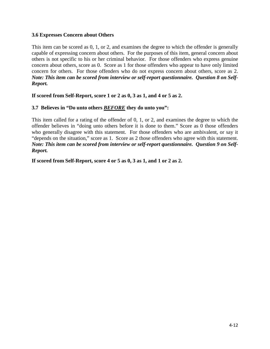#### **3.6 Expresses Concern about Others**

This item can be scored as 0, 1, or 2, and examines the degree to which the offender is generally capable of expressing concern about others. For the purposes of this item, general concern about others is not specific to his or her criminal behavior. For those offenders who express genuine concern about others, score as 0. Score as 1 for those offenders who appear to have only limited concern for others. For those offenders who do not express concern about others, score as 2. *Note: This item can be scored from interview or self-report questionnaire. Question 8 on Self-Report.* 

**If scored from Self-Report, score 1 or 2 as 0, 3 as 1, and 4 or 5 as 2.** 

#### **3.7 Believes in "Do unto others** *BEFORE* **they do unto you":**

This item called for a rating of the offender of 0, 1, or 2, and examines the degree to which the offender believes in "doing unto others before it is done to them." Score as 0 those offenders who generally disagree with this statement. For those offenders who are ambivalent, or say it "depends on the situation," score as 1. Score as 2 those offenders who agree with this statement. *Note: This item can be scored from interview or self-report questionnaire. Question 9 on Self-Report.* 

**If scored from Self-Report, score 4 or 5 as 0, 3 as 1, and 1 or 2 as 2.**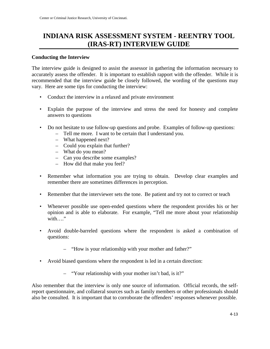## **INDIANA RISK ASSESSMENT SYSTEM - REENTRY TOOL (IRAS-RT) INTERVIEW GUIDE**

#### **Conducting the Interview**

The interview guide is designed to assist the assessor in gathering the information necessary to accurately assess the offender. It is important to establish rapport with the offender. While it is recommended that the interview guide be closely followed, the wording of the questions may vary. Here are some tips for conducting the interview:

- Conduct the interview in a relaxed and private environment
- Explain the purpose of the interview and stress the need for honesty and complete answers to questions
- Do not hesitate to use follow-up questions and probe. Examples of follow-up questions:
	- Tell me more. I want to be certain that I understand you.
	- What happened next?
	- Could you explain that further?
	- What do you mean?
	- Can you describe some examples?
	- How did that make you feel?
- Remember what information you are trying to obtain. Develop clear examples and remember there are sometimes differences in perception.
- Remember that the interviewer sets the tone. Be patient and try not to correct or teach
- Whenever possible use open-ended questions where the respondent provides his or her opinion and is able to elaborate. For example, "Tell me more about your relationship with…"
- Avoid double-barreled questions where the respondent is asked a combination of questions:
	- "How is your relationship with your mother and father?"
- Avoid biased questions where the respondent is led in a certain direction:
	- "Your relationship with your mother isn't bad, is it?"

Also remember that the interview is only one source of information. Official records, the selfreport questionnaire, and collateral sources such as family members or other professionals should also be consulted. It is important that to corroborate the offenders' responses whenever possible.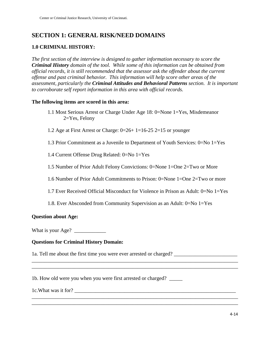#### **SECTION 1: GENERAL RISK/NEED DOMAINS**

#### **1.0 CRIMINAL HISTORY:**

*The first section of the interview is designed to gather information necessary to score the Criminal History domain of the tool. While some of this information can be obtained from official records, it is still recommended that the assessor ask the offender about the current offense and past criminal behavior. This information will help score other areas of the assessment, particularly the Criminal Attitudes and Behavioral Patterns section. It is important to corroborate self report information in this area with official records.* 

#### **The following items are scored in this area:**

- 1.1 Most Serious Arrest or Charge Under Age 18: 0=None 1=Yes, Misdemeanor 2=Yes, Felony
- 1.2 Age at First Arrest or Charge: 0=26+ 1=16-25 2=15 or younger
- 1.3 Prior Commitment as a Juvenile to Department of Youth Services: 0=No 1=Yes
- 1.4 Current Offense Drug Related: 0=No 1=Yes
- 1.5 Number of Prior Adult Felony Convictions: 0=None 1=One 2=Two or More
- 1.6 Number of Prior Adult Commitments to Prison: 0=None 1=One 2=Two or more
- 1.7 Ever Received Official Misconduct for Violence in Prison as Adult: 0=No 1=Yes
- 1.8. Ever Absconded from Community Supervision as an Adult: 0=No 1=Yes

\_\_\_\_\_\_\_\_\_\_\_\_\_\_\_\_\_\_\_\_\_\_\_\_\_\_\_\_\_\_\_\_\_\_\_\_\_\_\_\_\_\_\_\_\_\_\_\_\_\_\_\_\_\_\_\_\_\_\_\_\_\_\_\_\_\_\_\_\_\_\_\_\_\_\_\_\_\_ \_\_\_\_\_\_\_\_\_\_\_\_\_\_\_\_\_\_\_\_\_\_\_\_\_\_\_\_\_\_\_\_\_\_\_\_\_\_\_\_\_\_\_\_\_\_\_\_\_\_\_\_\_\_\_\_\_\_\_\_\_\_\_\_\_\_\_\_\_\_\_\_\_\_\_\_\_\_

\_\_\_\_\_\_\_\_\_\_\_\_\_\_\_\_\_\_\_\_\_\_\_\_\_\_\_\_\_\_\_\_\_\_\_\_\_\_\_\_\_\_\_\_\_\_\_\_\_\_\_\_\_\_\_\_\_\_\_\_\_\_\_\_\_\_\_\_\_\_\_\_\_\_\_\_\_\_ \_\_\_\_\_\_\_\_\_\_\_\_\_\_\_\_\_\_\_\_\_\_\_\_\_\_\_\_\_\_\_\_\_\_\_\_\_\_\_\_\_\_\_\_\_\_\_\_\_\_\_\_\_\_\_\_\_\_\_\_\_\_\_\_\_\_\_\_\_\_\_\_\_\_\_\_\_\_

#### **Question about Age:**

What is your Age?

#### **Questions for Criminal History Domain:**

1a. Tell me about the first time you were ever arrested or charged? \_\_\_\_\_\_\_\_\_\_\_\_\_\_\_\_\_\_\_\_\_\_\_\_

1b. How old were you when you were first arrested or charged? \_\_\_\_\_

1c. What was it for?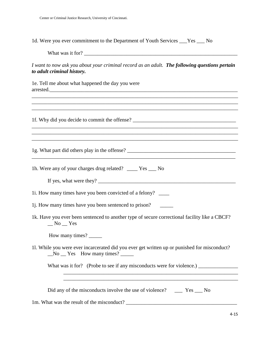1d. Were you ever commitment to the Department of Youth Services \_\_\_Yes \_\_\_ No

What was it for?

*I want to now ask you about your criminal record as an adult. The following questions pertain to adult criminal history.*

\_\_\_\_\_\_\_\_\_\_\_\_\_\_\_\_\_\_\_\_\_\_\_\_\_\_\_\_\_\_\_\_\_\_\_\_\_\_\_\_\_\_\_\_\_\_\_\_\_\_\_\_\_\_\_\_\_\_\_\_\_\_\_\_\_\_\_\_\_\_\_\_\_\_\_\_\_\_ \_\_\_\_\_\_\_\_\_\_\_\_\_\_\_\_\_\_\_\_\_\_\_\_\_\_\_\_\_\_\_\_\_\_\_\_\_\_\_\_\_\_\_\_\_\_\_\_\_\_\_\_\_\_\_\_\_\_\_\_\_\_\_\_\_\_\_\_\_\_\_\_\_\_\_\_\_\_ \_\_\_\_\_\_\_\_\_\_\_\_\_\_\_\_\_\_\_\_\_\_\_\_\_\_\_\_\_\_\_\_\_\_\_\_\_\_\_\_\_\_\_\_\_\_\_\_\_\_\_\_\_\_\_\_\_\_\_\_\_\_\_\_\_\_\_\_\_\_\_\_\_\_\_\_\_\_

\_\_\_\_\_\_\_\_\_\_\_\_\_\_\_\_\_\_\_\_\_\_\_\_\_\_\_\_\_\_\_\_\_\_\_\_\_\_\_\_\_\_\_\_\_\_\_\_\_\_\_\_\_\_\_\_\_\_\_\_\_\_\_\_\_\_\_\_\_\_\_\_\_\_\_\_\_\_ \_\_\_\_\_\_\_\_\_\_\_\_\_\_\_\_\_\_\_\_\_\_\_\_\_\_\_\_\_\_\_\_\_\_\_\_\_\_\_\_\_\_\_\_\_\_\_\_\_\_\_\_\_\_\_\_\_\_\_\_\_\_\_\_\_\_\_\_\_\_\_\_\_\_\_\_\_\_ \_\_\_\_\_\_\_\_\_\_\_\_\_\_\_\_\_\_\_\_\_\_\_\_\_\_\_\_\_\_\_\_\_\_\_\_\_\_\_\_\_\_\_\_\_\_\_\_\_\_\_\_\_\_\_\_\_\_\_\_\_\_\_\_\_\_\_\_\_\_\_\_\_\_\_\_\_\_

 $\mathcal{L}_\mathcal{L} = \{ \mathcal{L}_\mathcal{L} = \{ \mathcal{L}_\mathcal{L} = \{ \mathcal{L}_\mathcal{L} = \{ \mathcal{L}_\mathcal{L} = \{ \mathcal{L}_\mathcal{L} = \{ \mathcal{L}_\mathcal{L} = \{ \mathcal{L}_\mathcal{L} = \{ \mathcal{L}_\mathcal{L} = \{ \mathcal{L}_\mathcal{L} = \{ \mathcal{L}_\mathcal{L} = \{ \mathcal{L}_\mathcal{L} = \{ \mathcal{L}_\mathcal{L} = \{ \mathcal{L}_\mathcal{L} = \{ \mathcal{L}_\mathcal{$ 

1e. Tell me about what happened the day you were arrested.\_\_\_\_\_\_\_\_\_\_\_\_\_\_\_\_\_\_\_\_\_\_\_\_\_\_\_\_\_\_\_\_\_\_\_\_\_\_\_\_\_\_\_\_\_\_\_\_\_\_\_\_\_\_\_\_\_\_\_\_\_\_\_\_\_\_\_\_\_\_\_

1f. Why did you decide to commit the offense? \_\_\_\_\_\_\_\_\_\_\_\_\_\_\_\_\_\_\_\_\_\_\_\_\_\_\_\_\_\_\_\_\_\_

1g. What part did others play in the offense? \_\_\_\_\_\_\_\_\_\_\_\_\_\_\_\_\_\_\_\_\_\_\_\_\_\_\_\_\_\_\_\_\_\_\_\_\_\_\_\_\_

1h. Were any of your charges drug related? \_\_\_\_ Yes \_\_\_ No

If yes, what were they?  $\Box$ 

1i. How many times have you been convicted of a felony? \_\_\_\_

1j. How many times have you been sentenced to prison? \_\_\_\_\_

1k. Have you ever been sentenced to another type of secure correctional facility like a CBCF?  $\sqrt{N}$  No  $\sqrt{Y}$  Yes

How many times? \_\_\_\_\_\_\_

1l. While you were ever incarcerated did you ever get written up or punished for misconduct?  $No$   $\equiv$  Yes How many times?  $\equiv$ 

What was it for? (Probe to see if any misconducts were for violence.)

 \_\_\_\_\_\_\_\_\_\_\_\_\_\_\_\_\_\_\_\_\_\_\_\_\_\_\_\_\_\_\_\_\_\_\_\_\_\_\_\_\_\_\_\_\_\_\_\_\_\_\_\_\_\_\_\_\_\_\_\_\_\_\_\_\_\_ \_\_\_\_\_\_\_\_\_\_\_\_\_\_\_\_\_\_\_\_\_\_\_\_\_\_\_\_\_\_\_\_\_\_\_\_\_\_\_\_\_\_\_\_\_\_\_\_\_\_\_\_\_\_\_\_\_\_\_\_\_\_\_\_\_\_

| Did any of the misconducts involve the use of violence? | Yes<br>- No |
|---------------------------------------------------------|-------------|
|---------------------------------------------------------|-------------|

1m. What was the result of the misconduct? \_\_\_\_\_\_\_\_\_\_\_\_\_\_\_\_\_\_\_\_\_\_\_\_\_\_\_\_\_\_\_\_\_\_\_\_\_\_\_\_\_\_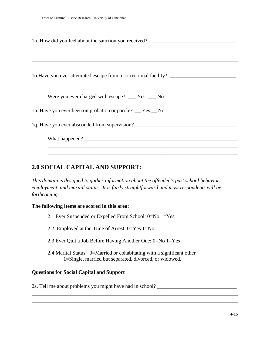| 1n. How did you feel about the sanction you received? ___________________________<br>the control of the control of the control of the control of the control of the control of the control of the control of the control of the control of the control of the control of the control of the control of the control |
|--------------------------------------------------------------------------------------------------------------------------------------------------------------------------------------------------------------------------------------------------------------------------------------------------------------------|
| 1o. Have you ever attempted escape from a correctional facility? ________________                                                                                                                                                                                                                                  |
| Were you ever charged with escape? $\_\_\_\$ Yes $\_\_\_\$ No                                                                                                                                                                                                                                                      |
| 1p. Have you ever been on probation or parole? _ Yes _ No                                                                                                                                                                                                                                                          |
| 1q. Have you ever absconded from supervision?                                                                                                                                                                                                                                                                      |
|                                                                                                                                                                                                                                                                                                                    |
|                                                                                                                                                                                                                                                                                                                    |

# **2.0 SOCIAL CAPITAL AND SUPPORT:**

*This domain is designed to gather information about the offender's past school behavior, employment, and marital status. It is fairly straightforward and most respondents will be forthcoming.* 

#### **The following items are scored in this area:**

- 2.1 Ever Suspended or Expelled From School: 0=No 1=Yes
- 2.2. Employed at the Time of Arrest: 0=Yes 1=No
- 2.3 Ever Quit a Job Before Having Another One: 0=No 1=Yes
- 2.4 Marital Status: 0=Married or cohabitating with a significant other 1=Single, married but separated, divorced, or widowed.

#### **Questions for Social Capital and Support**

2a. Tell me about problems you might have had in school? \_\_\_\_\_\_\_\_\_\_\_\_\_\_\_\_\_\_\_\_\_\_\_\_

\_\_\_\_\_\_\_\_\_\_\_\_\_\_\_\_\_\_\_\_\_\_\_\_\_\_\_\_\_\_\_\_\_\_\_\_\_\_\_\_\_\_\_\_\_\_\_\_\_\_\_\_\_\_\_\_\_\_\_\_\_\_\_\_\_\_\_\_\_\_\_\_\_\_\_\_\_\_ \_\_\_\_\_\_\_\_\_\_\_\_\_\_\_\_\_\_\_\_\_\_\_\_\_\_\_\_\_\_\_\_\_\_\_\_\_\_\_\_\_\_\_\_\_\_\_\_\_\_\_\_\_\_\_\_\_\_\_\_\_\_\_\_\_\_\_\_\_\_\_\_\_\_\_\_\_\_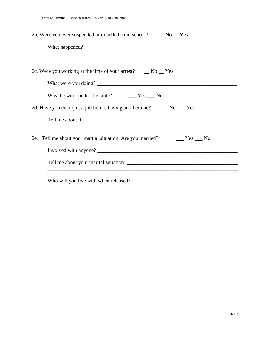Center or Criminal Justice Research, University of Cincinnati.

| 2b. Were you ever suspended or expelled from school? __ No __ Yes                 |  |  |  |  |  |
|-----------------------------------------------------------------------------------|--|--|--|--|--|
|                                                                                   |  |  |  |  |  |
|                                                                                   |  |  |  |  |  |
| 2c. Were you working at the time of your arrest? $\Box$ No $\Box$ Yes             |  |  |  |  |  |
|                                                                                   |  |  |  |  |  |
| Was the work under the table? $\qquad \qquad \qquad \text{Yes } \qquad \text{No}$ |  |  |  |  |  |
| 2d. Have you ever quit a job before having another one? ______ No ____ Yes        |  |  |  |  |  |
|                                                                                   |  |  |  |  |  |
| 2e. Tell me about your martial situation: Are you married? The Yes No             |  |  |  |  |  |
|                                                                                   |  |  |  |  |  |
|                                                                                   |  |  |  |  |  |
|                                                                                   |  |  |  |  |  |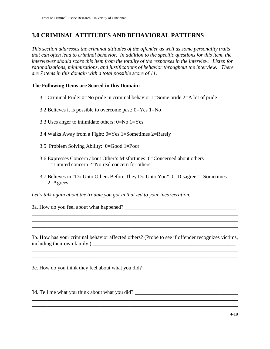# **3.0 CRIMINAL ATTITUDES AND BEHAVIORAL PATTERNS**

*This section addresses the criminal attitudes of the offender as well as some personality traits that can often lead to criminal behavior. In addition to the specific questions for this item, the interviewer should score this item from the totality of the responses in the interview. Listen for rationalizations, minimizations, and justifications of behavior throughout the interview. There are 7 items in this domain with a total possible score of 11.* 

## **The Following Items are Scored in this Domain:**

- 3.1 Criminal Pride: 0=No pride in criminal behavior 1=Some pride 2=A lot of pride
- 3.2 Believes it is possible to overcome past:  $0=Y$ es  $1=N<sub>o</sub>$
- 3.3 Uses anger to intimidate others: 0=No 1=Yes
- 3.4 Walks Away from a Fight: 0=Yes 1=Sometimes 2=Rarely
- 3.5 Problem Solving Ability: 0=Good 1=Poor
- 3.6 Expresses Concern about Other's Misfortunes: 0=Concerned about others 1=Limited concern 2=No real concern for others
- 3.7 Believes in "Do Unto Others Before They Do Unto You": 0=Disagree 1=Sometimes  $2=$ Agrees

*Let's talk again about the trouble you got in that led to your incarceration.* 

\_\_\_\_\_\_\_\_\_\_\_\_\_\_\_\_\_\_\_\_\_\_\_\_\_\_\_\_\_\_\_\_\_\_\_\_\_\_\_\_\_\_\_\_\_\_\_\_\_\_\_\_\_\_\_\_\_\_\_\_\_\_\_\_\_\_\_\_\_\_\_\_\_\_\_\_\_\_

3a. How do you feel about what happened?

3b. How has your criminal behavior affected others? (Probe to see if offender recognizes victims, including their own family.) \_\_\_\_\_\_\_\_\_\_\_\_\_\_\_\_\_\_\_\_\_\_\_\_\_\_\_\_\_\_\_\_\_\_\_\_\_\_\_\_\_\_\_\_\_\_\_\_\_\_\_\_\_\_

\_\_\_\_\_\_\_\_\_\_\_\_\_\_\_\_\_\_\_\_\_\_\_\_\_\_\_\_\_\_\_\_\_\_\_\_\_\_\_\_\_\_\_\_\_\_\_\_\_\_\_\_\_\_\_\_\_\_\_\_\_\_\_\_\_\_\_\_\_\_\_\_\_\_\_\_\_\_

\_\_\_\_\_\_\_\_\_\_\_\_\_\_\_\_\_\_\_\_\_\_\_\_\_\_\_\_\_\_\_\_\_\_\_\_\_\_\_\_\_\_\_\_\_\_\_\_\_\_\_\_\_\_\_\_\_\_\_\_\_\_\_\_\_\_\_\_\_\_\_\_\_\_\_\_\_\_ \_\_\_\_\_\_\_\_\_\_\_\_\_\_\_\_\_\_\_\_\_\_\_\_\_\_\_\_\_\_\_\_\_\_\_\_\_\_\_\_\_\_\_\_\_\_\_\_\_\_\_\_\_\_\_\_\_\_\_\_\_\_\_\_\_\_\_\_\_\_\_\_\_\_\_\_\_\_

\_\_\_\_\_\_\_\_\_\_\_\_\_\_\_\_\_\_\_\_\_\_\_\_\_\_\_\_\_\_\_\_\_\_\_\_\_\_\_\_\_\_\_\_\_\_\_\_\_\_\_\_\_\_\_\_\_\_\_\_\_\_\_\_\_\_\_\_\_\_\_\_\_\_\_\_\_\_ \_\_\_\_\_\_\_\_\_\_\_\_\_\_\_\_\_\_\_\_\_\_\_\_\_\_\_\_\_\_\_\_\_\_\_\_\_\_\_\_\_\_\_\_\_\_\_\_\_\_\_\_\_\_\_\_\_\_\_\_\_\_\_\_\_\_\_\_\_\_\_\_\_\_\_\_\_\_

\_\_\_\_\_\_\_\_\_\_\_\_\_\_\_\_\_\_\_\_\_\_\_\_\_\_\_\_\_\_\_\_\_\_\_\_\_\_\_\_\_\_\_\_\_\_\_\_\_\_\_\_\_\_\_\_\_\_\_\_\_\_\_\_\_\_\_\_\_\_\_\_\_\_\_\_\_\_

\_\_\_\_\_\_\_\_\_\_\_\_\_\_\_\_\_\_\_\_\_\_\_\_\_\_\_\_\_\_\_\_\_\_\_\_\_\_\_\_\_\_\_\_\_\_\_\_\_\_\_\_\_\_\_\_\_\_\_\_\_\_\_\_\_\_\_\_\_\_\_\_\_\_\_\_\_\_ \_\_\_\_\_\_\_\_\_\_\_\_\_\_\_\_\_\_\_\_\_\_\_\_\_\_\_\_\_\_\_\_\_\_\_\_\_\_\_\_\_\_\_\_\_\_\_\_\_\_\_\_\_\_\_\_\_\_\_\_\_\_\_\_\_\_\_\_\_\_\_\_\_\_\_\_\_\_

3c. How do you think they feel about what you did? \_\_\_\_\_\_\_\_\_\_\_\_\_\_\_\_\_\_\_\_\_\_\_\_\_\_\_\_\_\_\_\_\_\_\_

3d. Tell me what you think about what you did?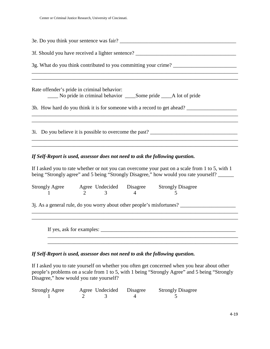| 3f. Should you have received a lighter sentence? ________________________________                                                                                    |  |  |  |  |
|----------------------------------------------------------------------------------------------------------------------------------------------------------------------|--|--|--|--|
|                                                                                                                                                                      |  |  |  |  |
| ,我们也不能会在这里,我们的人们就会不能会在这里,我们也不能会不能会不能会不能会不能会不能会不能会不能会。""我们的人们就会不能会不能会不能会不能会不能会不能会<br>,我们也不能在这里的时候,我们也不能在这里的时候,我们也不能会不能会不能会不能会不能会不能会不能会不能会不能会不能会。""我们的是,我们也不能会不能会不能会不能 |  |  |  |  |
| Rate offender's pride in criminal behavior:                                                                                                                          |  |  |  |  |
| No pride in criminal behavior Some pride A lot of pride                                                                                                              |  |  |  |  |
| 3h. How hard do you think it is for someone with a record to get ahead?                                                                                              |  |  |  |  |
|                                                                                                                                                                      |  |  |  |  |
|                                                                                                                                                                      |  |  |  |  |
|                                                                                                                                                                      |  |  |  |  |
|                                                                                                                                                                      |  |  |  |  |

#### *If Self-Report is used, assessor does not need to ask the following question.*

If I asked you to rate whether or not you can overcome your past on a scale from 1 to 5, with 1 being "Strongly agree" and 5 being "Strongly Disagree," how would you rate yourself?

| <b>Strongly Agree</b> |  | Agree Undecided Disagree | <b>Strongly Disagree</b> |
|-----------------------|--|--------------------------|--------------------------|
|                       |  |                          |                          |

\_\_\_\_\_\_\_\_\_\_\_\_\_\_\_\_\_\_\_\_\_\_\_\_\_\_\_\_\_\_\_\_\_\_\_\_\_\_\_\_\_\_\_\_\_\_\_\_\_\_\_\_\_\_\_\_\_\_\_\_\_\_\_\_\_\_\_\_\_\_\_\_\_\_\_\_\_\_

3j. As a general rule, do you worry about other people's misfortunes? \_\_\_\_\_\_\_\_\_\_\_\_\_\_\_\_\_\_\_\_\_

If yes, ask for examples:  $\frac{1}{2}$   $\frac{1}{2}$   $\frac{1}{2}$   $\frac{1}{2}$   $\frac{1}{2}$   $\frac{1}{2}$   $\frac{1}{2}$   $\frac{1}{2}$   $\frac{1}{2}$   $\frac{1}{2}$   $\frac{1}{2}$   $\frac{1}{2}$   $\frac{1}{2}$   $\frac{1}{2}$   $\frac{1}{2}$   $\frac{1}{2}$   $\frac{1}{2}$   $\frac{1}{2}$   $\frac{1}{2}$   $\frac{1$ 

## *If Self-Report is used, assessor does not need to ask the following question.*

If I asked you to rate yourself on whether you often get concerned when you hear about other people's problems on a scale from 1 to 5, with 1 being "Strongly Agree" and 5 being "Strongly Disagree," how would you rate yourself?

\_\_\_\_\_\_\_\_\_\_\_\_\_\_\_\_\_\_\_\_\_\_\_\_\_\_\_\_\_\_\_\_\_\_\_\_\_\_\_\_\_\_\_\_\_\_\_\_\_\_\_\_\_\_\_\_\_\_\_\_\_\_\_\_\_\_\_\_\_\_\_\_

| <b>Strongly Agree</b> | Agree Undecided | Disagree | <b>Strongly Disagree</b> |
|-----------------------|-----------------|----------|--------------------------|
|                       |                 |          |                          |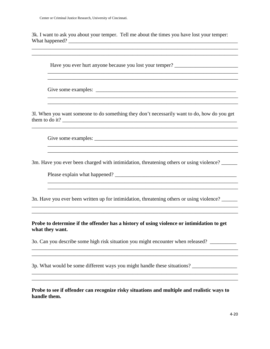3k. I want to ask you about your temper. Tell me about the times you have lost your temper: What happened? \_\_\_\_\_\_\_\_\_\_\_\_\_\_\_\_\_\_\_\_\_\_\_\_\_\_\_\_\_\_\_\_\_\_\_\_\_\_\_\_\_\_\_\_\_\_\_\_\_\_\_\_\_\_\_\_\_\_\_\_\_\_\_\_

\_\_\_\_\_\_\_\_\_\_\_\_\_\_\_\_\_\_\_\_\_\_\_\_\_\_\_\_\_\_\_\_\_\_\_\_\_\_\_\_\_\_\_\_\_\_\_\_\_\_\_\_\_\_\_\_\_\_\_\_\_\_\_\_\_\_\_\_\_\_\_\_\_\_\_\_\_\_ \_\_\_\_\_\_\_\_\_\_\_\_\_\_\_\_\_\_\_\_\_\_\_\_\_\_\_\_\_\_\_\_\_\_\_\_\_\_\_\_\_\_\_\_\_\_\_\_\_\_\_\_\_\_\_\_\_\_\_\_\_\_\_\_\_\_\_\_\_\_\_\_\_\_\_\_\_\_

 $\overline{\phantom{a}}$  , and the contribution of the contribution of the contribution of the contribution of the contribution of the contribution of the contribution of the contribution of the contribution of the contribution of the

 $\overline{\phantom{a}}$  ,  $\overline{\phantom{a}}$  ,  $\overline{\phantom{a}}$  ,  $\overline{\phantom{a}}$  ,  $\overline{\phantom{a}}$  ,  $\overline{\phantom{a}}$  ,  $\overline{\phantom{a}}$  ,  $\overline{\phantom{a}}$  ,  $\overline{\phantom{a}}$  ,  $\overline{\phantom{a}}$  ,  $\overline{\phantom{a}}$  ,  $\overline{\phantom{a}}$  ,  $\overline{\phantom{a}}$  ,  $\overline{\phantom{a}}$  ,  $\overline{\phantom{a}}$  ,  $\overline{\phantom{a}}$ 

 $\_$  ,  $\_$  ,  $\_$  ,  $\_$  ,  $\_$  ,  $\_$  ,  $\_$  ,  $\_$  ,  $\_$  ,  $\_$  ,  $\_$  ,  $\_$  ,  $\_$  ,  $\_$  ,  $\_$  ,  $\_$  ,  $\_$  ,  $\_$  ,  $\_$  ,  $\_$  ,  $\_$  ,  $\_$  ,  $\_$  ,  $\_$  ,  $\_$  ,  $\_$  ,  $\_$  ,  $\_$  ,  $\_$  ,  $\_$  ,  $\_$  ,  $\_$  ,  $\_$  ,  $\_$  ,  $\_$  ,  $\_$  ,  $\_$  ,

\_\_\_\_\_\_\_\_\_\_\_\_\_\_\_\_\_\_\_\_\_\_\_\_\_\_\_\_\_\_\_\_\_\_\_\_\_\_\_\_\_\_\_\_\_\_\_\_\_\_\_\_\_\_\_\_\_\_\_\_\_\_\_\_\_\_\_\_\_\_\_\_

Have you ever hurt anyone because you lost your temper?

Give some examples: \_\_\_\_\_\_\_\_\_\_\_\_\_\_\_\_\_\_\_\_\_\_\_\_\_\_\_\_\_\_\_\_\_\_\_\_\_\_\_\_\_\_\_\_\_\_\_\_\_\_\_\_\_

3l. When you want someone to do something they don't necessarily want to do, how do you get them to do it? \_\_\_\_\_\_\_\_\_\_\_\_\_\_\_\_\_\_\_\_\_\_\_\_\_\_\_\_\_\_\_\_\_\_\_\_\_\_\_\_\_\_\_\_\_\_\_\_\_\_\_\_\_\_\_\_\_\_\_\_\_\_\_\_\_\_

\_\_\_\_\_\_\_\_\_\_\_\_\_\_\_\_\_\_\_\_\_\_\_\_\_\_\_\_\_\_\_\_\_\_\_\_\_\_\_\_\_\_\_\_\_\_\_\_\_\_\_\_\_\_\_\_\_\_\_\_\_\_\_\_\_\_\_\_\_\_\_\_\_\_\_\_\_\_

 $\overline{\phantom{a}}$  , and the contribution of the contribution of the contribution of the contribution of the contribution of the contribution of the contribution of the contribution of the contribution of the contribution of the

 $\overline{\phantom{a}}$  , and the contribution of the contribution of the contribution of the contribution of the contribution of the contribution of the contribution of the contribution of the contribution of the contribution of the

\_\_\_\_\_\_\_\_\_\_\_\_\_\_\_\_\_\_\_\_\_\_\_\_\_\_\_\_\_\_\_\_\_\_\_\_\_\_\_\_\_\_\_\_\_\_\_\_\_\_\_\_\_\_\_\_\_\_\_\_\_\_\_\_\_\_\_\_\_\_\_\_\_\_\_\_\_\_ \_\_\_\_\_\_\_\_\_\_\_\_\_\_\_\_\_\_\_\_\_\_\_\_\_\_\_\_\_\_\_\_\_\_\_\_\_\_\_\_\_\_\_\_\_\_\_\_\_\_\_\_\_\_\_\_\_\_\_\_\_\_\_\_\_\_\_\_\_\_\_\_\_\_\_\_\_\_

\_\_\_\_\_\_\_\_\_\_\_\_\_\_\_\_\_\_\_\_\_\_\_\_\_\_\_\_\_\_\_\_\_\_\_\_\_\_\_\_\_\_\_\_\_\_\_\_\_\_\_\_\_\_\_\_\_\_\_\_\_\_\_\_\_\_\_\_\_\_\_\_\_\_\_\_\_\_

\_\_\_\_\_\_\_\_\_\_\_\_\_\_\_\_\_\_\_\_\_\_\_\_\_\_\_\_\_\_\_\_\_\_\_\_\_\_\_\_\_\_\_\_\_\_\_\_\_\_\_\_\_\_\_\_\_\_\_\_\_\_\_\_\_\_\_\_\_\_\_\_\_\_\_\_\_\_

\_\_\_\_\_\_\_\_\_\_\_\_\_\_\_\_\_\_\_\_\_\_\_\_\_\_\_\_\_\_\_\_\_\_\_\_\_\_\_\_\_\_\_\_\_\_\_\_\_\_\_\_\_\_\_\_\_\_\_\_\_\_\_\_\_\_\_\_\_\_\_\_\_\_\_\_\_\_

 $\mathcal{L}_\mathcal{L} = \{ \mathcal{L}_\mathcal{L} = \{ \mathcal{L}_\mathcal{L} = \{ \mathcal{L}_\mathcal{L} = \{ \mathcal{L}_\mathcal{L} = \{ \mathcal{L}_\mathcal{L} = \{ \mathcal{L}_\mathcal{L} = \{ \mathcal{L}_\mathcal{L} = \{ \mathcal{L}_\mathcal{L} = \{ \mathcal{L}_\mathcal{L} = \{ \mathcal{L}_\mathcal{L} = \{ \mathcal{L}_\mathcal{L} = \{ \mathcal{L}_\mathcal{L} = \{ \mathcal{L}_\mathcal{L} = \{ \mathcal{L}_\mathcal{$ 

Give some examples:

3m. Have you ever been charged with intimidation, threatening others or using violence?

Please explain what happened? \_\_\_\_\_\_\_\_\_\_\_\_\_\_\_\_\_\_\_\_\_\_\_\_\_\_\_\_\_\_\_\_\_\_\_\_\_\_\_\_\_\_\_\_\_\_

3n. Have you ever been written up for intimidation, threatening others or using violence?

**Probe to determine if the offender has a history of using violence or intimidation to get what they want.**

3o. Can you describe some high risk situation you might encounter when released? \_\_\_\_\_\_\_\_\_\_

3p. What would be some different ways you might handle these situations? \_\_\_\_\_\_\_\_\_\_\_\_\_\_\_\_\_

**Probe to see if offender can recognize risky situations and multiple and realistic ways to handle them.**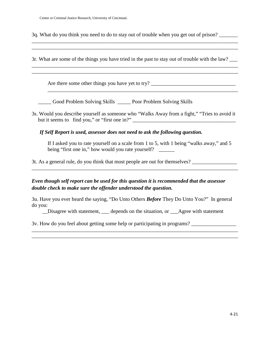Center or Criminal Justice Research, University of Cincinnati.

3q. What do you think you need to do to stay out of trouble when you get out of prison?

3r. What are some of the things you have tried in the past to stay out of trouble with the law? \_\_\_ \_\_\_\_\_\_\_\_\_\_\_\_\_\_\_\_\_\_\_\_\_\_\_\_\_\_\_\_\_\_\_\_\_\_\_\_\_\_\_\_\_\_\_\_\_\_\_\_\_\_\_\_\_\_\_\_\_\_\_\_\_\_\_\_\_\_\_\_\_\_\_\_\_\_\_\_\_\_

\_\_\_\_\_\_\_\_\_\_\_\_\_\_\_\_\_\_\_\_\_\_\_\_\_\_\_\_\_\_\_\_\_\_\_\_\_\_\_\_\_\_\_\_\_\_\_\_\_\_\_\_\_\_\_\_\_\_\_\_\_\_\_\_\_\_\_\_\_\_\_\_\_\_\_\_\_\_

\_\_\_\_\_\_\_\_\_\_\_\_\_\_\_\_\_\_\_\_\_\_\_\_\_\_\_\_\_\_\_\_\_\_\_\_\_\_\_\_\_\_\_\_\_\_\_\_\_\_\_\_\_\_\_\_\_\_\_\_\_\_\_\_\_\_\_\_\_\_\_\_\_\_\_\_\_\_

\_\_\_\_\_\_\_\_\_\_\_\_\_\_\_\_\_\_\_\_\_\_\_\_\_\_\_\_\_\_\_\_\_\_\_\_\_\_\_\_\_\_\_\_\_\_\_\_\_\_\_\_\_\_\_\_\_\_\_\_\_\_\_\_\_\_\_\_\_\_\_\_

Are there some other things you have yet to try? \_\_\_\_\_\_\_\_\_\_\_\_\_\_\_\_\_\_\_\_\_\_\_\_\_\_\_\_\_\_\_\_

\_\_\_\_\_ Good Problem Solving Skills \_\_\_\_\_ Poor Problem Solving Skills

3s. Would you describe yourself as someone who "Walks Away from a fight," "Tries to avoid it but it seems to find you," or "first one in?" \_\_\_\_\_\_\_\_\_\_\_\_\_\_\_\_\_\_\_\_\_\_\_\_\_\_\_\_\_\_\_\_\_\_\_\_\_\_\_

*If Self Report is used, assessor does not need to ask the following question.* 

If I asked you to rate yourself on a scale from 1 to 5, with 1 being "walks away," and 5 being "first one in," how would you rate yourself? \_\_\_\_\_\_

\_\_\_\_\_\_\_\_\_\_\_\_\_\_\_\_\_\_\_\_\_\_\_\_\_\_\_\_\_\_\_\_\_\_\_\_\_\_\_\_\_\_\_\_\_\_\_\_\_\_\_\_\_\_\_\_\_\_\_\_\_\_\_\_\_\_\_\_\_\_\_\_\_\_\_\_\_\_

3t. As a general rule, do you think that most people are out for themselves?

*Even though self report can be used for this question it is recommended that the assessor double check to make sure the offender understood the question.* 

3u. Have you ever heard the saying, "Do Unto Others *Before* They Do Unto You?" In general do you:

\_\_Disagree with statement, \_\_\_ depends on the situation, or \_\_\_Agree with statement

\_\_\_\_\_\_\_\_\_\_\_\_\_\_\_\_\_\_\_\_\_\_\_\_\_\_\_\_\_\_\_\_\_\_\_\_\_\_\_\_\_\_\_\_\_\_\_\_\_\_\_\_\_\_\_\_\_\_\_\_\_\_\_\_\_\_\_\_\_\_\_\_\_\_\_\_\_\_ \_\_\_\_\_\_\_\_\_\_\_\_\_\_\_\_\_\_\_\_\_\_\_\_\_\_\_\_\_\_\_\_\_\_\_\_\_\_\_\_\_\_\_\_\_\_\_\_\_\_\_\_\_\_\_\_\_\_\_\_\_\_\_\_\_\_\_\_\_\_\_\_\_\_\_\_\_\_

3v. How do you feel about getting some help or participating in programs? \_\_\_\_\_\_\_\_\_\_\_\_\_\_\_\_\_\_\_\_\_\_\_\_\_\_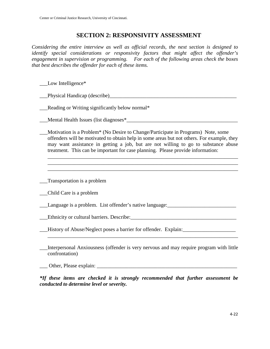# **SECTION 2: RESPONSIVITY ASSESSMENT**

*Considering the entire interview as well as official records, the next section is designed to identify special considerations or responsivity factors that might affect the offender's engagement in supervision or programming. For each of the following areas check the boxes that best describes the offender for each of these items.* 

\_\_\_Low Intelligence\*

\_\_\_Physical Handicap (describe)\_\_\_\_\_\_\_\_\_\_\_\_\_\_\_\_\_\_\_\_\_\_\_\_\_\_\_\_\_\_\_\_\_\_\_\_\_\_\_\_\_\_\_\_\_\_\_\_

\_\_\_Reading or Writing significantly below normal\*

\_\_\_Mental Health Issues (list diagnoses\*\_\_\_\_\_\_\_\_\_\_\_\_\_\_\_\_\_\_\_\_\_\_\_\_\_\_\_\_\_\_\_\_\_\_\_\_\_\_\_\_\_\_

\_\_\_Motivation is a Problem\* (No Desire to Change/Participate in Programs) Note, some offenders will be motivated to obtain help in some areas but not others. For example, they may want assistance in getting a job, but are not willing to go to substance abuse treatment. This can be important for case planning. Please provide information:

\_\_\_\_\_\_\_\_\_\_\_\_\_\_\_\_\_\_\_\_\_\_\_\_\_\_\_\_\_\_\_\_\_\_\_\_\_\_\_\_\_\_\_\_\_\_\_\_\_\_\_\_\_\_\_\_\_\_\_\_\_\_\_\_\_\_\_\_\_\_\_\_ \_\_\_\_\_\_\_\_\_\_\_\_\_\_\_\_\_\_\_\_\_\_\_\_\_\_\_\_\_\_\_\_\_\_\_\_\_\_\_\_\_\_\_\_\_\_\_\_\_\_\_\_\_\_\_\_\_\_\_\_\_\_\_\_\_\_\_\_\_\_\_\_ \_\_\_\_\_\_\_\_\_\_\_\_\_\_\_\_\_\_\_\_\_\_\_\_\_\_\_\_\_\_\_\_\_\_\_\_\_\_\_\_\_\_\_\_\_\_\_\_\_\_\_\_\_\_\_\_\_\_\_\_\_\_\_\_\_\_\_\_\_\_\_\_

\_\_\_Transportation is a problem

\_\_\_Child Care is a problem

\_\_\_Language is a problem. List offender's native language:\_\_\_\_\_\_\_\_\_\_\_\_\_\_\_\_\_\_\_\_\_\_\_\_\_\_

\_\_\_Ethnicity or cultural barriers. Describe:\_\_\_\_\_\_\_\_\_\_\_\_\_\_\_\_\_\_\_\_\_\_\_\_\_\_\_\_\_\_\_\_\_\_\_\_\_\_\_\_

\_\_\_History of Abuse/Neglect poses a barrier for offender. Explain:\_\_\_\_\_\_\_\_\_\_\_\_\_\_\_\_\_\_\_\_

\_\_\_Interpersonal Anxiousness (offender is very nervous and may require program with little confrontation)

\_\_\_ Other, Please explain: \_\_\_\_\_\_\_\_\_\_\_\_\_\_\_\_\_\_\_\_\_\_\_\_\_\_\_\_\_\_\_\_\_\_\_\_\_\_\_\_\_\_\_\_\_\_\_\_\_\_\_\_\_

*\*If these items are checked it is strongly recommended that further assessment be conducted to determine level or severity.*